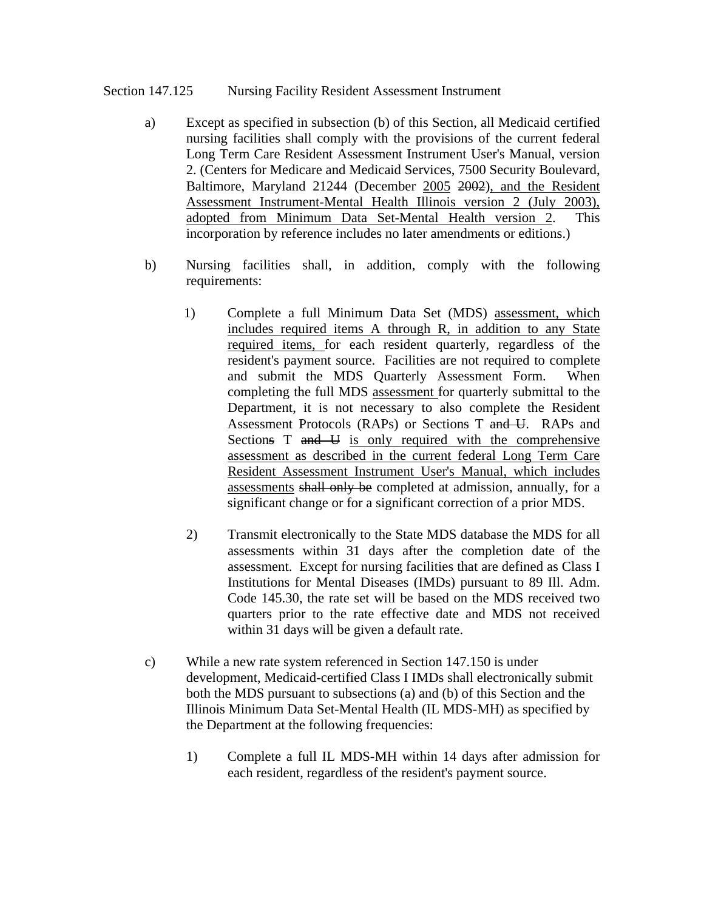#### Section 147.125 Nursing Facility Resident Assessment Instrument

- a) Except as specified in subsection (b) of this Section, all Medicaid certified nursing facilities shall comply with the provisions of the current federal Long Term Care Resident Assessment Instrument User's Manual, version 2. (Centers for Medicare and Medicaid Services, 7500 Security Boulevard, Baltimore, Maryland 21244 (December 2005 2002), and the Resident Assessment Instrument-Mental Health Illinois version 2 (July 2003), adopted from Minimum Data Set-Mental Health version 2. This incorporation by reference includes no later amendments or editions.)
- b) Nursing facilities shall, in addition, comply with the following requirements:
	- 1) Complete a full Minimum Data Set (MDS) assessment, which includes required items A through R, in addition to any State required items, for each resident quarterly, regardless of the resident's payment source. Facilities are not required to complete and submit the MDS Quarterly Assessment Form. When completing the full MDS assessment for quarterly submittal to the Department, it is not necessary to also complete the Resident Assessment Protocols (RAPs) or Sections T and U. RAPs and Sections T and U is only required with the comprehensive assessment as described in the current federal Long Term Care Resident Assessment Instrument User's Manual, which includes assessments shall only be completed at admission, annually, for a significant change or for a significant correction of a prior MDS.
	- 2) Transmit electronically to the State MDS database the MDS for all assessments within 31 days after the completion date of the assessment. Except for nursing facilities that are defined as Class I Institutions for Mental Diseases (IMDs) pursuant to 89 Ill. Adm. Code 145.30, the rate set will be based on the MDS received two quarters prior to the rate effective date and MDS not received within 31 days will be given a default rate.
- c) While a new rate system referenced in Section 147.150 is under development, Medicaid-certified Class I IMDs shall electronically submit both the MDS pursuant to subsections (a) and (b) of this Section and the Illinois Minimum Data Set-Mental Health (IL MDS-MH) as specified by the Department at the following frequencies:
	- 1) Complete a full IL MDS-MH within 14 days after admission for each resident, regardless of the resident's payment source.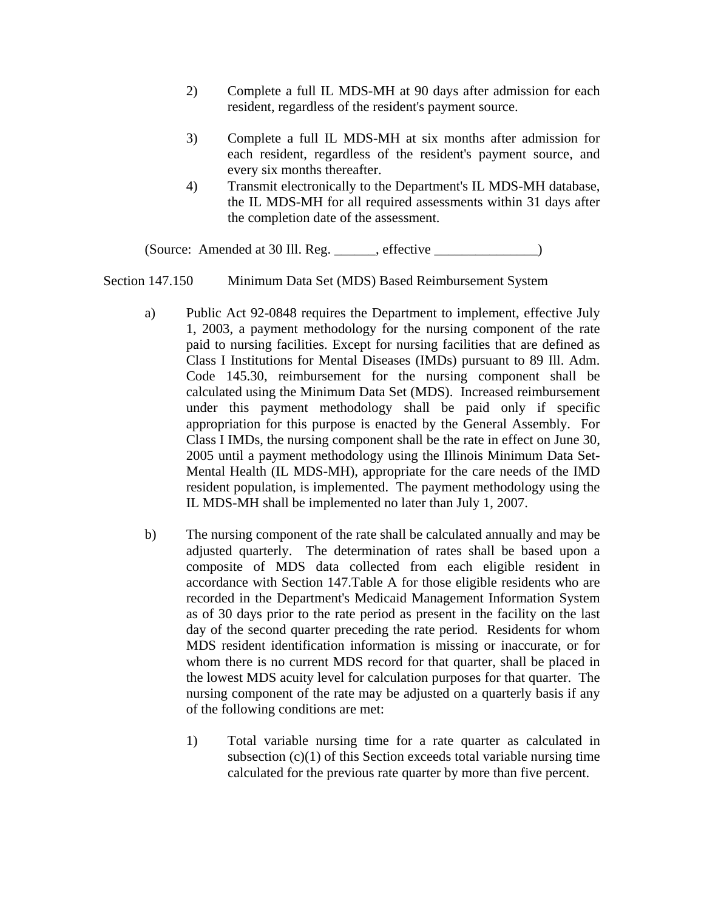- 2) Complete a full IL MDS-MH at 90 days after admission for each resident, regardless of the resident's payment source.
- 3) Complete a full IL MDS-MH at six months after admission for each resident, regardless of the resident's payment source, and every six months thereafter.
- 4) Transmit electronically to the Department's IL MDS-MH database, the IL MDS-MH for all required assessments within 31 days after the completion date of the assessment.

(Source: Amended at 30 Ill. Reg. \_\_\_\_\_\_, effective \_\_\_\_\_\_\_\_\_\_\_\_\_\_\_)

Section 147.150 Minimum Data Set (MDS) Based Reimbursement System

- a) Public Act 92-0848 requires the Department to implement, effective July 1, 2003, a payment methodology for the nursing component of the rate paid to nursing facilities. Except for nursing facilities that are defined as Class I Institutions for Mental Diseases (IMDs) pursuant to 89 Ill. Adm. Code 145.30, reimbursement for the nursing component shall be calculated using the Minimum Data Set (MDS). Increased reimbursement under this payment methodology shall be paid only if specific appropriation for this purpose is enacted by the General Assembly. For Class I IMDs, the nursing component shall be the rate in effect on June 30, 2005 until a payment methodology using the Illinois Minimum Data Set-Mental Health (IL MDS-MH), appropriate for the care needs of the IMD resident population, is implemented. The payment methodology using the IL MDS-MH shall be implemented no later than July 1, 2007.
- b) The nursing component of the rate shall be calculated annually and may be adjusted quarterly. The determination of rates shall be based upon a composite of MDS data collected from each eligible resident in accordance with Section 147.Table A for those eligible residents who are recorded in the Department's Medicaid Management Information System as of 30 days prior to the rate period as present in the facility on the last day of the second quarter preceding the rate period. Residents for whom MDS resident identification information is missing or inaccurate, or for whom there is no current MDS record for that quarter, shall be placed in the lowest MDS acuity level for calculation purposes for that quarter. The nursing component of the rate may be adjusted on a quarterly basis if any of the following conditions are met:
	- 1) Total variable nursing time for a rate quarter as calculated in subsection  $(c)(1)$  of this Section exceeds total variable nursing time calculated for the previous rate quarter by more than five percent.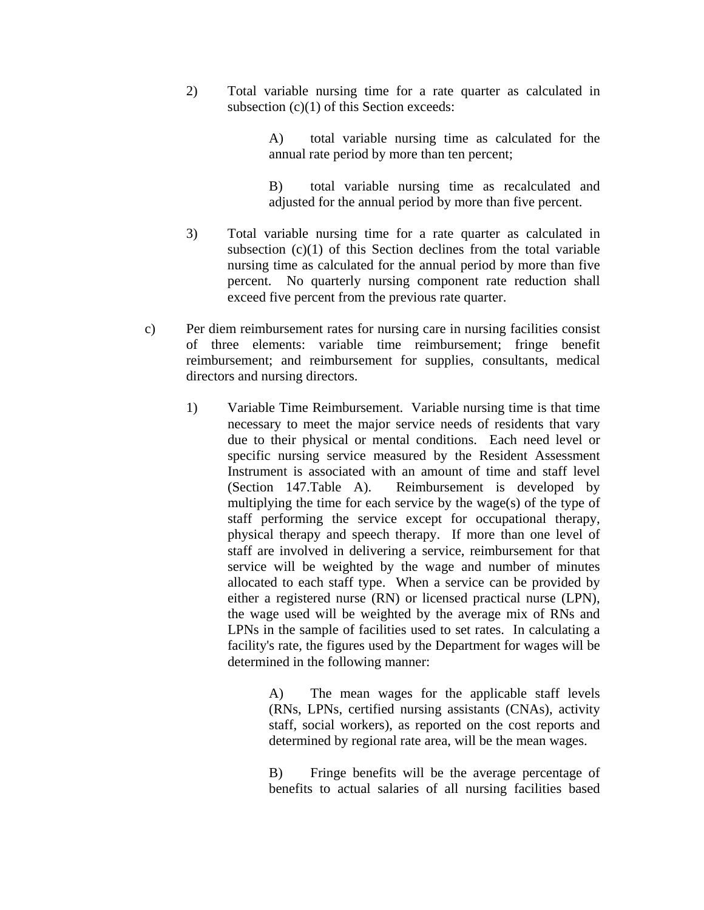2) Total variable nursing time for a rate quarter as calculated in subsection (c)(1) of this Section exceeds:

> A) total variable nursing time as calculated for the annual rate period by more than ten percent;

> B) total variable nursing time as recalculated and adjusted for the annual period by more than five percent.

- 3) Total variable nursing time for a rate quarter as calculated in subsection  $(c)(1)$  of this Section declines from the total variable nursing time as calculated for the annual period by more than five percent. No quarterly nursing component rate reduction shall exceed five percent from the previous rate quarter.
- c) Per diem reimbursement rates for nursing care in nursing facilities consist of three elements: variable time reimbursement; fringe benefit reimbursement; and reimbursement for supplies, consultants, medical directors and nursing directors.
	- 1) Variable Time Reimbursement. Variable nursing time is that time necessary to meet the major service needs of residents that vary due to their physical or mental conditions. Each need level or specific nursing service measured by the Resident Assessment Instrument is associated with an amount of time and staff level (Section 147.Table A). Reimbursement is developed by multiplying the time for each service by the wage(s) of the type of staff performing the service except for occupational therapy, physical therapy and speech therapy. If more than one level of staff are involved in delivering a service, reimbursement for that service will be weighted by the wage and number of minutes allocated to each staff type. When a service can be provided by either a registered nurse (RN) or licensed practical nurse (LPN), the wage used will be weighted by the average mix of RNs and LPNs in the sample of facilities used to set rates. In calculating a facility's rate, the figures used by the Department for wages will be determined in the following manner:

 A) The mean wages for the applicable staff levels (RNs, LPNs, certified nursing assistants (CNAs), activity staff, social workers), as reported on the cost reports and determined by regional rate area, will be the mean wages.

 B) Fringe benefits will be the average percentage of benefits to actual salaries of all nursing facilities based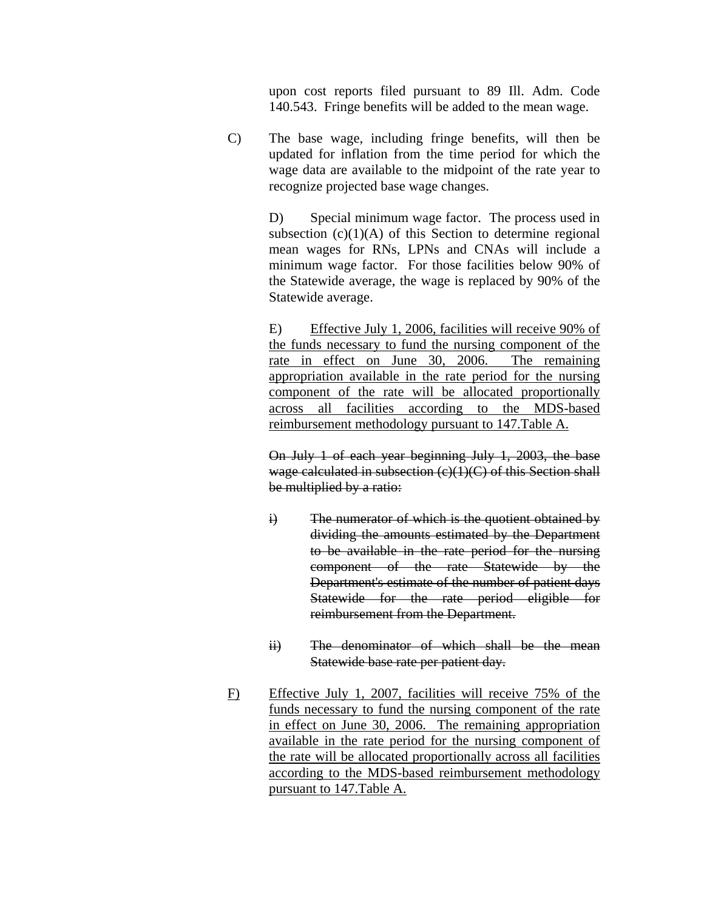upon cost reports filed pursuant to 89 Ill. Adm. Code 140.543. Fringe benefits will be added to the mean wage.

C) The base wage, including fringe benefits, will then be updated for inflation from the time period for which the wage data are available to the midpoint of the rate year to recognize projected base wage changes.

> D) Special minimum wage factor. The process used in subsection  $(c)(1)(A)$  of this Section to determine regional mean wages for RNs, LPNs and CNAs will include a minimum wage factor. For those facilities below 90% of the Statewide average, the wage is replaced by 90% of the Statewide average.

> E) Effective July 1, 2006, facilities will receive 90% of the funds necessary to fund the nursing component of the rate in effect on June 30, 2006. The remaining appropriation available in the rate period for the nursing component of the rate will be allocated proportionally across all facilities according to the MDS-based reimbursement methodology pursuant to 147.Table A.

> On July 1 of each year beginning July 1, 2003, the base wage calculated in subsection (c)(1)(C) of this Section shall be multiplied by a ratio:

- $\ddot{i}$  The numerator of which is the quotient obtained by dividing the amounts estimated by the Department to be available in the rate period for the nursing component of the rate Statewide by the Department's estimate of the number of patient days Statewide for the rate period eligible for reimbursement from the Department.
- ii) The denominator of which shall be the mean Statewide base rate per patient day.
- F) Effective July 1, 2007, facilities will receive 75% of the funds necessary to fund the nursing component of the rate in effect on June 30, 2006. The remaining appropriation available in the rate period for the nursing component of the rate will be allocated proportionally across all facilities according to the MDS-based reimbursement methodology pursuant to 147.Table A.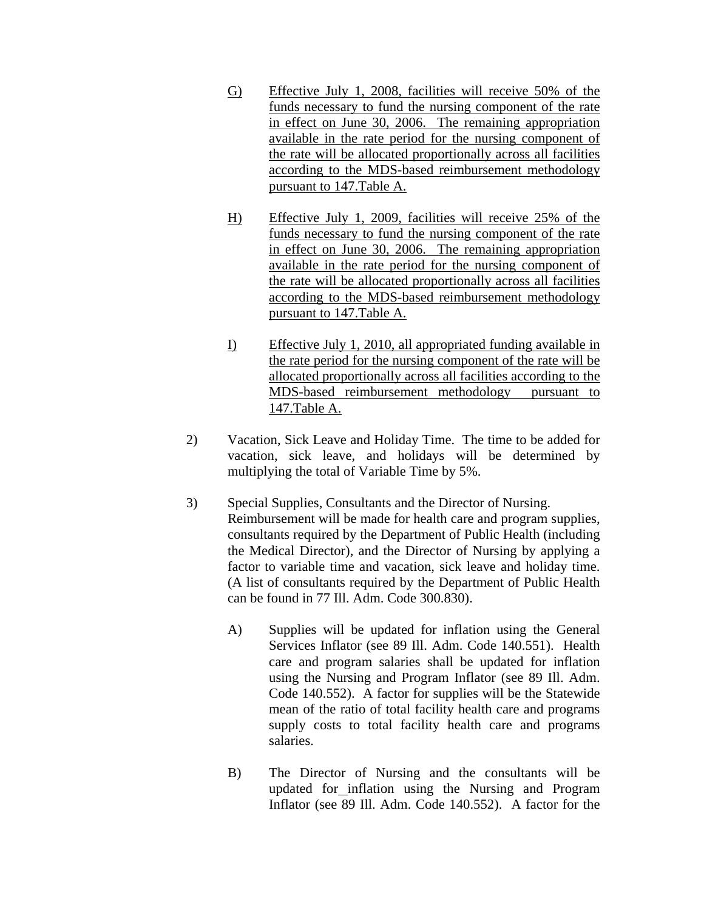- G) Effective July 1, 2008, facilities will receive 50% of the funds necessary to fund the nursing component of the rate in effect on June 30, 2006. The remaining appropriation available in the rate period for the nursing component of the rate will be allocated proportionally across all facilities according to the MDS-based reimbursement methodology pursuant to 147.Table A.
- H) Effective July 1, 2009, facilities will receive 25% of the funds necessary to fund the nursing component of the rate in effect on June 30, 2006. The remaining appropriation available in the rate period for the nursing component of the rate will be allocated proportionally across all facilities according to the MDS-based reimbursement methodology pursuant to 147.Table A.
- I) Effective July 1, 2010, all appropriated funding available in the rate period for the nursing component of the rate will be allocated proportionally across all facilities according to the MDS-based reimbursement methodology pursuant to 147.Table A.
- 2) Vacation, Sick Leave and Holiday Time. The time to be added for vacation, sick leave, and holidays will be determined by multiplying the total of Variable Time by 5%.
- 3) Special Supplies, Consultants and the Director of Nursing. Reimbursement will be made for health care and program supplies, consultants required by the Department of Public Health (including the Medical Director), and the Director of Nursing by applying a factor to variable time and vacation, sick leave and holiday time. (A list of consultants required by the Department of Public Health can be found in 77 Ill. Adm. Code 300.830).
	- A) Supplies will be updated for inflation using the General Services Inflator (see 89 Ill. Adm. Code 140.551). Health care and program salaries shall be updated for inflation using the Nursing and Program Inflator (see 89 Ill. Adm. Code 140.552). A factor for supplies will be the Statewide mean of the ratio of total facility health care and programs supply costs to total facility health care and programs salaries.
	- B) The Director of Nursing and the consultants will be updated for inflation using the Nursing and Program Inflator (see 89 Ill. Adm. Code 140.552). A factor for the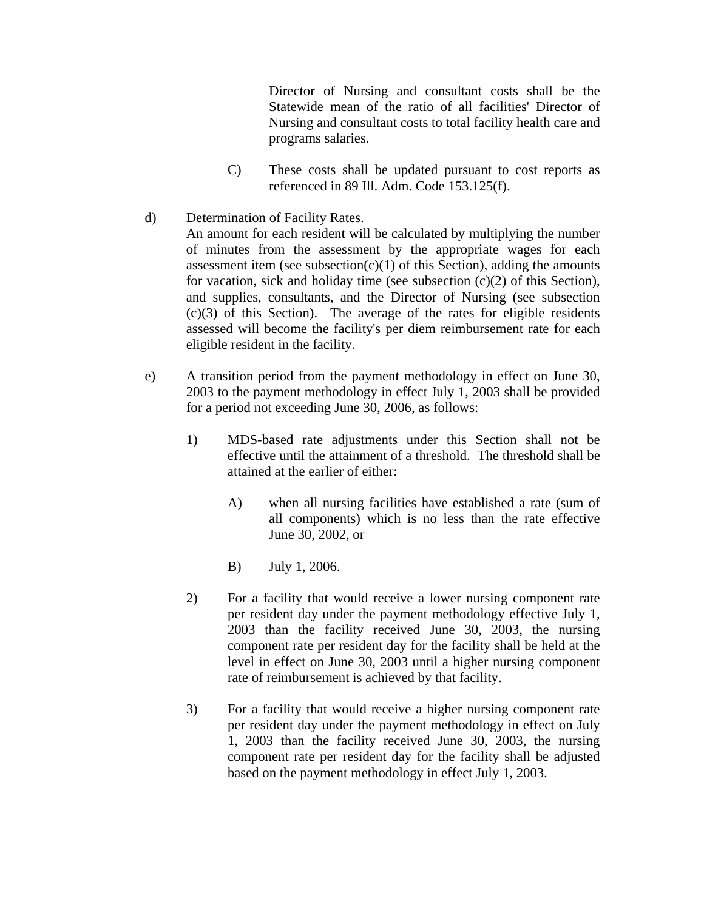Director of Nursing and consultant costs shall be the Statewide mean of the ratio of all facilities' Director of Nursing and consultant costs to total facility health care and programs salaries.

- C) These costs shall be updated pursuant to cost reports as referenced in 89 Ill. Adm. Code 153.125(f).
- d) Determination of Facility Rates. An amount for each resident will be calculated by multiplying the number of minutes from the assessment by the appropriate wages for each assessment item (see subsection(c)(1) of this Section), adding the amounts for vacation, sick and holiday time (see subsection  $(c)(2)$  of this Section), and supplies, consultants, and the Director of Nursing (see subsection  $(c)(3)$  of this Section). The average of the rates for eligible residents assessed will become the facility's per diem reimbursement rate for each eligible resident in the facility.
- e) A transition period from the payment methodology in effect on June 30, 2003 to the payment methodology in effect July 1, 2003 shall be provided for a period not exceeding June 30, 2006, as follows:
	- 1) MDS-based rate adjustments under this Section shall not be effective until the attainment of a threshold. The threshold shall be attained at the earlier of either:
		- A) when all nursing facilities have established a rate (sum of all components) which is no less than the rate effective June 30, 2002, or
		- B) July 1, 2006.
	- 2) For a facility that would receive a lower nursing component rate per resident day under the payment methodology effective July 1, 2003 than the facility received June 30, 2003, the nursing component rate per resident day for the facility shall be held at the level in effect on June 30, 2003 until a higher nursing component rate of reimbursement is achieved by that facility.
	- 3) For a facility that would receive a higher nursing component rate per resident day under the payment methodology in effect on July 1, 2003 than the facility received June 30, 2003, the nursing component rate per resident day for the facility shall be adjusted based on the payment methodology in effect July 1, 2003.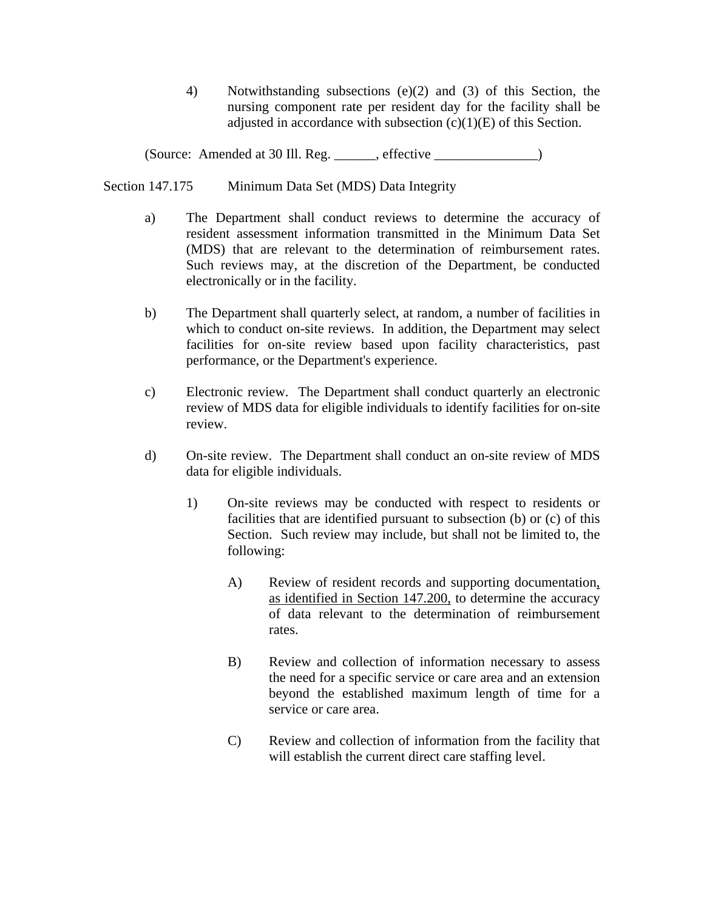4) Notwithstanding subsections (e)(2) and (3) of this Section, the nursing component rate per resident day for the facility shall be adjusted in accordance with subsection  $(c)(1)(E)$  of this Section.

(Source: Amended at 30 Ill. Reg. \_\_\_\_\_\_, effective \_\_\_\_\_\_\_\_\_\_\_\_\_\_\_)

Section 147.175 Minimum Data Set (MDS) Data Integrity

- a) The Department shall conduct reviews to determine the accuracy of resident assessment information transmitted in the Minimum Data Set (MDS) that are relevant to the determination of reimbursement rates. Such reviews may, at the discretion of the Department, be conducted electronically or in the facility.
- b) The Department shall quarterly select, at random, a number of facilities in which to conduct on-site reviews. In addition, the Department may select facilities for on-site review based upon facility characteristics, past performance, or the Department's experience.
- c) Electronic review. The Department shall conduct quarterly an electronic review of MDS data for eligible individuals to identify facilities for on-site review.
- d) On-site review. The Department shall conduct an on-site review of MDS data for eligible individuals.
	- 1) On-site reviews may be conducted with respect to residents or facilities that are identified pursuant to subsection (b) or (c) of this Section. Such review may include, but shall not be limited to, the following:
		- A) Review of resident records and supporting documentation, as identified in Section 147.200, to determine the accuracy of data relevant to the determination of reimbursement rates.
		- B) Review and collection of information necessary to assess the need for a specific service or care area and an extension beyond the established maximum length of time for a service or care area.
		- C) Review and collection of information from the facility that will establish the current direct care staffing level.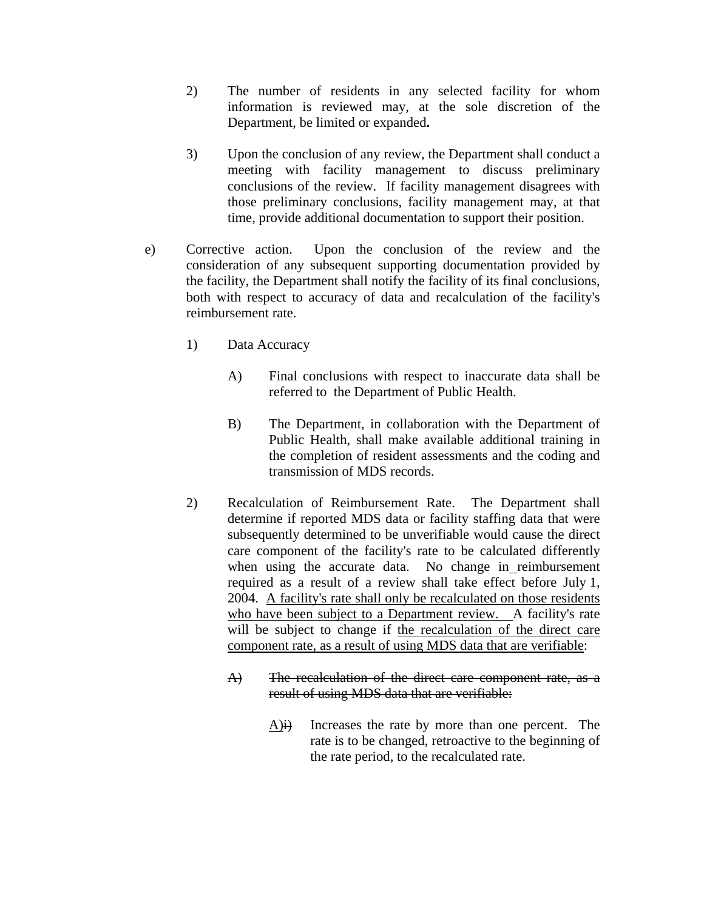- 2) The number of residents in any selected facility for whom information is reviewed may, at the sole discretion of the Department, be limited or expanded**.**
- 3) Upon the conclusion of any review, the Department shall conduct a meeting with facility management to discuss preliminary conclusions of the review. If facility management disagrees with those preliminary conclusions, facility management may, at that time, provide additional documentation to support their position.
- e) Corrective action. Upon the conclusion of the review and the consideration of any subsequent supporting documentation provided by the facility, the Department shall notify the facility of its final conclusions, both with respect to accuracy of data and recalculation of the facility's reimbursement rate.
	- 1) Data Accuracy
		- A) Final conclusions with respect to inaccurate data shall be referred to the Department of Public Health.
		- B) The Department, in collaboration with the Department of Public Health, shall make available additional training in the completion of resident assessments and the coding and transmission of MDS records.
	- 2) Recalculation of Reimbursement Rate. The Department shall determine if reported MDS data or facility staffing data that were subsequently determined to be unverifiable would cause the direct care component of the facility's rate to be calculated differently when using the accurate data. No change in reimbursement required as a result of a review shall take effect before July 1, 2004. A facility's rate shall only be recalculated on those residents who have been subject to a Department review. A facility's rate will be subject to change if the recalculation of the direct care component rate, as a result of using MDS data that are verifiable:
		- A) The recalculation of the direct care component rate, as a result of using MDS data that are verifiable:
			- $\overrightarrow{A}$ )**i**) Increases the rate by more than one percent. The rate is to be changed, retroactive to the beginning of the rate period, to the recalculated rate.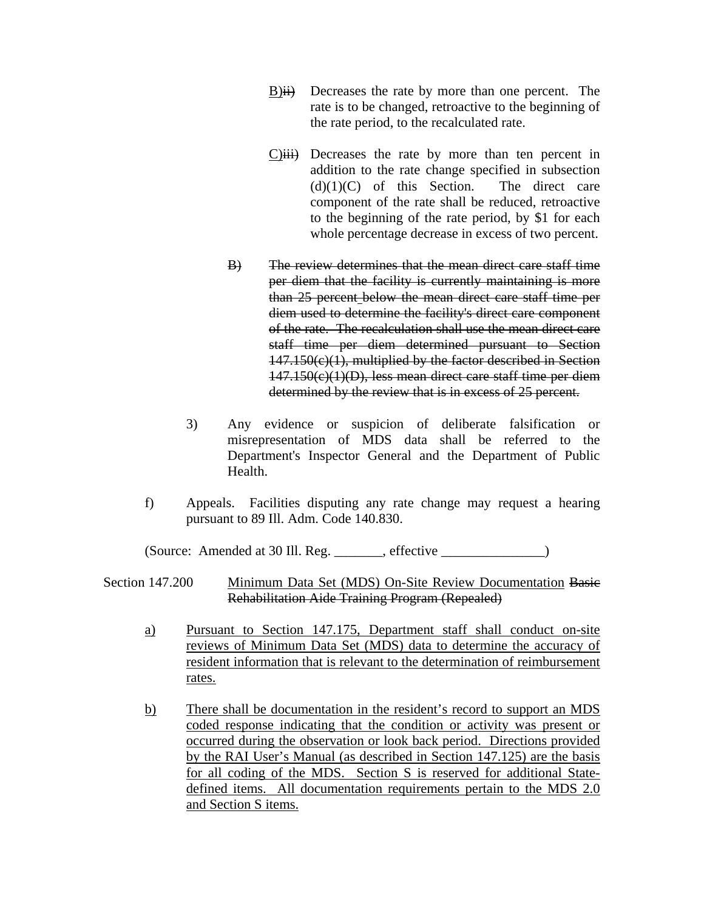- B)ii) Decreases the rate by more than one percent. The rate is to be changed, retroactive to the beginning of the rate period, to the recalculated rate.
- $C$ ) $\overleftrightarrow{ii}$  Decreases the rate by more than ten percent in addition to the rate change specified in subsection  $(d)(1)(C)$  of this Section. The direct care component of the rate shall be reduced, retroactive to the beginning of the rate period, by \$1 for each whole percentage decrease in excess of two percent.
- B) The review determines that the mean direct care staff time per diem that the facility is currently maintaining is more than 25 percent below the mean direct care staff time per diem used to determine the facility's direct care component of the rate. The recalculation shall use the mean direct care staff time per diem determined pursuant to Section 147.150(c)(1), multiplied by the factor described in Section 147.150(c)(1)(D), less mean direct care staff time per diem determined by the review that is in excess of 25 percent.
- 3) Any evidence or suspicion of deliberate falsification or misrepresentation of MDS data shall be referred to the Department's Inspector General and the Department of Public Health.
- f) Appeals. Facilities disputing any rate change may request a hearing pursuant to 89 Ill. Adm. Code 140.830.

(Source: Amended at 30 Ill. Reg. \_\_\_\_\_\_\_, effective \_\_\_\_\_\_\_\_\_\_\_\_\_\_\_)

#### Section 147.200 Minimum Data Set (MDS) On-Site Review Documentation Basic Rehabilitation Aide Training Program (Repealed)

- a) Pursuant to Section 147.175, Department staff shall conduct on-site reviews of Minimum Data Set (MDS) data to determine the accuracy of resident information that is relevant to the determination of reimbursement rates.
- b) There shall be documentation in the resident's record to support an MDS coded response indicating that the condition or activity was present or occurred during the observation or look back period. Directions provided by the RAI User's Manual (as described in Section 147.125) are the basis for all coding of the MDS. Section S is reserved for additional Statedefined items. All documentation requirements pertain to the MDS 2.0 and Section S items.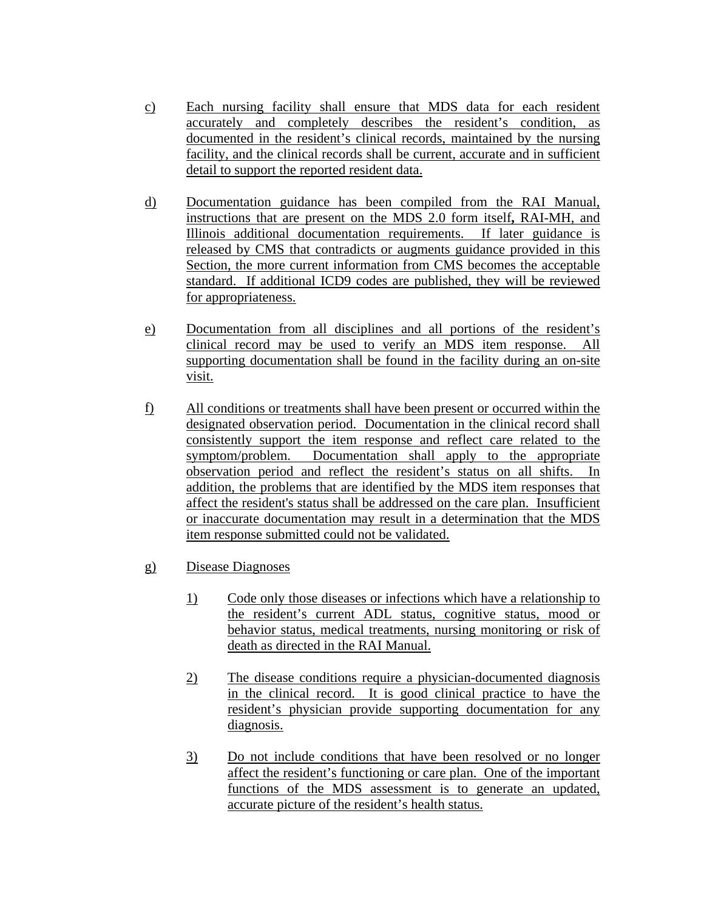- c) Each nursing facility shall ensure that MDS data for each resident accurately and completely describes the resident's condition, as documented in the resident's clinical records, maintained by the nursing facility, and the clinical records shall be current, accurate and in sufficient detail to support the reported resident data.
- d) Documentation guidance has been compiled from the RAI Manual, instructions that are present on the MDS 2.0 form itself**,** RAI-MH, and Illinois additional documentation requirements. If later guidance is released by CMS that contradicts or augments guidance provided in this Section, the more current information from CMS becomes the acceptable standard. If additional ICD9 codes are published, they will be reviewed for appropriateness.
- e) Documentation from all disciplines and all portions of the resident's clinical record may be used to verify an MDS item response. All supporting documentation shall be found in the facility during an on-site visit.
- f) All conditions or treatments shall have been present or occurred within the designated observation period. Documentation in the clinical record shall consistently support the item response and reflect care related to the symptom/problem. Documentation shall apply to the appropriate observation period and reflect the resident's status on all shifts. In addition, the problems that are identified by the MDS item responses that affect the resident's status shall be addressed on the care plan. Insufficient or inaccurate documentation may result in a determination that the MDS item response submitted could not be validated.
- g) Disease Diagnoses
	- 1) Code only those diseases or infections which have a relationship to the resident's current ADL status, cognitive status, mood or behavior status, medical treatments, nursing monitoring or risk of death as directed in the RAI Manual.
	- 2) The disease conditions require a physician-documented diagnosis in the clinical record. It is good clinical practice to have the resident's physician provide supporting documentation for any diagnosis.
	- 3) Do not include conditions that have been resolved or no longer affect the resident's functioning or care plan. One of the important functions of the MDS assessment is to generate an updated, accurate picture of the resident's health status.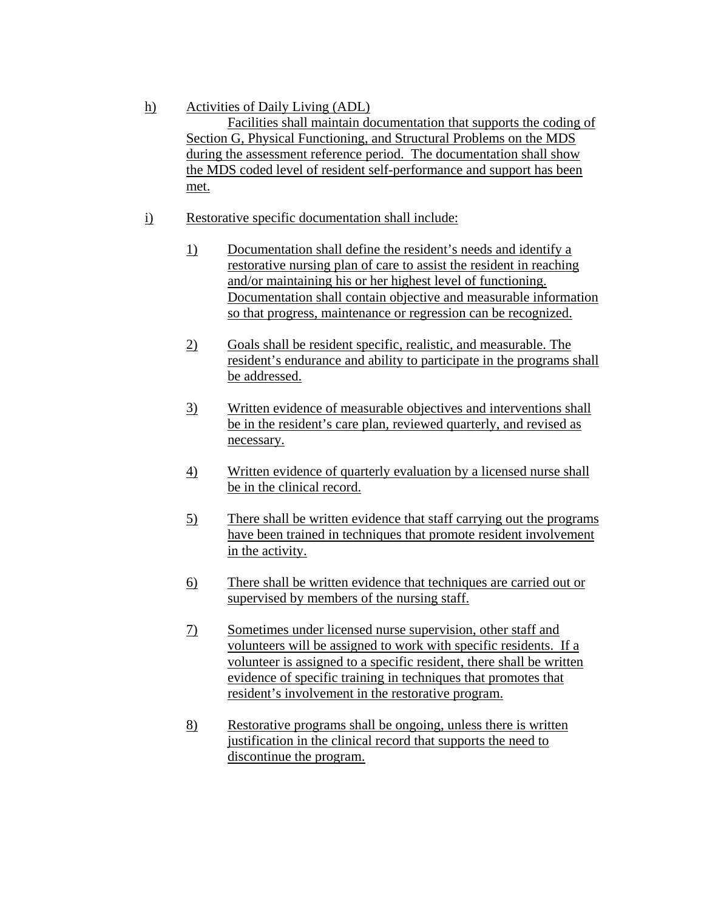- h) Activities of Daily Living (ADL) Facilities shall maintain documentation that supports the coding of Section G, Physical Functioning, and Structural Problems on the MDS during the assessment reference period. The documentation shall show the MDS coded level of resident self-performance and support has been met.
- i) Restorative specific documentation shall include:
	- 1) Documentation shall define the resident's needs and identify a restorative nursing plan of care to assist the resident in reaching and/or maintaining his or her highest level of functioning. Documentation shall contain objective and measurable information so that progress, maintenance or regression can be recognized.
	- 2) Goals shall be resident specific, realistic, and measurable. The resident's endurance and ability to participate in the programs shall be addressed.
	- 3) Written evidence of measurable objectives and interventions shall be in the resident's care plan, reviewed quarterly, and revised as necessary.
	- 4) Written evidence of quarterly evaluation by a licensed nurse shall be in the clinical record.
	- 5) There shall be written evidence that staff carrying out the programs have been trained in techniques that promote resident involvement in the activity.
	- 6) There shall be written evidence that techniques are carried out or supervised by members of the nursing staff.
	- 7) Sometimes under licensed nurse supervision, other staff and volunteers will be assigned to work with specific residents. If a volunteer is assigned to a specific resident, there shall be written evidence of specific training in techniques that promotes that resident's involvement in the restorative program.
	- 8) Restorative programs shall be ongoing, unless there is written justification in the clinical record that supports the need to discontinue the program.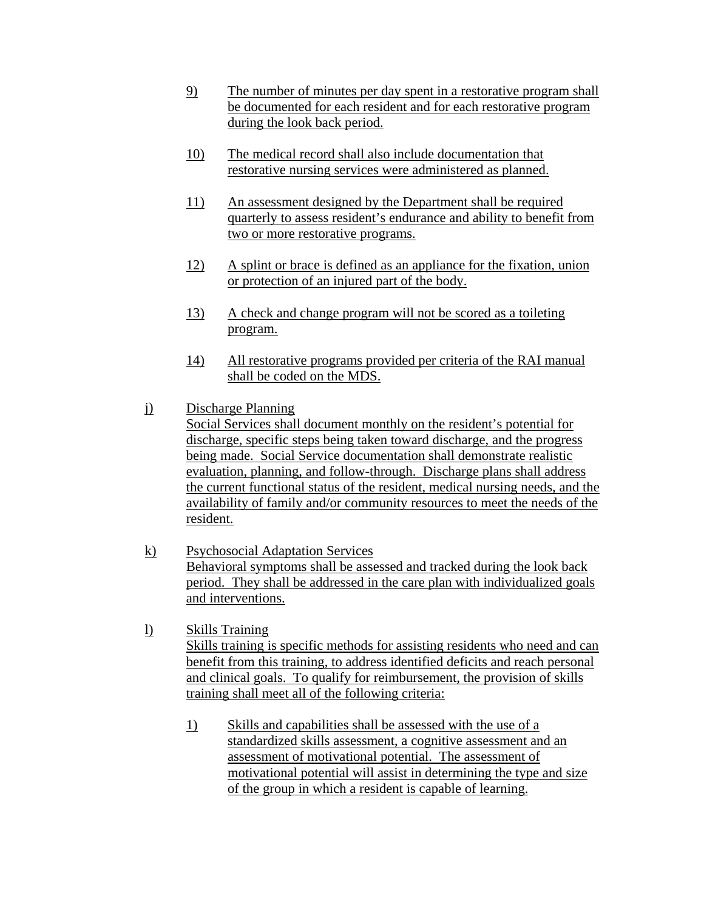- 9) The number of minutes per day spent in a restorative program shall be documented for each resident and for each restorative program during the look back period.
- 10) The medical record shall also include documentation that restorative nursing services were administered as planned.
- 11) An assessment designed by the Department shall be required quarterly to assess resident's endurance and ability to benefit from two or more restorative programs.
- 12) A splint or brace is defined as an appliance for the fixation, union or protection of an injured part of the body.
- 13) A check and change program will not be scored as a toileting program.
- 14) All restorative programs provided per criteria of the RAI manual shall be coded on the MDS.
- j) Discharge Planning

Social Services shall document monthly on the resident's potential for discharge, specific steps being taken toward discharge, and the progress being made. Social Service documentation shall demonstrate realistic evaluation, planning, and follow-through. Discharge plans shall address the current functional status of the resident, medical nursing needs, and the availability of family and/or community resources to meet the needs of the resident.

- k) Psychosocial Adaptation Services Behavioral symptoms shall be assessed and tracked during the look back period. They shall be addressed in the care plan with individualized goals and interventions.
- l) Skills Training Skills training is specific methods for assisting residents who need and can benefit from this training, to address identified deficits and reach personal and clinical goals. To qualify for reimbursement, the provision of skills training shall meet all of the following criteria:
	- 1) Skills and capabilities shall be assessed with the use of a standardized skills assessment, a cognitive assessment and an assessment of motivational potential. The assessment of motivational potential will assist in determining the type and size of the group in which a resident is capable of learning.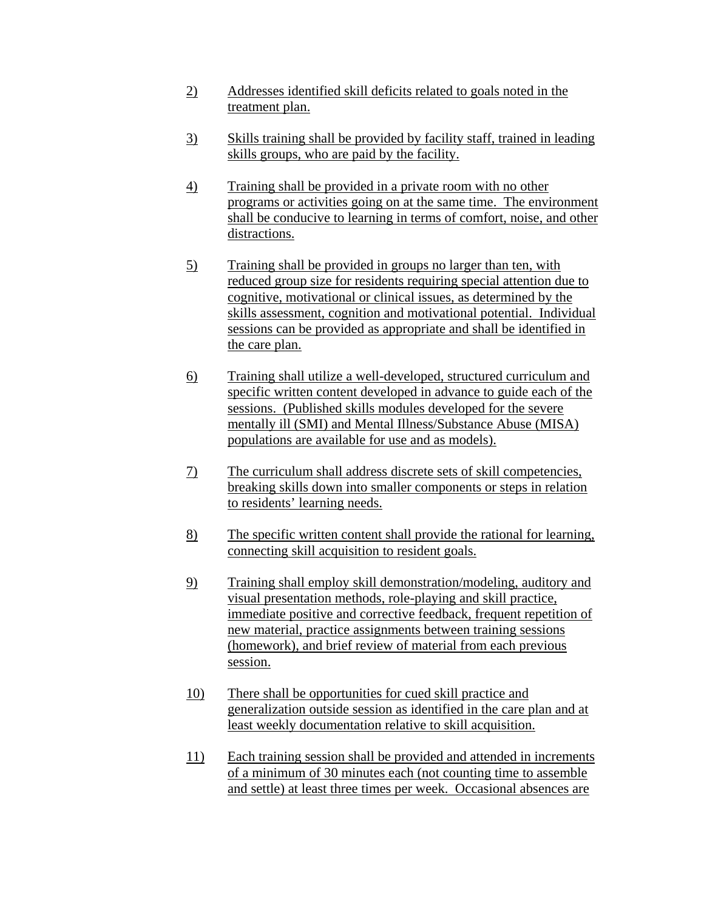- 2) Addresses identified skill deficits related to goals noted in the treatment plan.
- 3) Skills training shall be provided by facility staff, trained in leading skills groups, who are paid by the facility.
- 4) Training shall be provided in a private room with no other programs or activities going on at the same time. The environment shall be conducive to learning in terms of comfort, noise, and other distractions.
- 5) Training shall be provided in groups no larger than ten, with reduced group size for residents requiring special attention due to cognitive, motivational or clinical issues, as determined by the skills assessment, cognition and motivational potential. Individual sessions can be provided as appropriate and shall be identified in the care plan.
- 6) Training shall utilize a well-developed, structured curriculum and specific written content developed in advance to guide each of the sessions. (Published skills modules developed for the severe mentally ill (SMI) and Mental Illness/Substance Abuse (MISA) populations are available for use and as models).
- 7) The curriculum shall address discrete sets of skill competencies, breaking skills down into smaller components or steps in relation to residents' learning needs.
- 8) The specific written content shall provide the rational for learning, connecting skill acquisition to resident goals.
- 9) Training shall employ skill demonstration/modeling, auditory and visual presentation methods, role-playing and skill practice, immediate positive and corrective feedback, frequent repetition of new material, practice assignments between training sessions (homework), and brief review of material from each previous session.
- 10) There shall be opportunities for cued skill practice and generalization outside session as identified in the care plan and at least weekly documentation relative to skill acquisition.
- 11) Each training session shall be provided and attended in increments of a minimum of 30 minutes each (not counting time to assemble and settle) at least three times per week. Occasional absences are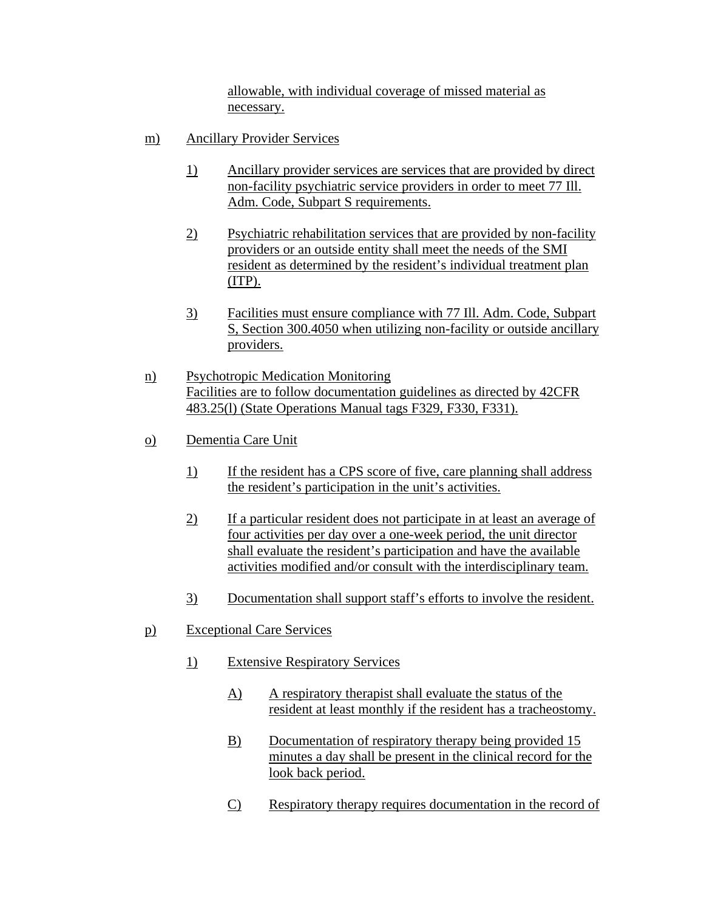allowable, with individual coverage of missed material as necessary.

- m) Ancillary Provider Services
	- 1) Ancillary provider services are services that are provided by direct non-facility psychiatric service providers in order to meet 77 Ill. Adm. Code, Subpart S requirements.
	- 2) Psychiatric rehabilitation services that are provided by non-facility providers or an outside entity shall meet the needs of the SMI resident as determined by the resident's individual treatment plan (ITP).
	- 3) Facilities must ensure compliance with 77 Ill. Adm. Code, Subpart S, Section 300.4050 when utilizing non-facility or outside ancillary providers.
- n) Psychotropic Medication Monitoring Facilities are to follow documentation guidelines as directed by 42CFR 483.25(l) (State Operations Manual tags F329, F330, F331).
- o) Dementia Care Unit
	- 1) If the resident has a CPS score of five, care planning shall address the resident's participation in the unit's activities.
	- 2) If a particular resident does not participate in at least an average of four activities per day over a one-week period, the unit director shall evaluate the resident's participation and have the available activities modified and/or consult with the interdisciplinary team.
	- 3) Documentation shall support staff's efforts to involve the resident.
- p) Exceptional Care Services
	- 1) Extensive Respiratory Services
		- A) A respiratory therapist shall evaluate the status of the resident at least monthly if the resident has a tracheostomy.
		- B) Documentation of respiratory therapy being provided 15 minutes a day shall be present in the clinical record for the look back period.
		- C) Respiratory therapy requires documentation in the record of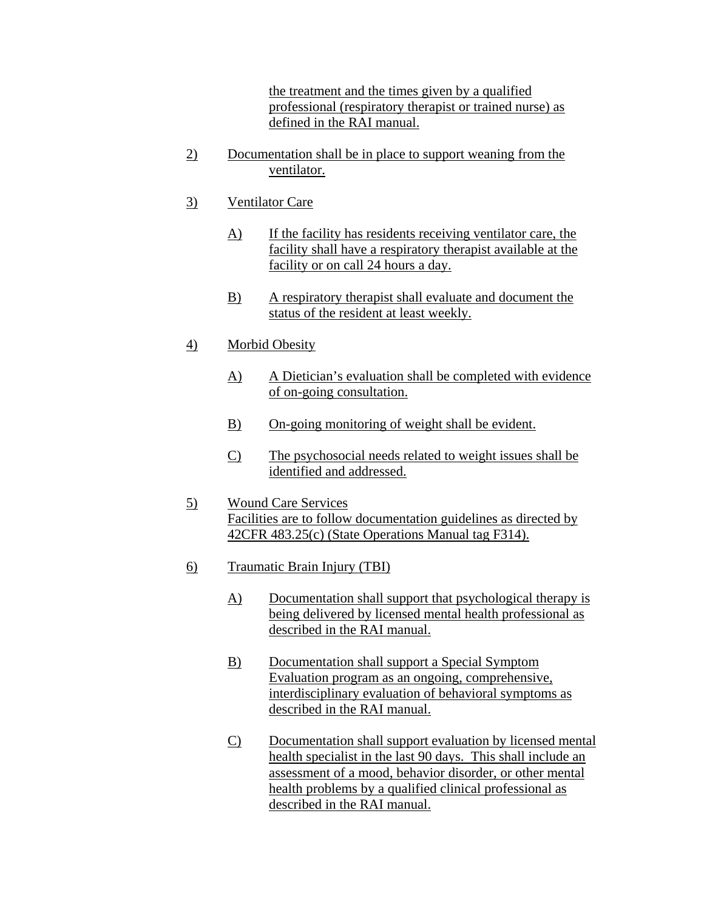the treatment and the times given by a qualified professional (respiratory therapist or trained nurse) as defined in the RAI manual.

- 2) Documentation shall be in place to support weaning from the ventilator.
- 3) Ventilator Care
	- A) If the facility has residents receiving ventilator care, the facility shall have a respiratory therapist available at the facility or on call 24 hours a day.
	- B) A respiratory therapist shall evaluate and document the status of the resident at least weekly.
- 4) Morbid Obesity
	- A) A Dietician's evaluation shall be completed with evidence of on-going consultation.
	- B) On-going monitoring of weight shall be evident.
	- C) The psychosocial needs related to weight issues shall be identified and addressed.
- 5) Wound Care Services Facilities are to follow documentation guidelines as directed by 42CFR 483.25(c) (State Operations Manual tag F314).
- 6) Traumatic Brain Injury (TBI)
	- A) Documentation shall support that psychological therapy is being delivered by licensed mental health professional as described in the RAI manual.
	- B) Documentation shall support a Special Symptom Evaluation program as an ongoing, comprehensive, interdisciplinary evaluation of behavioral symptoms as described in the RAI manual.
	- C) Documentation shall support evaluation by licensed mental health specialist in the last 90 days. This shall include an assessment of a mood, behavior disorder, or other mental health problems by a qualified clinical professional as described in the RAI manual.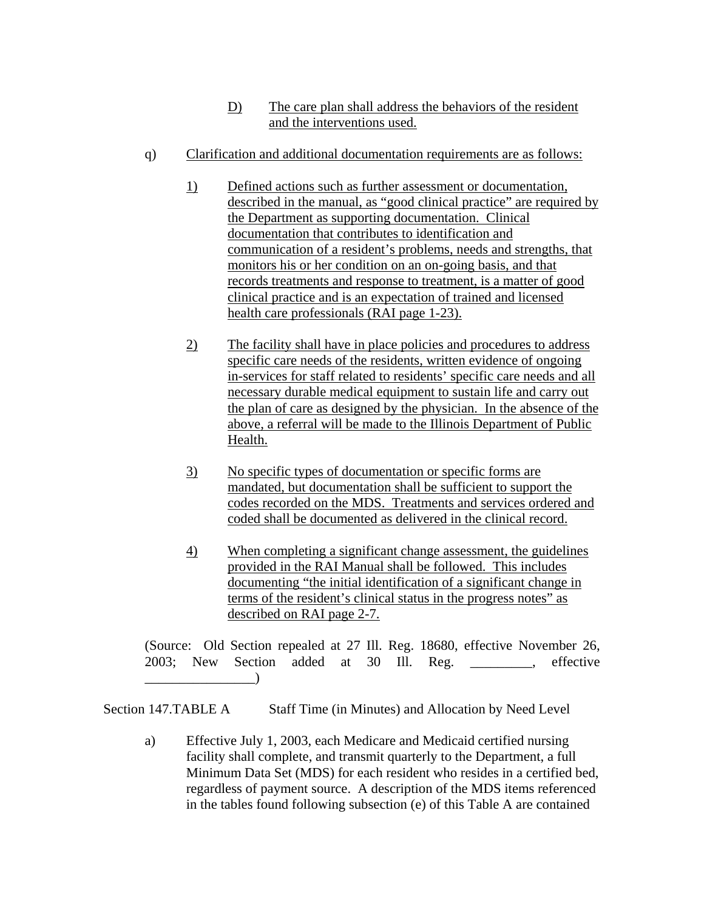- D) The care plan shall address the behaviors of the resident and the interventions used.
- q) Clarification and additional documentation requirements are as follows:
	- 1) Defined actions such as further assessment or documentation, described in the manual, as "good clinical practice" are required by the Department as supporting documentation. Clinical documentation that contributes to identification and communication of a resident's problems, needs and strengths, that monitors his or her condition on an on-going basis, and that records treatments and response to treatment, is a matter of good clinical practice and is an expectation of trained and licensed health care professionals (RAI page 1-23).
	- 2) The facility shall have in place policies and procedures to address specific care needs of the residents, written evidence of ongoing in-services for staff related to residents' specific care needs and all necessary durable medical equipment to sustain life and carry out the plan of care as designed by the physician. In the absence of the above, a referral will be made to the Illinois Department of Public Health.
	- 3) No specific types of documentation or specific forms are mandated, but documentation shall be sufficient to support the codes recorded on the MDS. Treatments and services ordered and coded shall be documented as delivered in the clinical record.
	- 4) When completing a significant change assessment, the guidelines provided in the RAI Manual shall be followed. This includes documenting "the initial identification of a significant change in terms of the resident's clinical status in the progress notes" as described on RAI page 2-7.

(Source: Old Section repealed at 27 Ill. Reg. 18680, effective November 26, 2003; New Section added at 30 Ill. Reg. \_\_\_\_\_\_\_\_\_, effective  $\Box$ 

Section 147.TABLE A Staff Time (in Minutes) and Allocation by Need Level

 a) Effective July 1, 2003, each Medicare and Medicaid certified nursing facility shall complete, and transmit quarterly to the Department, a full Minimum Data Set (MDS) for each resident who resides in a certified bed, regardless of payment source. A description of the MDS items referenced in the tables found following subsection (e) of this Table A are contained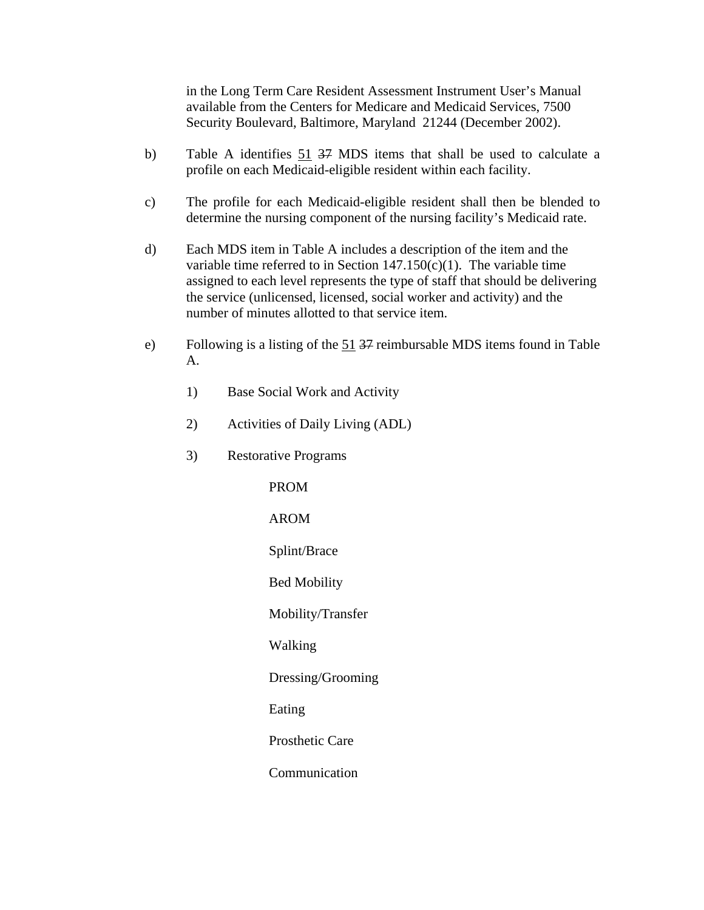in the Long Term Care Resident Assessment Instrument User's Manual available from the Centers for Medicare and Medicaid Services, 7500 Security Boulevard, Baltimore, Maryland 21244 (December 2002).

- b) Table A identifies 51 37 MDS items that shall be used to calculate a profile on each Medicaid-eligible resident within each facility.
- c) The profile for each Medicaid-eligible resident shall then be blended to determine the nursing component of the nursing facility's Medicaid rate.
- d) Each MDS item in Table A includes a description of the item and the variable time referred to in Section  $147.150(c)(1)$ . The variable time assigned to each level represents the type of staff that should be delivering the service (unlicensed, licensed, social worker and activity) and the number of minutes allotted to that service item.
- e) Following is a listing of the 51 37 reimbursable MDS items found in Table A.
	- 1) Base Social Work and Activity
	- 2) Activities of Daily Living (ADL)
	- 3) Restorative Programs

 PROM AROM Splint/Brace Bed Mobility Mobility/Transfer Walking Dressing/Grooming Eating Prosthetic Care Communication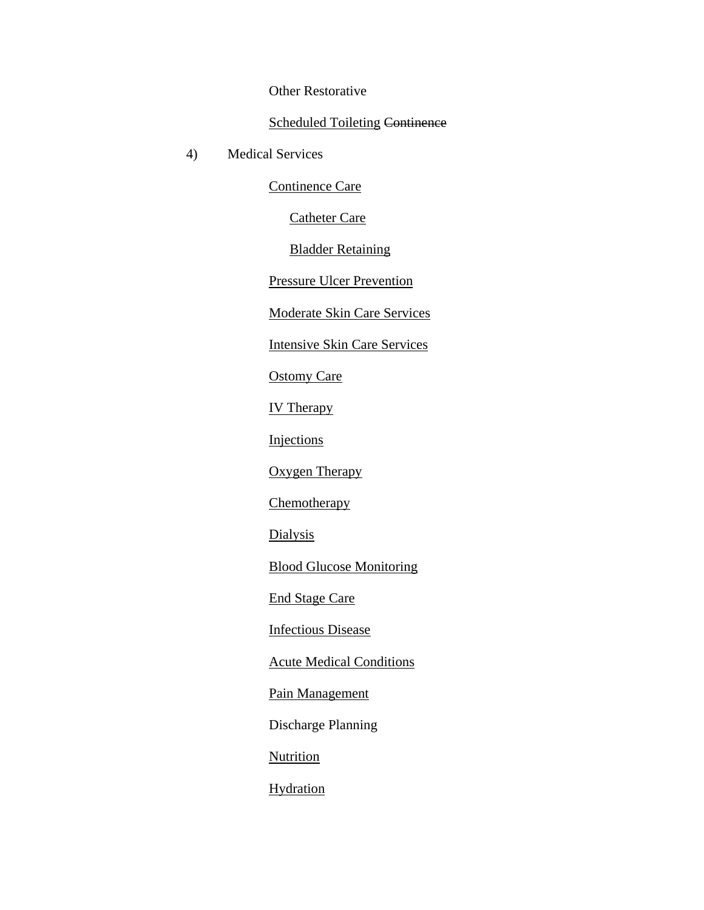Other Restorative

### Scheduled Toileting Continence

4) Medical Services

Continence Care

Catheter Care

Bladder Retaining

Pressure Ulcer Prevention

Moderate Skin Care Services

Intensive Skin Care Services

Ostomy Care

IV Therapy

Injections

Oxygen Therapy

**Chemotherapy** 

**Dialysis** 

Blood Glucose Monitoring

End Stage Care

Infectious Disease

Acute Medical Conditions

Pain Management

Discharge Planning

**Nutrition** 

**Hydration**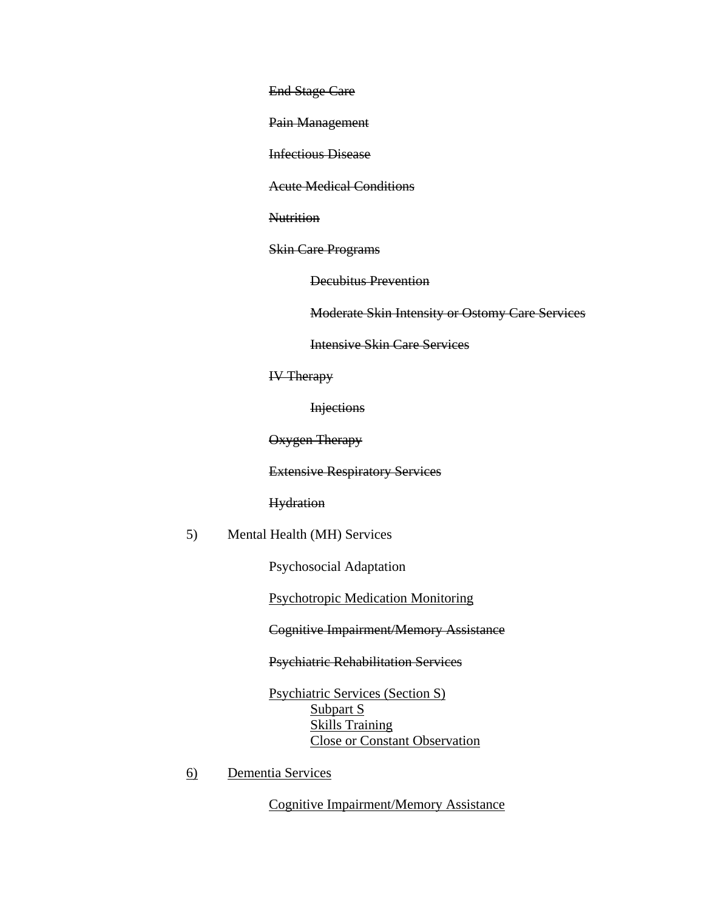End Stage Care

Pain Management

Infectious Disease

Acute Medical Conditions

**Nutrition** 

Skin Care Programs

Decubitus Prevention

Moderate Skin Intensity or Ostomy Care Services

Intensive Skin Care Services

IV Therapy

**Injections** 

Oxygen Therapy

Extensive Respiratory Services

#### **Hydration**

5) Mental Health (MH) Services

Psychosocial Adaptation

Psychotropic Medication Monitoring

Cognitive Impairment/Memory Assistance

Psychiatric Rehabilitation Services

 Psychiatric Services (Section S) Subpart S Skills Training Close or Constant Observation

6) Dementia Services

Cognitive Impairment/Memory Assistance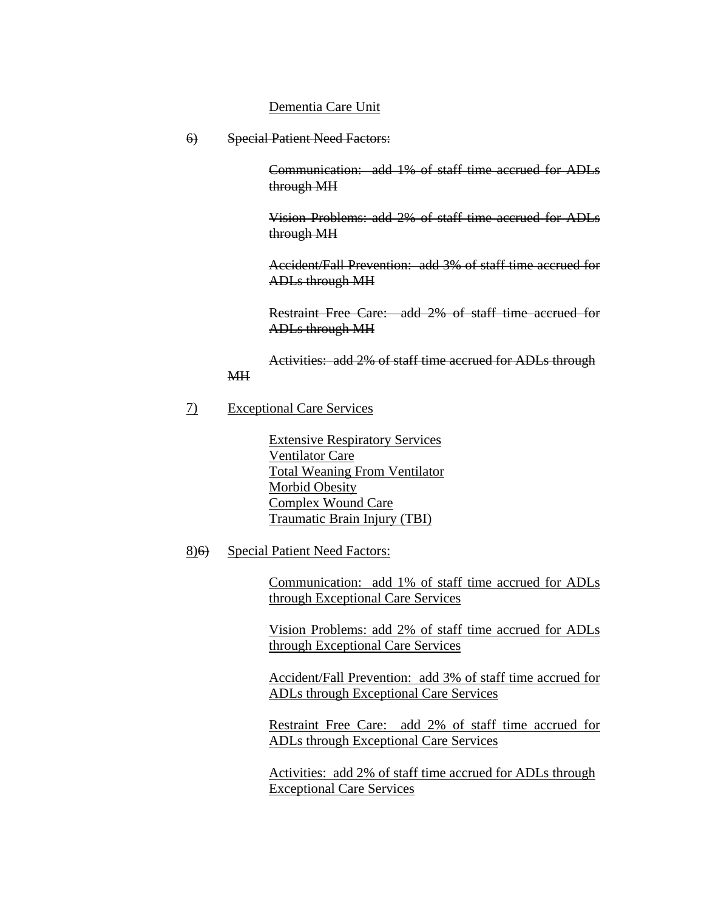#### Dementia Care Unit

6) Special Patient Need Factors:

Communication: add 1% of staff time accrued for ADLs through MH

 Vision Problems: add 2% of staff time accrued for ADLs through MH

Accident/Fall Prevention: add 3% of staff time accrued for ADLs through MH

Restraint Free Care: add 2% of staff time accrued for ADLs through MH

Activities: add 2% of staff time accrued for ADLs through

#### 7) Exceptional Care Services

MH

 Extensive Respiratory Services Ventilator Care Total Weaning From Ventilator Morbid Obesity Complex Wound Care Traumatic Brain Injury (TBI)

#### 8)6) Special Patient Need Factors:

Communication: add 1% of staff time accrued for ADLs through Exceptional Care Services

 Vision Problems: add 2% of staff time accrued for ADLs through Exceptional Care Services

Accident/Fall Prevention: add 3% of staff time accrued for ADLs through Exceptional Care Services

Restraint Free Care: add 2% of staff time accrued for ADLs through Exceptional Care Services

Activities: add 2% of staff time accrued for ADLs through Exceptional Care Services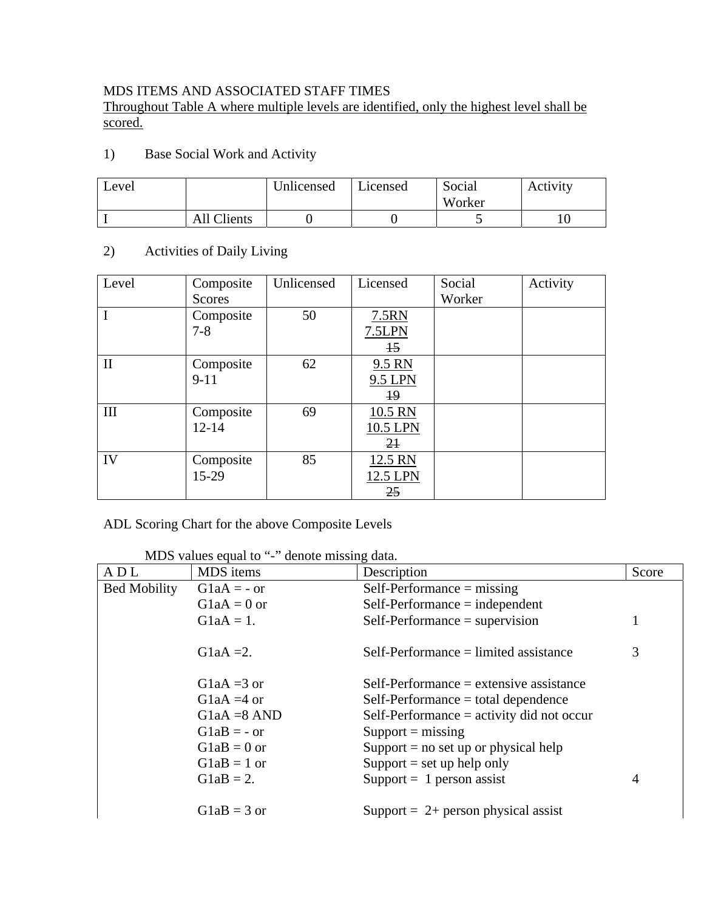### MDS ITEMS AND ASSOCIATED STAFF TIMES

Throughout Table A where multiple levels are identified, only the highest level shall be scored.

1) Base Social Work and Activity

| Level |             | Unlicensed | Licensed | Social<br>Worker | Activity |
|-------|-------------|------------|----------|------------------|----------|
|       | All Clients |            |          |                  |          |

### 2) Activities of Daily Living

| Level        | Composite<br>Scores    | Unlicensed | Licensed                              | Social<br>Worker | Activity |
|--------------|------------------------|------------|---------------------------------------|------------------|----------|
| I            | Composite<br>$7 - 8$   | 50         | 7.5RN<br>7.5LPN<br>$\overline{15}$    |                  |          |
| $\mathbf{I}$ | Composite<br>$9 - 11$  | 62         | 9.5 RN<br>9.5 LPN<br>$\overline{19}$  |                  |          |
| III          | Composite<br>$12 - 14$ | 69         | 10.5 RN<br>10.5 LPN<br>2 <sub>1</sub> |                  |          |
| IV           | Composite<br>15-29     | 85         | 12.5 RN<br>12.5 LPN<br>25             |                  |          |

#### ADL Scoring Chart for the above Composite Levels

| MDS values equal to "-" denote missing data. |  |
|----------------------------------------------|--|
|                                              |  |

| ADL                 | MDS items                | Description                                 | Score |
|---------------------|--------------------------|---------------------------------------------|-------|
| <b>Bed Mobility</b> | $G1aA = -or$             | $Self-Performance = missing$                |       |
|                     | $G1aA = 0$ or            | $Self-Performance = independent$            |       |
|                     | $G1aA = 1$ .             | $Self-Performance = supervision$            |       |
|                     | G <sub>1</sub> aA = 2.   | $Self-Performance = limited assistance$     | 3     |
|                     | G <sub>1</sub> aA = 3 or | $Self-Performance = extensive assistance$   |       |
|                     | G <sub>1</sub> aA = 4 or | $Self-Performance = total dependence$       |       |
|                     | $G1aA = 8$ AND           | Self-Performance $=$ activity did not occur |       |
|                     | $G1aB = -or$             | $Support = missing$                         |       |
|                     | $G1aB = 0$ or            | Support $=$ no set up or physical help      |       |
|                     | $G1aB = 1$ or            | Support $=$ set up help only                |       |
|                     | $G1aB = 2.$              | $Support = 1 person assist$                 | 4     |
|                     | $G1aB = 3$ or            | Support = $2+$ person physical assist       |       |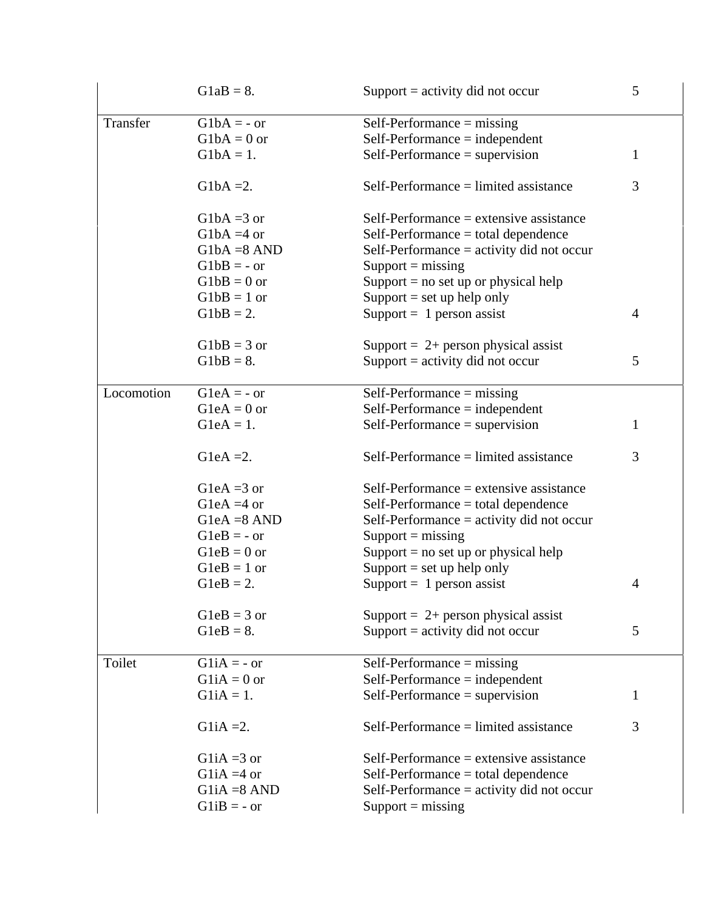|            | $G1aB = 8.$    | Support $=$ activity did not occur          | 5              |
|------------|----------------|---------------------------------------------|----------------|
| Transfer   | $G1bA = -or$   | $Self-Performance = missing$                |                |
|            | $G1bA = 0$ or  | $Self-Performance = independent$            |                |
|            | $G1bA = 1.$    | $Self-Performance = supervision$            | 1              |
|            | $G1bA = 2$ .   | $Self-Performance = limited assistance$     | 3              |
|            | $G1bA = 3$ or  | $Self-Performance = extensive assistance$   |                |
|            | $G1bA = 4$ or  | $Self-Performance = total dependence$       |                |
|            | $G1bA = 8$ AND | Self-Performance $=$ activity did not occur |                |
|            | $G1bB = -or$   | $Support = missing$                         |                |
|            | $G1bB = 0$ or  | Support $=$ no set up or physical help      |                |
|            | $G1bB = 1$ or  | Support $=$ set up help only                |                |
|            | $G1bB = 2.$    | Support = $1$ person assist                 | $\overline{4}$ |
|            | $G1bB = 3$ or  | Support = $2+$ person physical assist       |                |
|            | $G1bB = 8.$    | Support = activity did not occur            | 5              |
| Locomotion | $G1eA = -or$   | $Self-Performance = missing$                |                |
|            | $G1eA = 0$ or  | $Self-Performance = independent$            |                |
|            | $G$ leA = 1.   | $Self-Performance = supervision$            | 1              |
|            |                |                                             |                |
|            | GleA = $2$ .   | $Self-Performance = limited assistance$     | 3              |
|            | GleA = $3$ or  | $Self-Performance = extensive assistance$   |                |
|            | G1eA = $4$ or  | $Self-Performance = total dependence$       |                |
|            | $G$ leA =8 AND | Self-Performance $=$ activity did not occur |                |
|            | $G1eB = -or$   | $Support = missing$                         |                |
|            | $G1eB = 0$ or  | Support $=$ no set up or physical help      |                |
|            | $G1eB = 1$ or  | Support $=$ set up help only                |                |
|            | $G1eB = 2.$    | $Support = 1 person assist$                 | $\overline{4}$ |
|            | $G1eB = 3$ or  | Support = $2+$ person physical assist       |                |
|            | $G1eB = 8.$    | Support $=$ activity did not occur          | 5              |
| Toilet     | $G1iA = -or$   | $Self-Performance = missing$                |                |
|            | $G1iA = 0$ or  | $Self-Performance = independent$            |                |
|            | $G1iA = 1.$    | $Self-Performance = supervision$            | 1              |
|            | $G1iA = 2.$    | $Self-Performance = limited assistance$     | 3              |
|            | G1iA = $3$ or  | $Self-Performance = extensive assistance$   |                |
|            | G1iA = $4$ or  | Self-Performance = total dependence         |                |
|            | $G1iA = 8$ AND | Self-Performance $=$ activity did not occur |                |
|            | $G1iB = -or$   | $Support = missing$                         |                |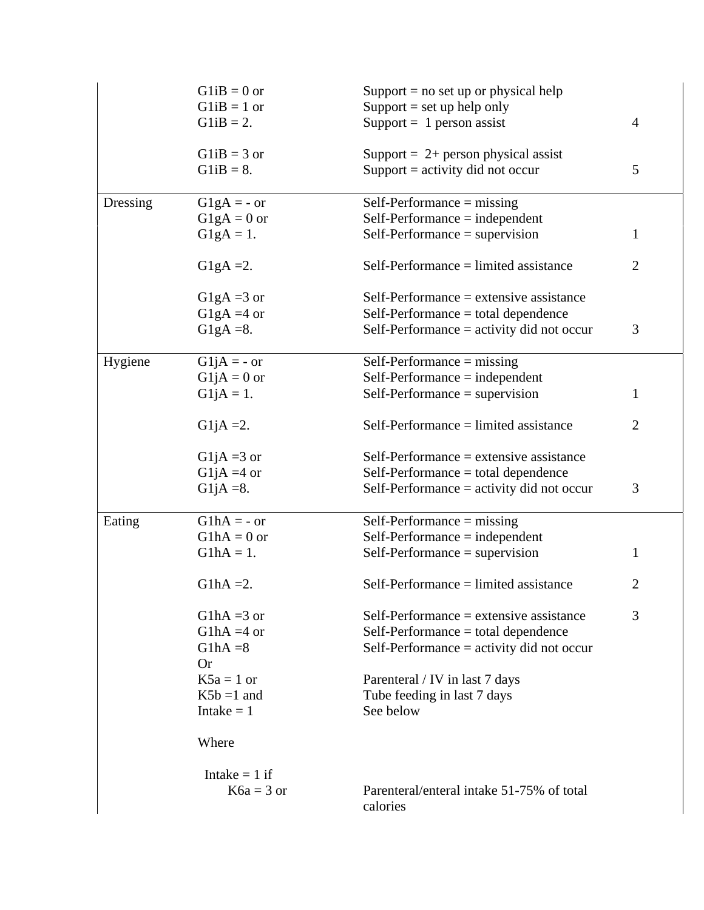|          | $G1iB = 0$ or            | Support $=$ no set up or physical help      |                |
|----------|--------------------------|---------------------------------------------|----------------|
|          | $G1iB = 1$ or            | Support $=$ set up help only                |                |
|          | $G1iB = 2.$              | Support = $1$ person assist                 | $\overline{4}$ |
|          |                          |                                             |                |
|          | $G1iB = 3$ or            | Support = $2+$ person physical assist       |                |
|          | $G1iB = 8.$              | Support $=$ activity did not occur          | 5              |
| Dressing | $G1gA = -or$             | $Self-Performance = missing$                |                |
|          | $G1gA = 0$ or            | $Self-Performance = independent$            |                |
|          | $G1gA = 1.$              | $Self-Performance = supervision$            | 1              |
|          |                          |                                             |                |
|          | G <sub>1</sub> gA = 2.   | $Self-Performance = limited assistance$     | $\overline{2}$ |
|          | G <sub>1</sub> gA = 3 or | $Self-Performance = extensive assistance$   |                |
|          | G1gA = $4$ or            | $Self-Performance = total dependence$       |                |
|          | G1gA = $8$ .             | Self-Performance = activity did not occur   | 3              |
|          |                          |                                             |                |
| Hygiene  | $G1jA = -or$             | Self-Performance $=$ missing                |                |
|          | $G1jA = 0$ or            | $Self-Performance = independent$            |                |
|          | $G1jA = 1.$              | $Self-Performance = supervision$            | 1              |
|          | G1jA = $2$ .             | $Self-Performance = limited assistance$     | $\overline{2}$ |
|          |                          |                                             |                |
|          | G1jA = 3 or              | $Self-Performance = extensive assistance$   |                |
|          | G1jA = 4 or              | Self-Performance = total dependence         |                |
|          | G1jA = $8$ .             | Self-Performance $=$ activity did not occur | 3              |
| Eating   | $G1hA = -or$             | Self-Performance $=$ missing                |                |
|          | $G1hA = 0$ or            | $Self-Performance = independent$            |                |
|          | $G1hA = 1.$              | $Self-Performance = supervision$            | $\mathbf{1}$   |
|          |                          |                                             |                |
|          | $G1hA = 2.$              | $Self-Performance = limited assistance$     | $\overline{2}$ |
|          | G1hA = $3$ or            | $Self-Performance = extensive assistance$   | 3              |
|          | G1hA = $4$ or            |                                             |                |
|          |                          | $Self-Performance = total dependence$       |                |
|          | $G1hA = 8$               | Self-Performance $=$ activity did not occur |                |
|          | <b>Or</b>                |                                             |                |
|          | $K5a = 1$ or             | Parenteral / IV in last 7 days              |                |
|          | $K5b = 1$ and            | Tube feeding in last 7 days                 |                |
|          | Intake $= 1$             | See below                                   |                |
|          | Where                    |                                             |                |
|          | Intake $= 1$ if          |                                             |                |
|          | $K6a = 3$ or             | Parenteral/enteral intake 51-75% of total   |                |
|          |                          | calories                                    |                |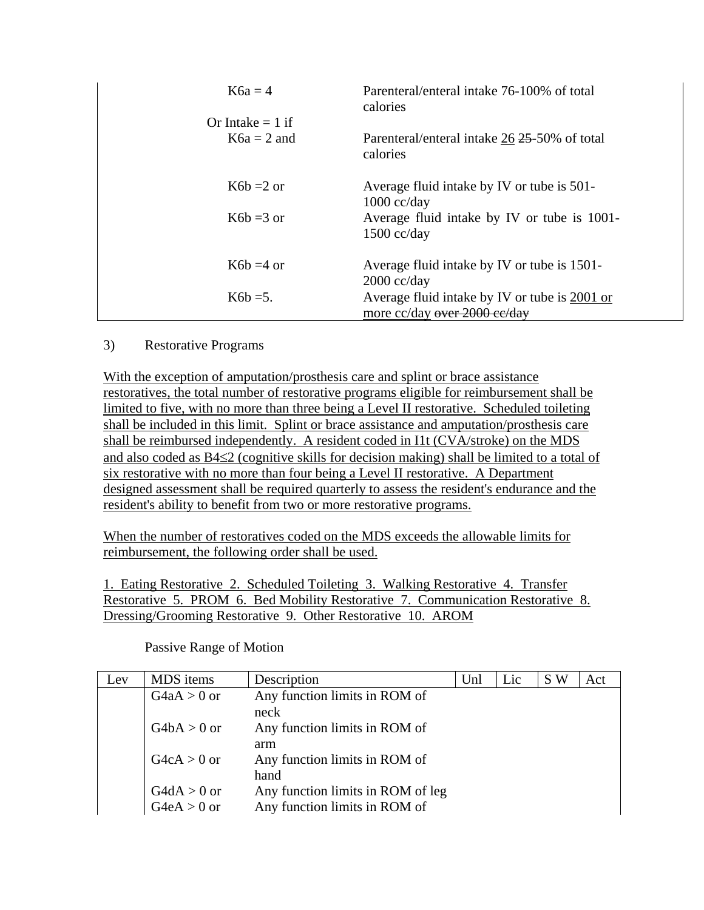| $K6a = 4$          | Parenteral/enteral intake 76-100% of total<br>calories                        |
|--------------------|-------------------------------------------------------------------------------|
| Or Intake $= 1$ if |                                                                               |
| $K6a = 2$ and      | Parenteral/enteral intake 26 25-50% of total<br>calories                      |
| $K6b = 2$ or       | Average fluid intake by IV or tube is 501-<br>$1000 \text{ cc/day}$           |
| $K6b = 3$ or       | Average fluid intake by IV or tube is 1001-<br>$1500 \text{ cc/day}$          |
| $K6b = 4$ or       | Average fluid intake by IV or tube is 1501-<br>$2000 \text{ cc/day}$          |
| $K6b = 5$ .        | Average fluid intake by IV or tube is 2001 or<br>more cc/day over 2000 ce/day |

#### 3) Restorative Programs

With the exception of amputation/prosthesis care and splint or brace assistance restoratives, the total number of restorative programs eligible for reimbursement shall be limited to five, with no more than three being a Level II restorative. Scheduled toileting shall be included in this limit. Splint or brace assistance and amputation/prosthesis care shall be reimbursed independently. A resident coded in I1t (CVA/stroke) on the MDS and also coded as B4≤2 (cognitive skills for decision making) shall be limited to a total of six restorative with no more than four being a Level II restorative. A Department designed assessment shall be required quarterly to assess the resident's endurance and the resident's ability to benefit from two or more restorative programs.

When the number of restoratives coded on the MDS exceeds the allowable limits for reimbursement, the following order shall be used.

1. Eating Restorative 2. Scheduled Toileting 3. Walking Restorative 4. Transfer Restorative 5. PROM 6. Bed Mobility Restorative 7. Communication Restorative 8. Dressing/Grooming Restorative 9. Other Restorative 10. AROM

Passive Range of Motion

| Lev | MDS items     | Description                       | Unl | Lic | S W | Act |
|-----|---------------|-----------------------------------|-----|-----|-----|-----|
|     | $G4aA > 0$ or | Any function limits in ROM of     |     |     |     |     |
|     |               | neck                              |     |     |     |     |
|     | $G4bA > 0$ or | Any function limits in ROM of     |     |     |     |     |
|     |               | arm                               |     |     |     |     |
|     | $G4cA > 0$ or | Any function limits in ROM of     |     |     |     |     |
|     |               | hand                              |     |     |     |     |
|     | $G4dA > 0$ or | Any function limits in ROM of leg |     |     |     |     |
|     | $G4eA > 0$ or | Any function limits in ROM of     |     |     |     |     |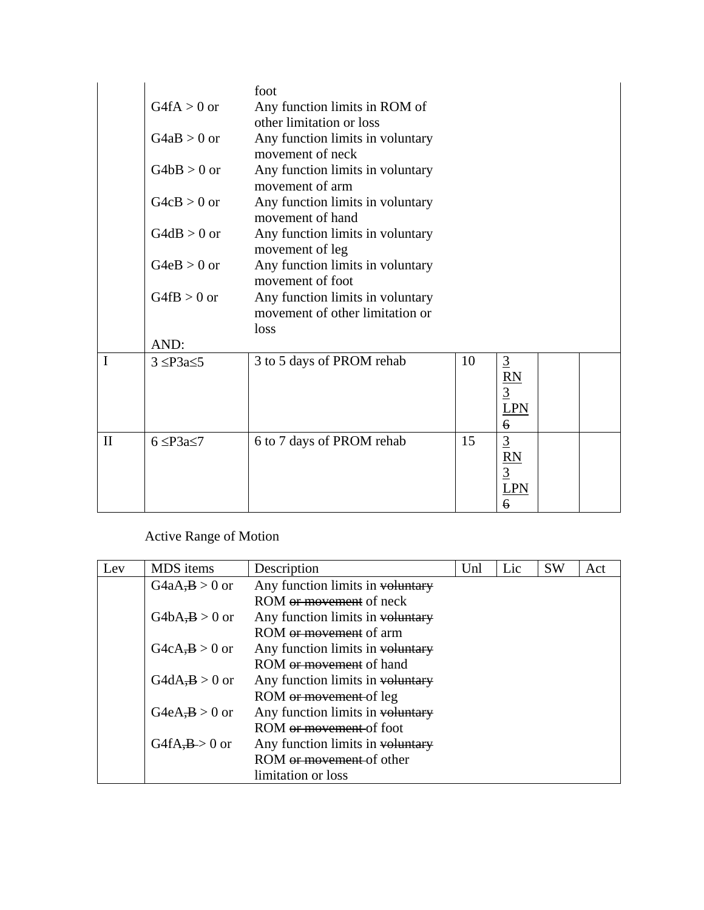|              | $G4fA > 0$ or       | foot<br>Any function limits in ROM of<br>other limitation or loss           |    |                                                                   |  |
|--------------|---------------------|-----------------------------------------------------------------------------|----|-------------------------------------------------------------------|--|
|              | $G4aB > 0$ or       | Any function limits in voluntary<br>movement of neck                        |    |                                                                   |  |
|              | $G4bB > 0$ or       | Any function limits in voluntary<br>movement of arm                         |    |                                                                   |  |
|              | $G4cB > 0$ or       | Any function limits in voluntary<br>movement of hand                        |    |                                                                   |  |
|              | $G4dB > 0$ or       | Any function limits in voluntary<br>movement of leg                         |    |                                                                   |  |
|              | $G4eB > 0$ or       | Any function limits in voluntary<br>movement of foot                        |    |                                                                   |  |
|              | $G4fB > 0$ or       | Any function limits in voluntary<br>movement of other limitation or<br>loss |    |                                                                   |  |
|              | AND:                |                                                                             |    |                                                                   |  |
| I            | $3 \leq P3a \leq 5$ | 3 to 5 days of PROM rehab                                                   | 10 | $rac{3}{\cancel{R}N}$<br><b>LPN</b><br>6                          |  |
| $\mathbf{I}$ | $6 \leq P3a \leq 7$ | 6 to 7 days of PROM rehab                                                   | 15 | $\frac{3}{\frac{RN}{1}}$<br>$\frac{3}{\frac{N}{1}}$<br>$\epsilon$ |  |

# Active Range of Motion

| Lev | <b>MDS</b> items | Description                         | Unl | Lic | <b>SW</b> | Act |
|-----|------------------|-------------------------------------|-----|-----|-----------|-----|
|     | $G4aA,B>0$ or    | Any function limits in voluntary    |     |     |           |     |
|     |                  | ROM <del>or movement</del> of neck  |     |     |           |     |
|     | $G4bA,B>0$ or    | Any function limits in voluntary    |     |     |           |     |
|     |                  | ROM or movement of arm              |     |     |           |     |
|     | $G4cA, B > 0$ or | Any function limits in voluntary    |     |     |           |     |
|     |                  | ROM <del>or movement</del> of hand  |     |     |           |     |
|     | $G4dA, B > 0$ or | Any function limits in voluntary    |     |     |           |     |
|     |                  | ROM or movement of leg              |     |     |           |     |
|     | $G4eA,B>0$ or    | Any function limits in voluntary    |     |     |           |     |
|     |                  | ROM <del>or movement</del> of foot  |     |     |           |     |
|     | $G4fA,B>0$ or    | Any function limits in voluntary    |     |     |           |     |
|     |                  | ROM <del>or movement</del> of other |     |     |           |     |
|     |                  | limitation or loss                  |     |     |           |     |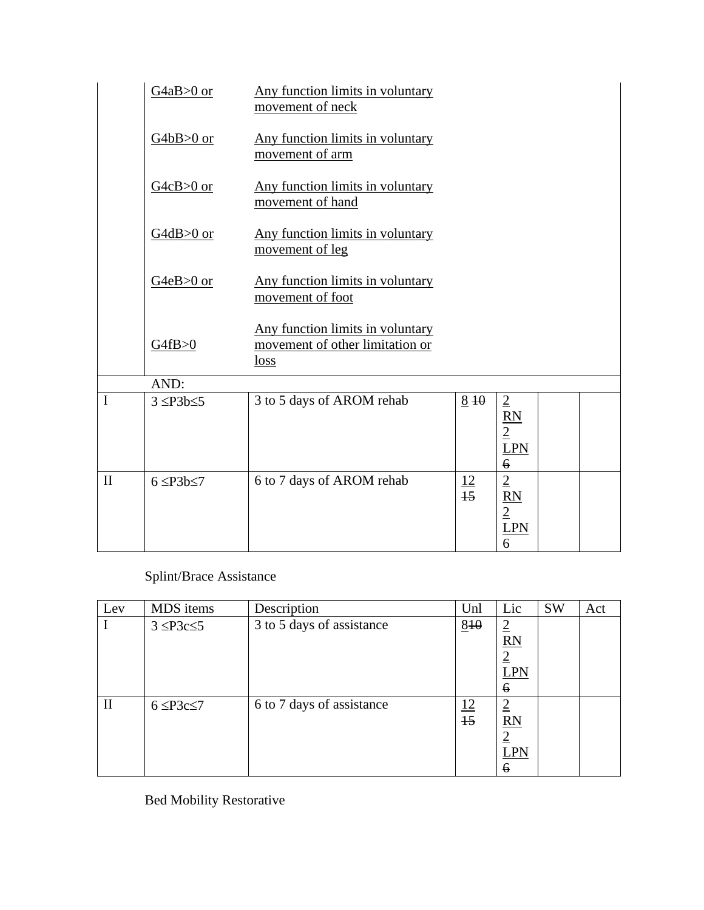|              | $G4aB>0$ or         | Any function limits in voluntary<br>movement of neck                        |                 |                                                                                     |  |
|--------------|---------------------|-----------------------------------------------------------------------------|-----------------|-------------------------------------------------------------------------------------|--|
|              | $G4bB>0$ or         | Any function limits in voluntary<br>movement of arm                         |                 |                                                                                     |  |
|              | $G4cB>0$ or         | Any function limits in voluntary<br>movement of hand                        |                 |                                                                                     |  |
|              | $G4dB>0$ or         | Any function limits in voluntary<br>movement of leg                         |                 |                                                                                     |  |
|              | G4eB>0 or           | Any function limits in voluntary<br>movement of foot                        |                 |                                                                                     |  |
|              | G4fB>0              | Any function limits in voluntary<br>movement of other limitation or<br>loss |                 |                                                                                     |  |
|              | AND:                |                                                                             |                 |                                                                                     |  |
| $\mathbf I$  | $3 \leq P3b \leq 5$ | 3 to 5 days of AROM rehab                                                   | $8 + 10$        | $\overline{2}$<br>$\mathbf{RN}$<br>$\overline{2}$<br><b>LPN</b><br>$\boldsymbol{6}$ |  |
| $\mathbf{I}$ | $6 \leq P3b \leq 7$ | 6 to 7 days of AROM rehab                                                   | $\frac{12}{15}$ | $\overline{2}$<br>$\frac{RN}{2}$ $LPN$<br>6                                         |  |

# Splint/Brace Assistance

| Lev          | MDS items           | Description               | Unl                          | Lic                                                              | <b>SW</b> | Act |
|--------------|---------------------|---------------------------|------------------------------|------------------------------------------------------------------|-----------|-----|
|              | $3 \leq P3c \leq 5$ | 3 to 5 days of assistance | 810                          | $\overline{2}$<br><b>RN</b><br>$\overline{2}$<br><b>LPN</b><br>6 |           |     |
| $\mathbf{I}$ | $6 \leq P3c \leq 7$ | 6 to 7 days of assistance | <u>12</u><br>$\overline{15}$ | $\overline{2}$<br>RN<br>$\overline{2}$<br><b>LPN</b><br>6        |           |     |

Bed Mobility Restorative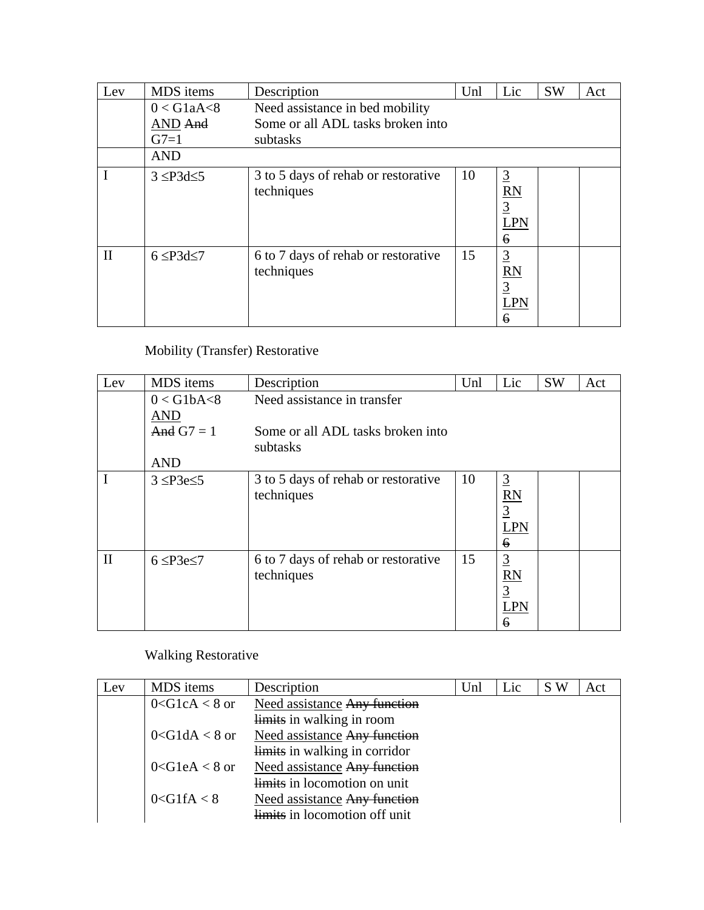| Lev          | MDS items           | Description                                       | Unl | Lic                                                                           | <b>SW</b> | Act |
|--------------|---------------------|---------------------------------------------------|-----|-------------------------------------------------------------------------------|-----------|-----|
|              | $0 <$ G1aA $<$ 8    | Need assistance in bed mobility                   |     |                                                                               |           |     |
|              | AND And             | Some or all ADL tasks broken into                 |     |                                                                               |           |     |
|              | $G7=1$              | subtasks                                          |     |                                                                               |           |     |
|              | <b>AND</b>          |                                                   |     |                                                                               |           |     |
|              | $3 \leq P3d \leq 5$ | 3 to 5 days of rehab or restorative<br>techniques | 10  | $\overline{3}$<br>$\overline{RN}$<br>$\overline{3}$<br><b>LPN</b><br>6        |           |     |
| $\mathbf{I}$ | $6 \leq P3d \leq 7$ | 6 to 7 days of rehab or restorative<br>techniques | 15  | $\overline{3}$<br>$\overline{\text{RN}}$<br>$\overline{3}$<br><b>LPN</b><br>6 |           |     |

# Mobility (Transfer) Restorative

| Lev          | MDS items                      | Description                                       | Unl | Lic                                                                     | <b>SW</b> | Act |
|--------------|--------------------------------|---------------------------------------------------|-----|-------------------------------------------------------------------------|-----------|-----|
|              | $0 <$ G1bA $<$ 8<br><b>AND</b> | Need assistance in transfer                       |     |                                                                         |           |     |
|              | And $G7 = 1$                   | Some or all ADL tasks broken into<br>subtasks     |     |                                                                         |           |     |
|              | <b>AND</b>                     |                                                   |     |                                                                         |           |     |
|              | $3 \leq P3e \leq 5$            | 3 to 5 days of rehab or restorative<br>techniques | 10  | $\overline{3}$<br>R <sub>N</sub><br>$\overline{3}$<br>LPN<br>$\epsilon$ |           |     |
| $\mathbf{I}$ | $6 \leq P3e \leq 7$            | 6 to 7 days of rehab or restorative<br>techniques | 15  | $rac{3}{\cancel{8}}$<br>$rac{1}{\cancel{3}}$<br><b>LPN</b><br>6         |           |     |

# Walking Restorative

| Lev | MDS items           | Description                         | Unl | Lic | S W | Act |
|-----|---------------------|-------------------------------------|-----|-----|-----|-----|
|     | $0 < G1cA < 8$ or   | <b>Need assistance Any function</b> |     |     |     |     |
|     |                     | limits in walking in room           |     |     |     |     |
|     | $0 <$ G1dA $< 8$ or | Need assistance Any function        |     |     |     |     |
|     |                     | limits in walking in corridor       |     |     |     |     |
|     | $0 <$ G1eA < 8 or   | <b>Need assistance Any function</b> |     |     |     |     |
|     |                     | limits in locomotion on unit        |     |     |     |     |
|     | $0 <$ G1fA $< 8$    | Need assistance Any function        |     |     |     |     |
|     |                     | limits in locomotion off unit       |     |     |     |     |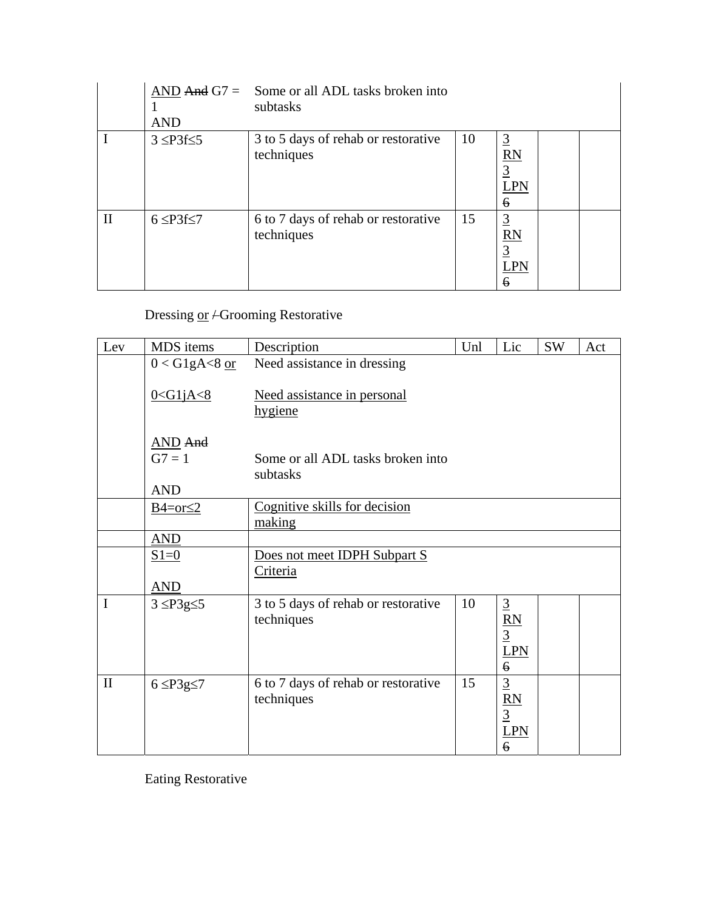|              | <b>AND</b>          | $AND And G7 = Some or all ADL tasks broken into$<br>subtasks |     |                                                           |  |
|--------------|---------------------|--------------------------------------------------------------|-----|-----------------------------------------------------------|--|
|              | $3 \leq P3f \leq 5$ | 3 to 5 days of rehab or restorative<br>techniques            | -10 | $\overline{3}$<br>RN<br>$\overline{3}$<br>LPN<br>6        |  |
| $\mathbf{I}$ | $6 \leq P3f \leq 7$ | 6 to 7 days of rehab or restorative<br>techniques            | 15  | $\overline{3}$<br><b>RN</b><br>$\overline{3}$<br>LPN<br>6 |  |

# Dressing or - Grooming Restorative

| Lev          | MDS items                                | Description                                       | Unl | Lic                                                              | SW | Act |
|--------------|------------------------------------------|---------------------------------------------------|-----|------------------------------------------------------------------|----|-----|
|              | $0 <$ G1gA $<$ 8 or                      | Need assistance in dressing                       |     |                                                                  |    |     |
|              | $0 <$ G1jA $<$ 8                         | Need assistance in personal<br>hygiene            |     |                                                                  |    |     |
|              | <b>AND</b> And<br>$G7 = 1$<br><b>AND</b> | Some or all ADL tasks broken into<br>subtasks     |     |                                                                  |    |     |
|              | $B4=or \leq 2$                           | Cognitive skills for decision<br>making           |     |                                                                  |    |     |
|              | <b>AND</b>                               |                                                   |     |                                                                  |    |     |
|              | $S1=0$                                   | Does not meet IDPH Subpart S                      |     |                                                                  |    |     |
|              |                                          | Criteria                                          |     |                                                                  |    |     |
|              | AND                                      |                                                   |     |                                                                  |    |     |
| $\mathbf I$  | $3 \leq P3g \leq 5$                      | 3 to 5 days of rehab or restorative<br>techniques | 10  | $\overline{3}$<br>$\frac{RN}{3}$<br><b>LPN</b><br>$\overline{6}$ |    |     |
| $\mathbf{I}$ | $6 \leq P3g \leq 7$                      | 6 to 7 days of rehab or restorative<br>techniques | 15  | $\overline{3}$<br>RN<br>$\overline{3}$<br>LPN<br>$\ddot{\theta}$ |    |     |

Eating Restorative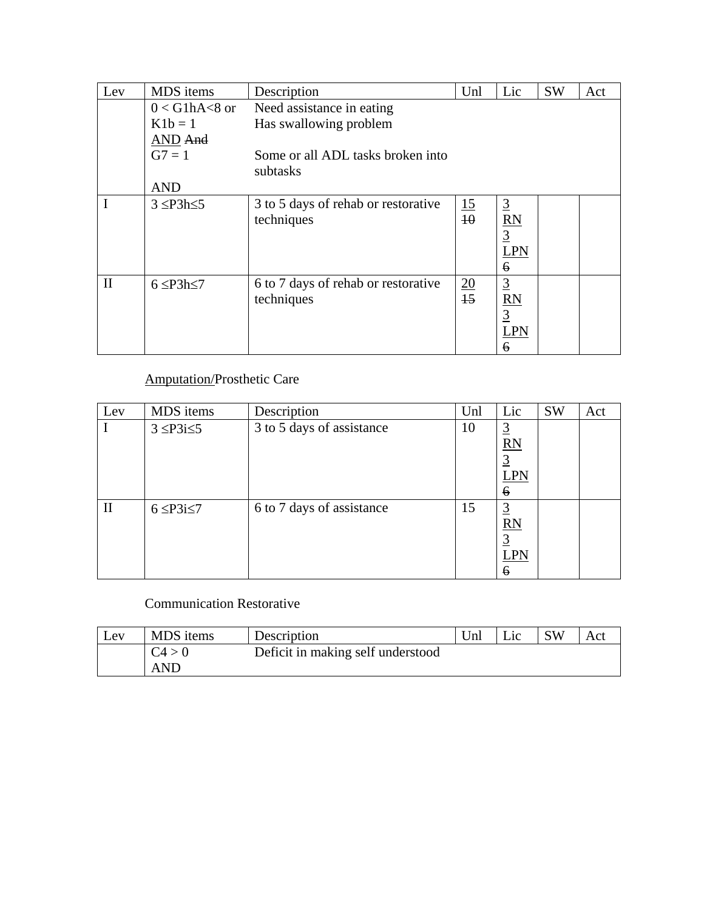| Lev          | MDS items           | Description                                       | Unl             | Lic                                                              | <b>SW</b> | Act |
|--------------|---------------------|---------------------------------------------------|-----------------|------------------------------------------------------------------|-----------|-----|
|              | $0 <$ G1hA $<$ 8 or | Need assistance in eating                         |                 |                                                                  |           |     |
|              | $K1b=1$             | Has swallowing problem                            |                 |                                                                  |           |     |
|              | AND And             |                                                   |                 |                                                                  |           |     |
|              | $G7 = 1$            | Some or all ADL tasks broken into                 |                 |                                                                  |           |     |
|              |                     | subtasks                                          |                 |                                                                  |           |     |
|              | <b>AND</b>          |                                                   |                 |                                                                  |           |     |
| $\mathbf I$  | $3 \leq P3h \leq 5$ | 3 to 5 days of rehab or restorative<br>techniques | $\frac{15}{40}$ | $\overline{3}$<br>$\frac{RN}{3}$<br><b>LPN</b><br>6              |           |     |
| $\mathbf{I}$ | $6 \leq P3h \leq 7$ | 6 to 7 days of rehab or restorative<br>techniques | $\frac{20}{15}$ | $\underline{3}$<br>$\overline{RN}$<br>$\overline{3}$<br>LPN<br>6 |           |     |

### Amputation/Prosthetic Care

| Lev          | MDS items           | Description               | Unl | Lic                                                                | <b>SW</b> | Act |
|--------------|---------------------|---------------------------|-----|--------------------------------------------------------------------|-----------|-----|
|              | $3 \leq P3i \leq 5$ | 3 to 5 days of assistance | 10  | $\overline{3}$<br>RN<br>$\overline{3}$<br><b>LPN</b><br>6          |           |     |
| $\mathbf{I}$ | $6 \leq P3i \leq 7$ | 6 to 7 days of assistance | 15  | $\overline{3}$<br>RN<br>$\overline{3}$<br><b>LPN</b><br>$\epsilon$ |           |     |

### Communication Restorative

| Lev | MDS items  | Description                       | Unl | Lic | <b>SW</b> | Act |
|-----|------------|-----------------------------------|-----|-----|-----------|-----|
|     | C4 > 0     | Deficit in making self understood |     |     |           |     |
|     | <b>AND</b> |                                   |     |     |           |     |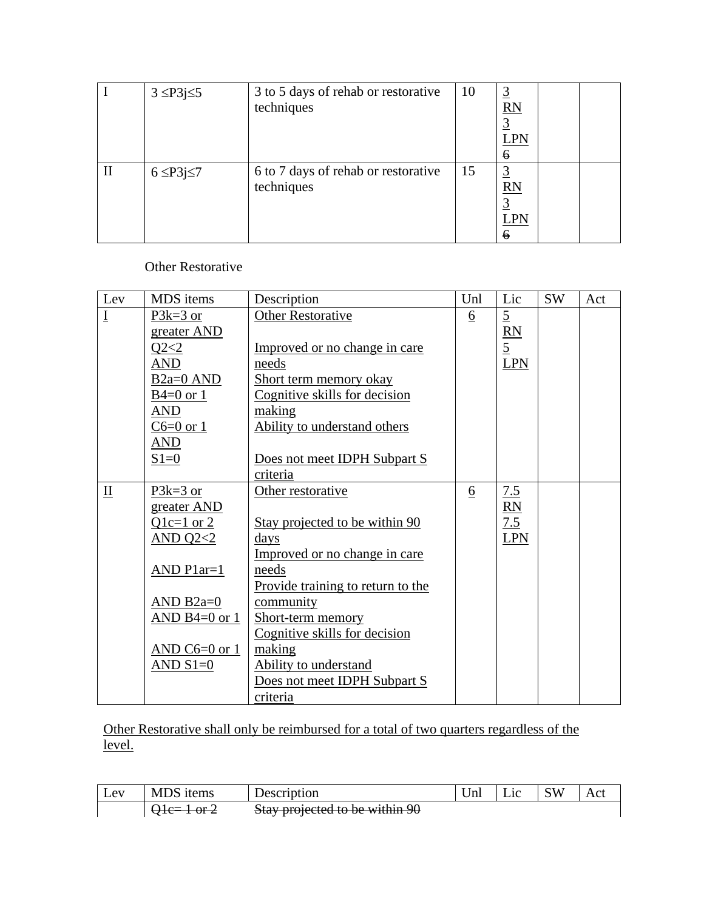|              | $3 \leq P3j \leq 5$ | 3 to 5 days of rehab or restorative<br>techniques | <b>10</b> | $\overline{3}$<br>RN<br><b>LPN</b><br>6             |
|--------------|---------------------|---------------------------------------------------|-----------|-----------------------------------------------------|
| $\mathbf{I}$ | $6 \leq P3j \leq 7$ | 6 to 7 days of rehab or restorative<br>techniques | 15        | <u>3</u><br>RN<br>$\overline{3}$<br><b>LPN</b><br>6 |

Other Restorative

| Lev                       | MDS items              | Description                       | Unl             | Lic            | SW | Act |
|---------------------------|------------------------|-----------------------------------|-----------------|----------------|----|-----|
| $\underline{\mathrm{I}}$  | $P3k=3$ or             | <b>Other Restorative</b>          | $\underline{6}$ | $\overline{5}$ |    |     |
|                           | greater AND            |                                   |                 | RN             |    |     |
|                           | Q2 < 2                 | Improved or no change in care     |                 | $\overline{5}$ |    |     |
|                           | <b>AND</b>             | needs                             |                 | <b>LPN</b>     |    |     |
|                           | B <sub>2a</sub> =0 AND | Short term memory okay            |                 |                |    |     |
|                           | $B4=0$ or 1            | Cognitive skills for decision     |                 |                |    |     |
|                           | AND                    | making                            |                 |                |    |     |
|                           | $C6=0$ or 1            | Ability to understand others      |                 |                |    |     |
|                           | AND                    |                                   |                 |                |    |     |
|                           | $S1=0$                 | Does not meet IDPH Subpart S      |                 |                |    |     |
|                           |                        | criteria                          |                 |                |    |     |
| $\mathbf{\underline{II}}$ | $P3k=3$ or             | Other restorative                 | $\underline{6}$ | 7.5            |    |     |
|                           | greater AND            |                                   |                 | RN             |    |     |
|                           | $Q1c=1$ or 2           | Stay projected to be within 90    |                 | 7.5            |    |     |
|                           | AND $Q2<2$             | days                              |                 | <b>LPN</b>     |    |     |
|                           |                        | Improved or no change in care     |                 |                |    |     |
|                           | AND $Plar=1$           | needs                             |                 |                |    |     |
|                           |                        | Provide training to return to the |                 |                |    |     |
|                           | AND $B2a=0$            | community                         |                 |                |    |     |
|                           | AND B4= $0$ or $1$     | Short-term memory                 |                 |                |    |     |
|                           |                        | Cognitive skills for decision     |                 |                |    |     |
|                           | AND C6=0 or $1$        | making                            |                 |                |    |     |
|                           | AND $S1=0$             | Ability to understand             |                 |                |    |     |
|                           |                        | Does not meet IDPH Subpart S      |                 |                |    |     |
|                           |                        | criteria                          |                 |                |    |     |

Other Restorative shall only be reimbursed for a total of two quarters regardless of the level.

| LeV | <b>MDS</b><br><sub>1</sub> tems | Description                                                                | Inl | $\mathbf{L}$ ic | SW | Act |
|-----|---------------------------------|----------------------------------------------------------------------------|-----|-----------------|----|-----|
|     | $\sim$<br>TUTZ                  | 00 aidtiw od at botooran vet?<br><del>olay projected to be within 20</del> |     |                 |    |     |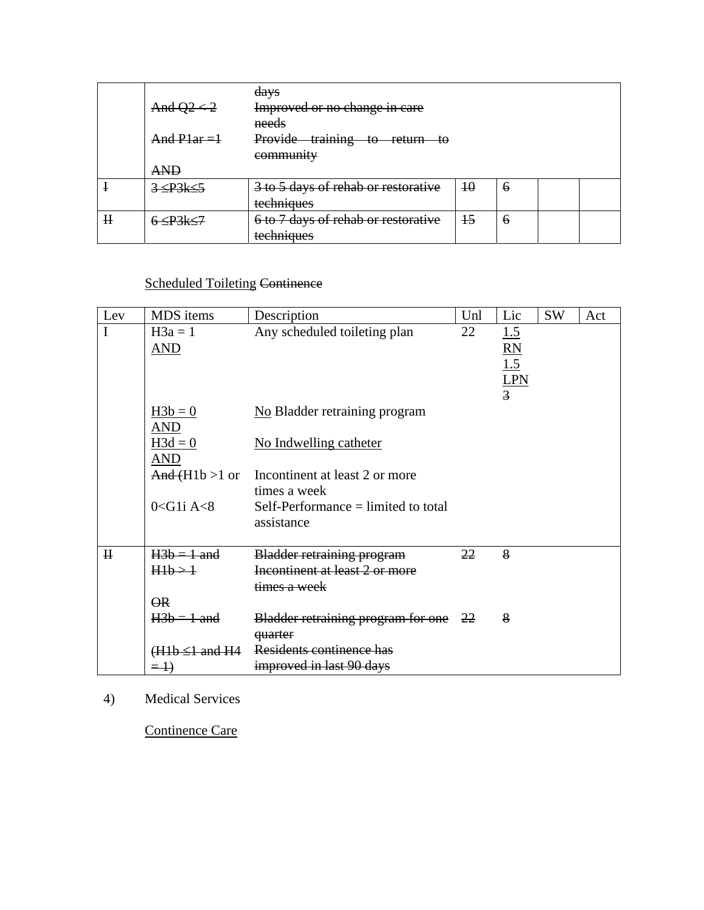|             |                           | <del>days</del>                        |    |   |  |
|-------------|---------------------------|----------------------------------------|----|---|--|
|             | And $Q2 < 2$              | Improved or no change in care          |    |   |  |
|             |                           | needs                                  |    |   |  |
|             | $And$ P <sub>1</sub> ar = | Provide<br>training<br>to return<br>ŧθ |    |   |  |
|             |                           | community                              |    |   |  |
|             | <b>AND</b>                |                                        |    |   |  |
|             | $3 \leq P3k \leq 5$       | 3 to 5 days of rehab or restorative    | 40 | 6 |  |
|             |                           | techniques                             |    |   |  |
| $\mathbf H$ |                           | 6 to 7 days of rehab or restorative    | 15 | 6 |  |
|             |                           | techniques                             |    |   |  |

# Scheduled Toileting Continence

| Lev         | MDS items                | Description                           | Unl | Lic             | <b>SW</b> | Act |
|-------------|--------------------------|---------------------------------------|-----|-----------------|-----------|-----|
| I           | $H3a = 1$                | Any scheduled toileting plan          | 22  | 1.5             |           |     |
|             | AND                      |                                       |     | $\overline{RN}$ |           |     |
|             |                          |                                       |     | 1.5             |           |     |
|             |                          |                                       |     | <b>LPN</b>      |           |     |
|             |                          |                                       |     | $\overline{3}$  |           |     |
|             | $H3b = 0$                | No Bladder retraining program         |     |                 |           |     |
|             | AND                      |                                       |     |                 |           |     |
|             | $H3d = 0$                | No Indwelling catheter                |     |                 |           |     |
|             | AND                      |                                       |     |                 |           |     |
|             | And(H1b > 1 or           | Incontinent at least 2 or more        |     |                 |           |     |
|             |                          | times a week                          |     |                 |           |     |
|             | $0 <$ G1i A $<$ 8        | $Self-Performance = limited to total$ |     |                 |           |     |
|             |                          | assistance                            |     |                 |           |     |
| $\mathbf H$ | $H3b = 1$ and            | <b>Bladder retraining program</b>     | 22  | 8               |           |     |
|             | $H1b \rightarrow 1$      | Incontinent at least 2 or more        |     |                 |           |     |
|             |                          | times a week                          |     |                 |           |     |
|             | $\overline{\mathsf{OR}}$ |                                       |     |                 |           |     |
|             | $H3b = 1$ and            | Bladder retraining program for one 22 |     | 8               |           |     |
|             |                          |                                       |     |                 |           |     |
|             |                          | quarter<br>Residents continence has   |     |                 |           |     |
|             | $(H1b \leq 1$ and $H4$   |                                       |     |                 |           |     |
|             | $\equiv$ $\rightarrow$   | improved in last 90 days              |     |                 |           |     |

### 4) Medical Services

Continence Care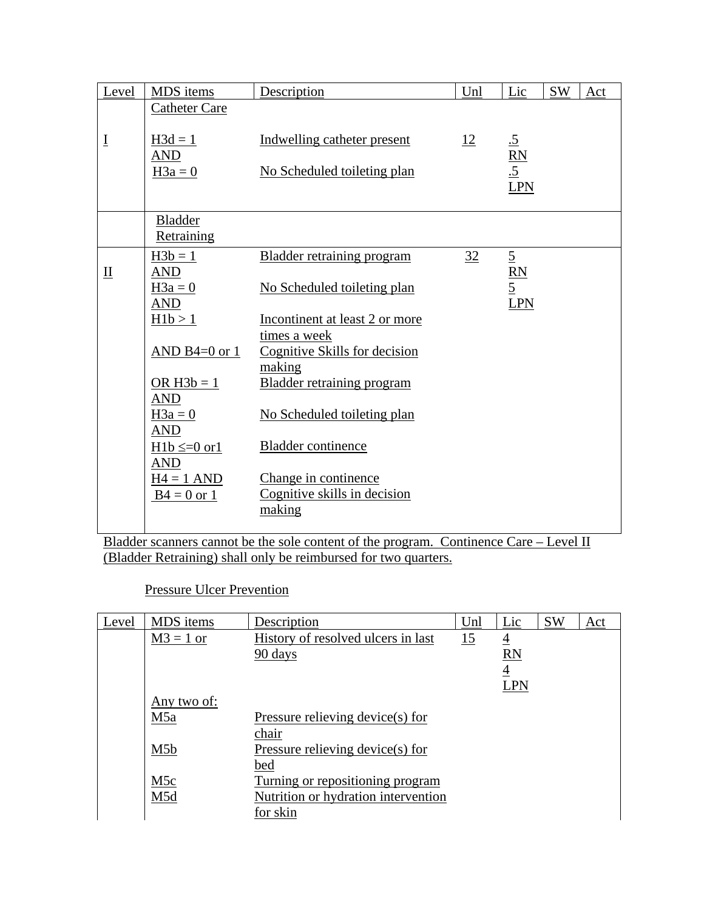| Level                       | MDS items                    | Description                             | Unl | Lic                            | <b>SW</b> | Act |
|-----------------------------|------------------------------|-----------------------------------------|-----|--------------------------------|-----------|-----|
|                             | <b>Catheter Care</b>         |                                         |     |                                |           |     |
| $\underline{\underline{I}}$ | $H3d = 1$<br><b>AND</b>      | Indwelling catheter present             | 12  | $rac{.5}{.5}$<br>$rac{.5}{.5}$ |           |     |
|                             | $H3a = 0$                    | No Scheduled toileting plan             |     | LPN                            |           |     |
|                             |                              |                                         |     |                                |           |     |
|                             | <b>Bladder</b><br>Retraining |                                         |     |                                |           |     |
|                             | $H3b = 1$                    | <b>Bladder retraining program</b>       | 32  | $rac{5}{\underline{R}N}$       |           |     |
| $\mathbf{\underline{II}}$   | <b>AND</b>                   |                                         |     |                                |           |     |
|                             | $H3a = 0$<br><b>AND</b>      | No Scheduled toileting plan             |     |                                |           |     |
|                             | H1b > 1                      | Incontinent at least 2 or more          |     | LPN                            |           |     |
|                             |                              | times a week                            |     |                                |           |     |
|                             | AND B4= $0$ or 1             | Cognitive Skills for decision<br>making |     |                                |           |     |
|                             | OR $H3b = 1$<br><b>AND</b>   | <b>Bladder retraining program</b>       |     |                                |           |     |
|                             | $H3a = 0$<br><b>AND</b>      | No Scheduled toileting plan             |     |                                |           |     |
|                             | $H1b \leq 0$ or 1            | <b>Bladder</b> continence               |     |                                |           |     |
|                             | <b>AND</b><br>$H4 = 1$ AND   | Change in continence                    |     |                                |           |     |
|                             | $B4 = 0$ or 1                | Cognitive skills in decision            |     |                                |           |     |
|                             |                              | making                                  |     |                                |           |     |

Bladder scanners cannot be the sole content of the program. Continence Care – Level II (Bladder Retraining) shall only be reimbursed for two quarters.

#### Pressure Ulcer Prevention

| Level | MDS items        | Description                         | Unl       | Lic            | <b>SW</b> | Act |
|-------|------------------|-------------------------------------|-----------|----------------|-----------|-----|
|       | $M3 = 1$ or      | History of resolved ulcers in last  | <u>15</u> | $\overline{4}$ |           |     |
|       |                  | 90 days                             |           | <b>RN</b>      |           |     |
|       |                  |                                     |           | $\overline{4}$ |           |     |
|       |                  |                                     |           | <b>LPN</b>     |           |     |
|       | Any two of:      |                                     |           |                |           |     |
|       | M <sub>5</sub> a | Pressure relieving device(s) for    |           |                |           |     |
|       |                  | chair                               |           |                |           |     |
|       | M <sub>5</sub> b | Pressure relieving device(s) for    |           |                |           |     |
|       |                  | bed                                 |           |                |           |     |
|       | M <sub>5</sub> c | Turning or repositioning program    |           |                |           |     |
|       | M <sub>5</sub> d | Nutrition or hydration intervention |           |                |           |     |
|       |                  | for skin                            |           |                |           |     |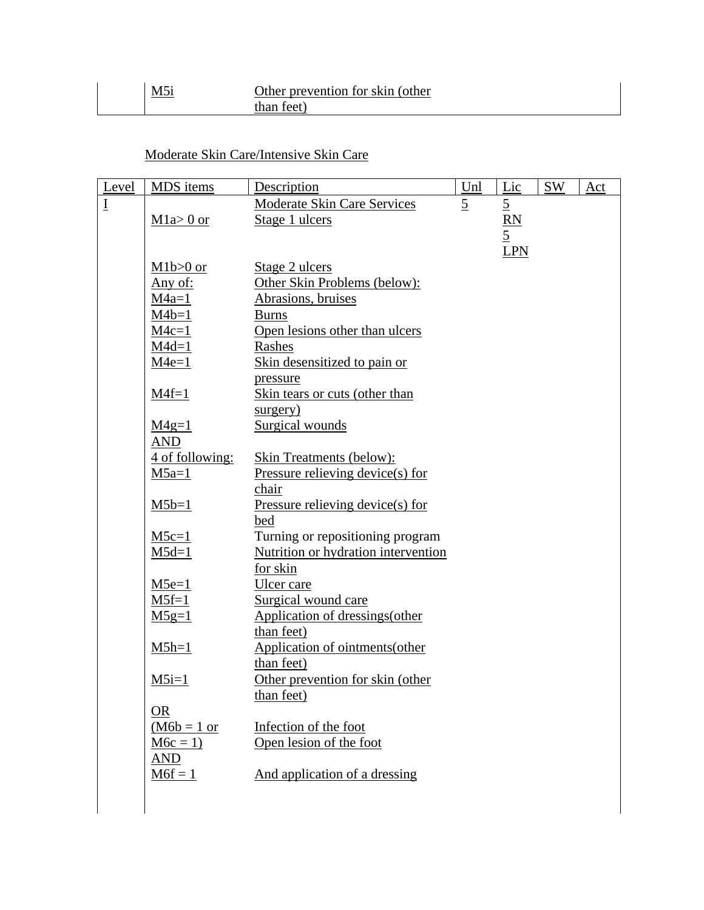# Moderate Skin Care/Intensive Skin Care

| Level                       | MDS items       | Description                                           | Unl            | Lic             | <b>SW</b> | Act |
|-----------------------------|-----------------|-------------------------------------------------------|----------------|-----------------|-----------|-----|
| $\underline{\underline{I}}$ |                 | Moderate Skin Care Services                           | $\overline{5}$ | $\overline{5}$  |           |     |
|                             | $M1a>0$ or      | Stage 1 ulcers                                        |                | $\overline{RN}$ |           |     |
|                             |                 |                                                       |                | $\overline{5}$  |           |     |
|                             |                 |                                                       |                | LPN             |           |     |
|                             | $M1b>0$ or      | Stage 2 ulcers                                        |                |                 |           |     |
|                             | Any of:         | Other Skin Problems (below):                          |                |                 |           |     |
|                             | $M4a=1$         | Abrasions, bruises                                    |                |                 |           |     |
|                             | $M4b=1$         | <b>Burns</b>                                          |                |                 |           |     |
|                             | $M4c=1$         | Open lesions other than ulcers                        |                |                 |           |     |
|                             | $M4d=1$         | Rashes                                                |                |                 |           |     |
|                             | $M4e=1$         | Skin desensitized to pain or                          |                |                 |           |     |
|                             |                 | pressure                                              |                |                 |           |     |
|                             | $M4f=1$         | Skin tears or cuts (other than                        |                |                 |           |     |
|                             |                 | surgery)                                              |                |                 |           |     |
|                             | $M4g=1$         | Surgical wounds                                       |                |                 |           |     |
|                             | <b>AND</b>      |                                                       |                |                 |           |     |
|                             | 4 of following: | <b>Skin Treatments (below):</b>                       |                |                 |           |     |
|                             | $M5a=1$         | Pressure relieving device(s) for                      |                |                 |           |     |
|                             |                 | chair                                                 |                |                 |           |     |
|                             | $M5b=1$         | Pressure relieving device(s) for                      |                |                 |           |     |
|                             |                 | bed                                                   |                |                 |           |     |
|                             | $M5c=1$         | Turning or repositioning program                      |                |                 |           |     |
|                             | $M5d=1$         | Nutrition or hydration intervention                   |                |                 |           |     |
|                             |                 | for skin                                              |                |                 |           |     |
|                             | $M5e=1$         | Ulcer care                                            |                |                 |           |     |
|                             | $M5f=1$         | Surgical wound care<br>Application of dressings(other |                |                 |           |     |
|                             | $M5g=1$         | than feet)                                            |                |                 |           |     |
|                             | $M5h=1$         | Application of ointments(other                        |                |                 |           |     |
|                             |                 | than feet)                                            |                |                 |           |     |
|                             | $M5i=1$         | Other prevention for skin (other                      |                |                 |           |     |
|                             |                 | than feet)                                            |                |                 |           |     |
|                             | <b>OR</b>       |                                                       |                |                 |           |     |
|                             | $(M6b = 1$ or   | Infection of the foot                                 |                |                 |           |     |
|                             | $M6c = 1$       | Open lesion of the foot                               |                |                 |           |     |
|                             | <b>AND</b>      |                                                       |                |                 |           |     |
|                             | $M6f = 1$       | And application of a dressing                         |                |                 |           |     |
|                             |                 |                                                       |                |                 |           |     |
|                             |                 |                                                       |                |                 |           |     |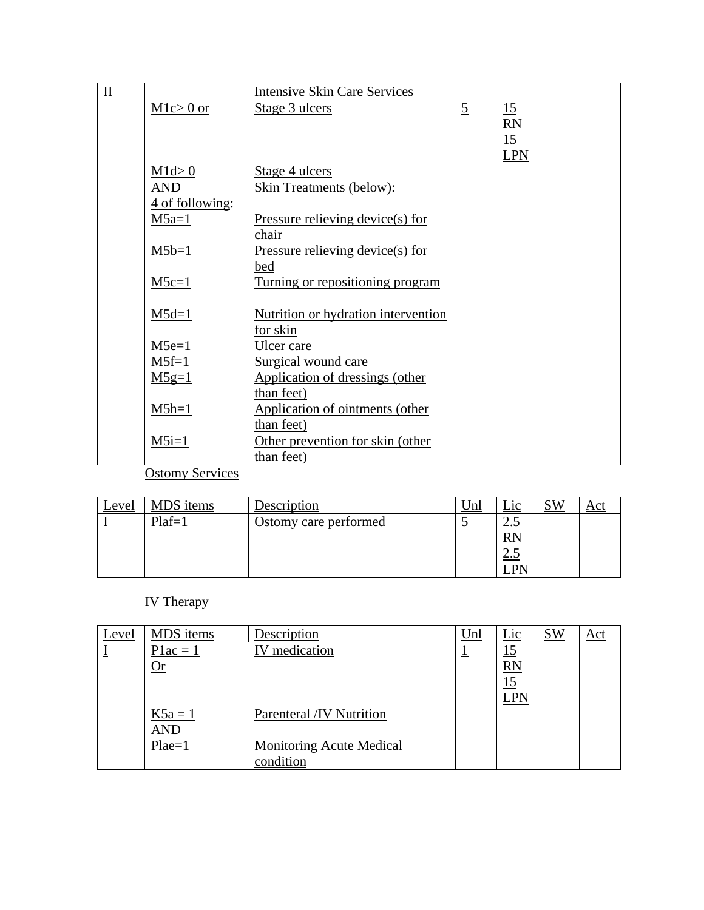| $\rm II$ |                         | <b>Intensive Skin Care Services</b> |                |                 |
|----------|-------------------------|-------------------------------------|----------------|-----------------|
|          | $Mlc > 0$ or            | Stage 3 ulcers                      | $\overline{5}$ | 15              |
|          |                         |                                     |                | $\frac{RN}{15}$ |
|          |                         |                                     |                |                 |
|          |                         |                                     |                | <b>LPN</b>      |
|          | M1d > 0                 | Stage 4 ulcers                      |                |                 |
|          | AND                     | <b>Skin Treatments (below):</b>     |                |                 |
|          | 4 of following:         |                                     |                |                 |
|          | $M5a=1$                 | Pressure relieving device(s) for    |                |                 |
|          |                         | chair                               |                |                 |
|          | $M5b=1$                 | Pressure relieving device(s) for    |                |                 |
|          |                         | bed                                 |                |                 |
|          | $M5c=1$                 | Turning or repositioning program    |                |                 |
|          |                         |                                     |                |                 |
|          | $M5d=1$                 | Nutrition or hydration intervention |                |                 |
|          |                         | for skin                            |                |                 |
|          | $M5e=1$                 | Ulcer care                          |                |                 |
|          | $M5f=1$                 | Surgical wound care                 |                |                 |
|          | $M5g=1$                 | Application of dressings (other     |                |                 |
|          |                         | than feet)                          |                |                 |
|          | $M5h=1$                 | Application of ointments (other     |                |                 |
|          |                         | than feet)                          |                |                 |
|          | $M5i=1$                 | Other prevention for skin (other    |                |                 |
|          | $\sim$<br>$\sim$ $\sim$ | than feet)                          |                |                 |

**Ostomy Services** 

| <u>Level</u> | MDS items | Description           | Unl         | 10                       | <b>SW</b> |  |
|--------------|-----------|-----------------------|-------------|--------------------------|-----------|--|
|              | $Plaf=$   | Ostomy care performed | $\tilde{ }$ | <u>ت ، ب</u>             |           |  |
|              |           |                       |             | <b>RN</b>                |           |  |
|              |           |                       |             | $\sim$<br>$\overline{v}$ |           |  |
|              |           |                       |             | DN.                      |           |  |

### IV Therapy

| Level | MDS items  | Description                     | Unl | Lic        | <b>SW</b> | Act |
|-------|------------|---------------------------------|-----|------------|-----------|-----|
|       | $Plac = 1$ | medication<br>IV.               | ᅩ   | <u> 15</u> |           |     |
|       | $\Omega$ r |                                 |     | RN         |           |     |
|       |            |                                 |     | 15         |           |     |
|       |            |                                 |     | <b>LPN</b> |           |     |
|       | $K5a = 1$  | Parenteral /IV Nutrition        |     |            |           |     |
|       | AND        |                                 |     |            |           |     |
|       | $Place=1$  | <b>Monitoring Acute Medical</b> |     |            |           |     |
|       |            | condition                       |     |            |           |     |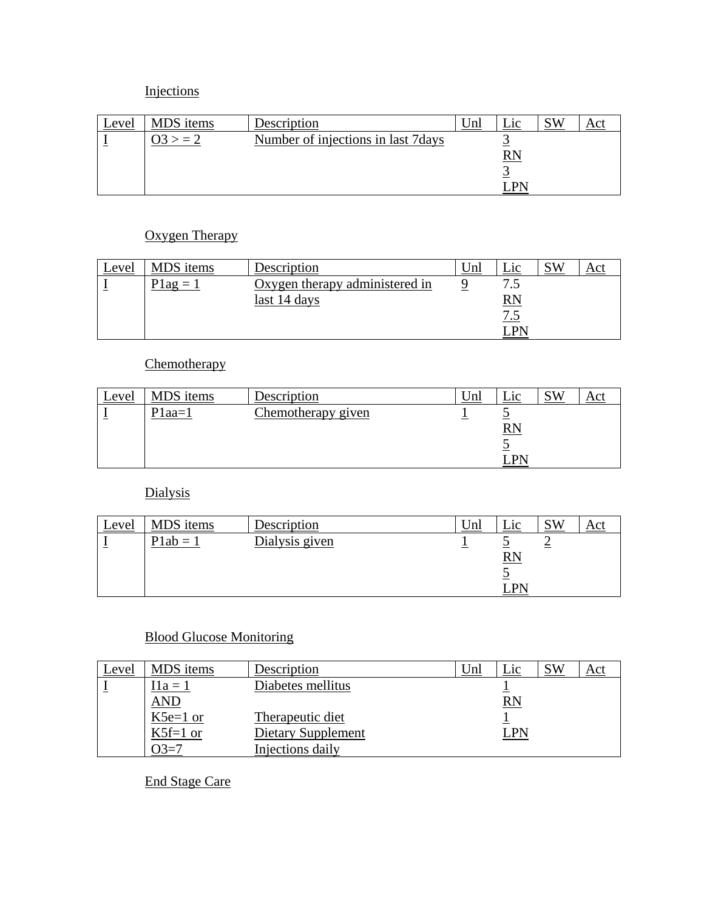# Injections

| Level | MDS items | Description                         | $\Box$ 10 |  |
|-------|-----------|-------------------------------------|-----------|--|
|       |           | Number of injections in last 7 days |           |  |
|       |           |                                     | RN        |  |
|       |           |                                     |           |  |
|       |           |                                     |           |  |

# Oxygen Therapy

| <u>Level</u> | MDS items        | Description                    | Unl | $1^\circ$                 | SW |  |
|--------------|------------------|--------------------------------|-----|---------------------------|----|--|
|              | $1a\mathbf{g} =$ | Oxygen therapy administered in |     | ت                         |    |  |
|              |                  | last 14 days                   |     | $\mathbf{RN}$             |    |  |
|              |                  |                                |     | $\mathbf{r}$<br>$\cdot$ . |    |  |
|              |                  |                                |     | <b>DN</b>                 |    |  |

### **Chemotherapy**

| <u>Level</u> | MDS items | Description        | ∪nl | _1C             | <b>SW</b> |  |
|--------------|-----------|--------------------|-----|-----------------|-----------|--|
|              | $Plaa=1$  | Chemotherapy given |     |                 |           |  |
|              |           |                    |     | $\overline{RN}$ |           |  |
|              |           |                    |     |                 |           |  |
|              |           |                    |     | ∵ PN            |           |  |

# Dialysis

| $c$ evel                 | MDS items | Description    | Unl |                 | SW |  |
|--------------------------|-----------|----------------|-----|-----------------|----|--|
| $\overline{\phantom{0}}$ | $P1ab =$  | Dialysis given |     |                 |    |  |
|                          |           |                |     | $\overline{RN}$ |    |  |
|                          |           |                |     |                 |    |  |
|                          |           |                |     | DМ              |    |  |

### Blood Glucose Monitoring

| Level | MDS items  | Description               | Unl | Lic        | <b>SW</b> | Act |
|-------|------------|---------------------------|-----|------------|-----------|-----|
|       | $[1a = 1]$ | Diabetes mellitus         |     |            |           |     |
|       | <b>AND</b> |                           |     | <b>RN</b>  |           |     |
|       | K5e=1 or   | Therapeutic diet          |     |            |           |     |
|       | $K5f=1$ or | <b>Dietary Supplement</b> |     | <b>LPN</b> |           |     |
|       | $J3=7$     | Injections daily          |     |            |           |     |

End Stage Care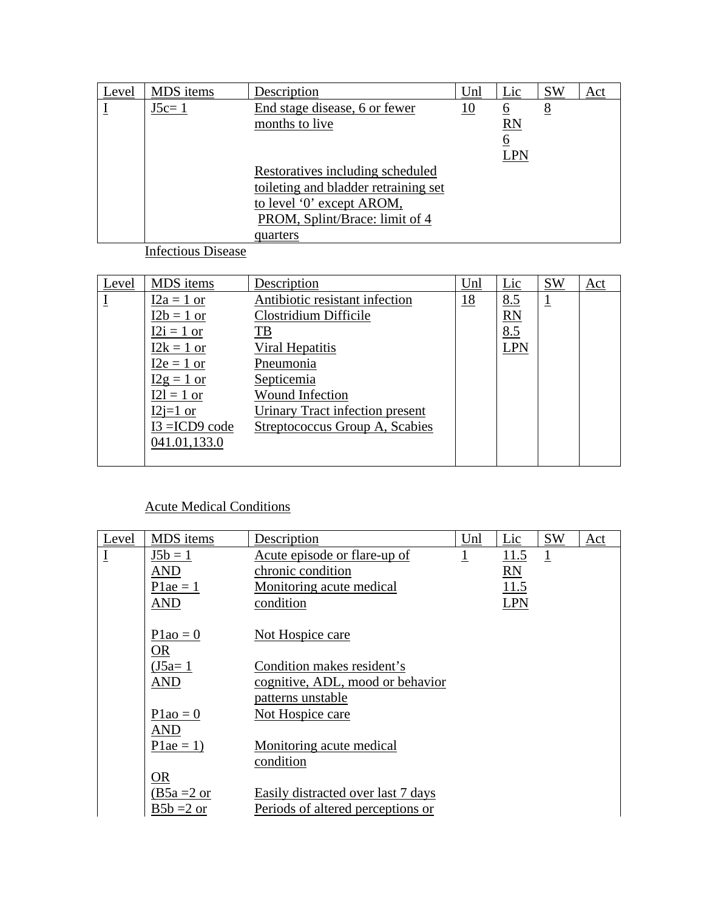| Level | MDS items | Description                          | Unl | Lic       | <b>SW</b> | Act |
|-------|-----------|--------------------------------------|-----|-----------|-----------|-----|
|       | $J5c=1$   | End stage disease, 6 or fewer        | 10  | <u>6</u>  | 8         |     |
|       |           | months to live                       |     | <b>RN</b> |           |     |
|       |           |                                      |     | 6         |           |     |
|       |           |                                      |     | LPN       |           |     |
|       |           | Restoratives including scheduled     |     |           |           |     |
|       |           | toileting and bladder retraining set |     |           |           |     |
|       |           | to level '0' except AROM,            |     |           |           |     |
|       |           | PROM, Splint/Brace: limit of 4       |     |           |           |     |
|       |           | quarters                             |     |           |           |     |

Infectious Disease

| Level | MDS items        | Description                     | Unl       | Lic        | <b>SW</b>      | Act |
|-------|------------------|---------------------------------|-----------|------------|----------------|-----|
|       | $I2a = 1$ or     | Antibiotic resistant infection  | <u>18</u> | 8.5        | $\overline{1}$ |     |
|       | $I2b = 1$ or     | Clostridium Difficile           |           | <b>RN</b>  |                |     |
|       | $I2i = 1$ or     | T <sub>B</sub>                  |           | 8.5        |                |     |
|       | $12k = 1$ or     | Viral Hepatitis                 |           | <b>LPN</b> |                |     |
|       | $I2e = 1$ or     | Pneumonia                       |           |            |                |     |
|       | $I2g = 1$ or     | Septicemia                      |           |            |                |     |
|       | $I2l = 1$ or     | <b>Wound Infection</b>          |           |            |                |     |
|       | $I2j=1$ or       | Urinary Tract infection present |           |            |                |     |
|       | $I3 = ICD9 code$ | Streptococcus Group A, Scabies  |           |            |                |     |
|       | 041.01,133.0     |                                 |           |            |                |     |
|       |                  |                                 |           |            |                |     |

### Acute Medical Conditions

| Level                       | MDS items            | Description                        | Unl            | Lic        | <b>SW</b>               | Act |
|-----------------------------|----------------------|------------------------------------|----------------|------------|-------------------------|-----|
| $\underline{\underline{I}}$ | $J5b = 1$            | Acute episode or flare-up of       | $\overline{1}$ | 11.5       | $\overline{\mathbb{1}}$ |     |
|                             | <b>AND</b>           | chronic condition                  |                | <b>RN</b>  |                         |     |
|                             | $P1ae = 1$           | Monitoring acute medical           |                | 11.5       |                         |     |
|                             | <b>AND</b>           | condition                          |                | <b>LPN</b> |                         |     |
|                             | $P1a0 = 0$<br>OR     | Not Hospice care                   |                |            |                         |     |
|                             | $(J5a=1)$            | Condition makes resident's         |                |            |                         |     |
|                             | <b>AND</b>           | cognitive, ADL, mood or behavior   |                |            |                         |     |
|                             |                      | patterns unstable                  |                |            |                         |     |
|                             | $P1a0 = 0$           | Not Hospice care                   |                |            |                         |     |
|                             | <b>AND</b>           |                                    |                |            |                         |     |
|                             | $P1ae = 1$           | Monitoring acute medical           |                |            |                         |     |
|                             |                      | condition                          |                |            |                         |     |
|                             | <b>OR</b>            |                                    |                |            |                         |     |
|                             | $(B5a=2 \text{ or }$ | Easily distracted over last 7 days |                |            |                         |     |
|                             | $B5b = 2$ or         | Periods of altered perceptions or  |                |            |                         |     |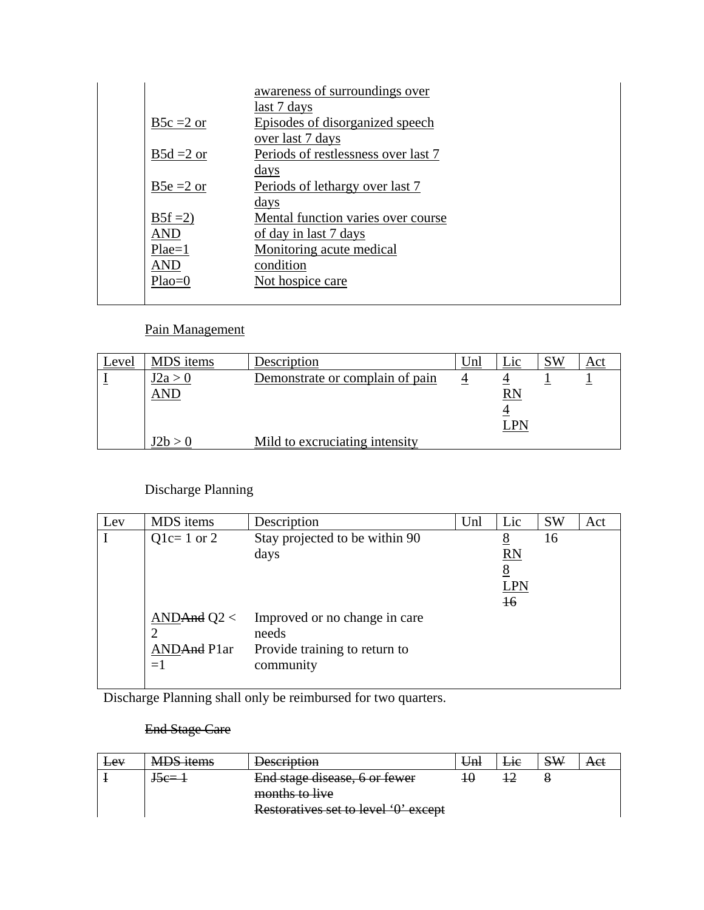|              | awareness of surroundings over      |
|--------------|-------------------------------------|
|              | last 7 days                         |
| $B5c = 2$ or | Episodes of disorganized speech     |
|              | over last 7 days                    |
| $B5d = 2$ or | Periods of restlessness over last 7 |
|              | days                                |
| $B5e = 2$ or | Periods of lethargy over last 7     |
|              | days                                |
| $B5f = 2$    | Mental function varies over course  |
| <b>AND</b>   | of day in last 7 days               |
| $Place=1$    | Monitoring acute medical            |
| <b>AND</b>   | condition                           |
| $Plao=0$     | Not hospice care                    |
|              |                                     |

### Pain Management

| Level | MDS items | Description                     | Jnl | _1C  | <b>SW</b> | Act |
|-------|-----------|---------------------------------|-----|------|-----------|-----|
|       | I2a > 0   | Demonstrate or complain of pain |     |      |           |     |
|       | AND       |                                 |     | RN   |           |     |
|       |           |                                 |     |      |           |     |
|       |           |                                 |     | I PN |           |     |
|       |           | Mild to excruciating intensity  |     |      |           |     |

# Discharge Planning

| Lev | MDS items                                  | Description                                                                          | Unl | Lic                                                         | <b>SW</b> | Act |
|-----|--------------------------------------------|--------------------------------------------------------------------------------------|-----|-------------------------------------------------------------|-----------|-----|
|     | $Q1c=1$ or 2                               | Stay projected to be within 90<br>days                                               |     | <u>8</u><br><b>RN</b><br>8<br><b>LPN</b><br>$\overline{16}$ | 16        |     |
|     | AND And $Q2 <$<br>2<br>ANDAnd Plar<br>$=1$ | Improved or no change in care<br>needs<br>Provide training to return to<br>community |     |                                                             |           |     |

Discharge Planning shall only be reimbursed for two quarters.

#### End Stage Care

| Lev | <b>MDS</b> items | <b>Description</b>                   | Uml | He | <b>SW</b> | Aet |
|-----|------------------|--------------------------------------|-----|----|-----------|-----|
|     | $J5e=1$          | End stage disease, 6 or fewer        |     |    |           |     |
|     |                  | months to live                       |     |    |           |     |
|     |                  | Restoratives set to level '0' except |     |    |           |     |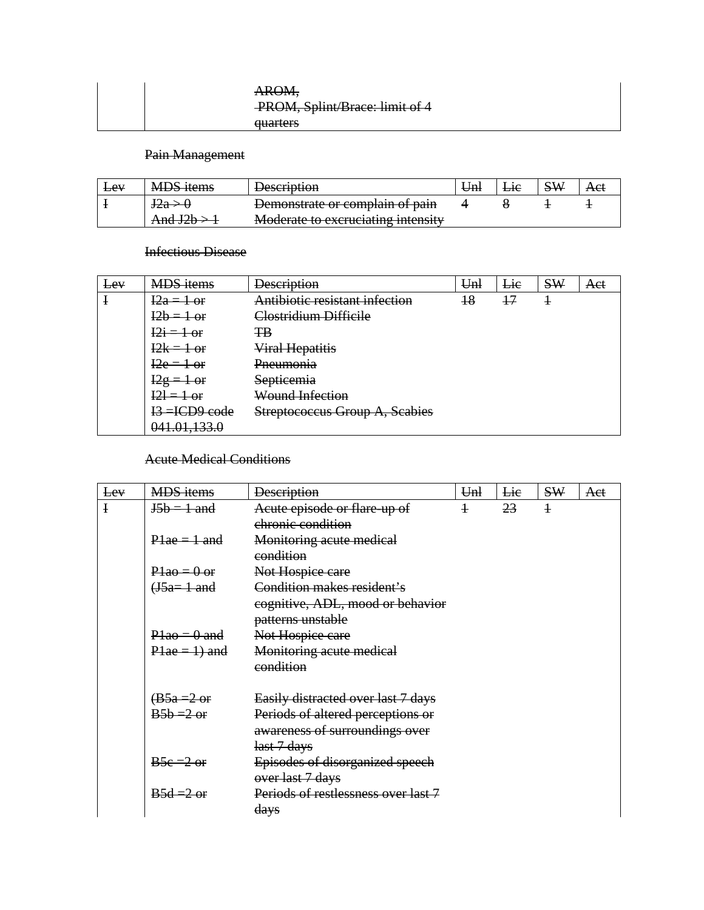| AROM,                          |
|--------------------------------|
| PROM, Splint/Brace: limit of 4 |
| <del>quarters</del>            |

### Pain Management

| <b>Lev</b> | <b>MDS</b> items | <b>Description</b>                                                                    | ⊎ml | ET |  |
|------------|------------------|---------------------------------------------------------------------------------------|-----|----|--|
|            | $rac{1}{2}$      | Demonstrate or complain of pain                                                       |     |    |  |
|            | $T$ and $JZU$    | Moderate to exeruciating intensity<br><del>ividuciale to excruciating intensity</del> |     |    |  |

#### Infectious Disease

| Le∀ | <b>MDS</b> items     | <b>Description</b>               | Unl | Lie | <b>SW</b> | Aet |
|-----|----------------------|----------------------------------|-----|-----|-----------|-----|
| ł   | $12a = 1$ or         | Antibiotic resistant infection   | 18  | 17  | ╈         |     |
|     | $12b = 1$ or         | <del>Clostridium Difficile</del> |     |     |           |     |
|     | $12i = 1$ or         | ŦB                               |     |     |           |     |
|     | $12k = 1$ or         | Viral Hepatitis                  |     |     |           |     |
|     | $I2e = 1$ or         | <del>Pneumonia</del>             |     |     |           |     |
|     | $Eg =$<br>⊢or        | Septicemia                       |     |     |           |     |
|     | $12l = 1$ or         | <b>Wound Infection</b>           |     |     |           |     |
|     | I3=ICD9 code         | Streptococcus Group A, Scabies   |     |     |           |     |
|     | 0.41, 0.1, 1.33, 0.0 |                                  |     |     |           |     |

#### Acute Medical Conditions

| Lev          | <b>MDS</b> items       | <b>Description</b>                  | Unl            | Lie | <b>SW</b>      | Aet |
|--------------|------------------------|-------------------------------------|----------------|-----|----------------|-----|
| $\mathbf{I}$ | $J5b = 1$ and          | Acute episode or flare up of        | $\overline{1}$ | 23  | $\overline{1}$ |     |
|              |                        | chronic condition                   |                |     |                |     |
|              | $P1ae = 1$ and         | <b>Monitoring acute medical</b>     |                |     |                |     |
|              |                        | condition                           |                |     |                |     |
|              | $P1a0 = 0$ or          | Not Hospice care                    |                |     |                |     |
|              | $J5a=1$ and            | Condition makes resident's          |                |     |                |     |
|              |                        | cognitive, ADL, mood or behavior    |                |     |                |     |
|              |                        | patterns unstable                   |                |     |                |     |
|              | $P1a0 = 0$ and         | Not Hospice care                    |                |     |                |     |
|              | $P1ae = 1$ ) and       | Monitoring acute medical            |                |     |                |     |
|              |                        | condition                           |                |     |                |     |
|              | $\overline{AB5a=2}$ or | Easily distracted over last 7 days  |                |     |                |     |
|              | $B5b = 2$ or           | Periods of altered perceptions or   |                |     |                |     |
|              |                        | awareness of surroundings over      |                |     |                |     |
|              |                        | last 7 days                         |                |     |                |     |
|              | $B5e = 2 \text{ or }$  | Episodes of disorganized speech     |                |     |                |     |
|              |                        | over last 7 days                    |                |     |                |     |
|              | $B5d = 2$ or           | Periods of restlessness over last 7 |                |     |                |     |
|              |                        | days                                |                |     |                |     |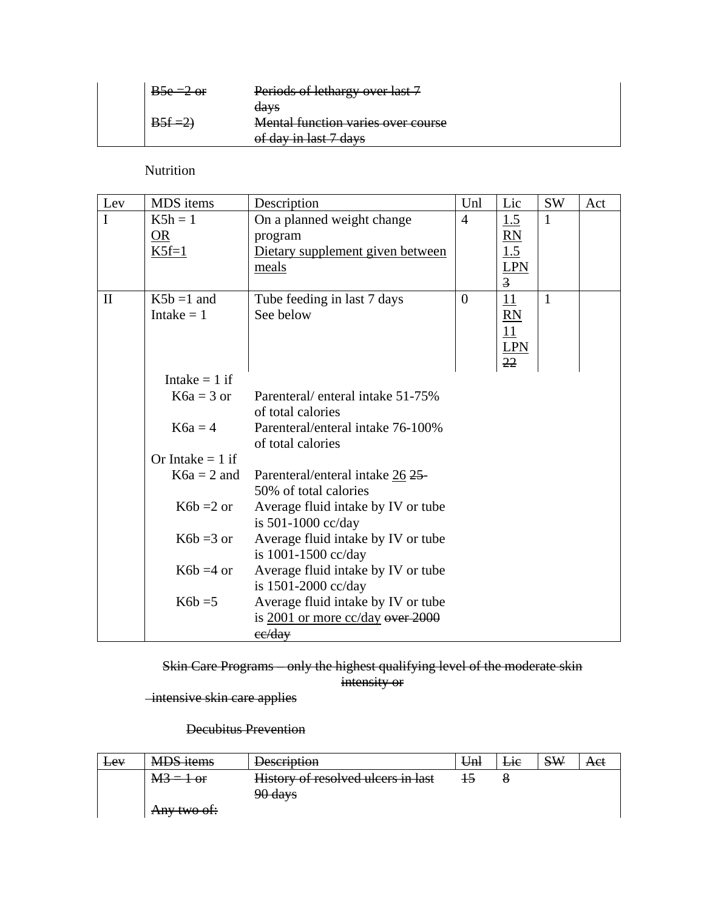| $B5e = 2 \text{ or }$ | Periods of lethargy over last 7            |
|-----------------------|--------------------------------------------|
|                       | days<br>Mental function varies over course |
|                       | of day in last 7 days                      |

Nutrition

| Lev          | MDS items                  | Description                                                                            | Unl            | Lic                                                            | SW           | Act |
|--------------|----------------------------|----------------------------------------------------------------------------------------|----------------|----------------------------------------------------------------|--------------|-----|
| $\mathbf I$  | $K5h = 1$<br>OR<br>$K5f=1$ | On a planned weight change<br>program<br>Dietary supplement given between<br>meals     | $\overline{4}$ | 1.5<br>$\underline{RN}$<br>1.5<br><b>LPN</b><br>$\overline{3}$ | 1            |     |
| $\mathbf{I}$ | $K5b = 1$ and              | Tube feeding in last 7 days                                                            | $\overline{0}$ | 11                                                             | $\mathbf{1}$ |     |
|              | Intake $= 1$               | See below                                                                              |                | $\underline{RN}$<br>11<br><b>LPN</b><br>22                     |              |     |
|              | Intake $= 1$ if            |                                                                                        |                |                                                                |              |     |
|              | $K6a = 3$ or               | Parenteral/enteral intake 51-75%<br>of total calories                                  |                |                                                                |              |     |
|              | $K6a = 4$                  | Parenteral/enteral intake 76-100%<br>of total calories                                 |                |                                                                |              |     |
|              | Or Intake $= 1$ if         |                                                                                        |                |                                                                |              |     |
|              | $K6a = 2$ and              | Parenteral/enteral intake 26 25-<br>50% of total calories                              |                |                                                                |              |     |
|              | $K6b = 2$ or               | Average fluid intake by IV or tube<br>is 501-1000 cc/day                               |                |                                                                |              |     |
|              | $K6b = 3$ or               | Average fluid intake by IV or tube<br>is 1001-1500 cc/day                              |                |                                                                |              |     |
|              | $K6b = 4$ or               | Average fluid intake by IV or tube<br>is 1501-2000 cc/day                              |                |                                                                |              |     |
|              | $K6b = 5$                  | Average fluid intake by IV or tube<br>is $2001$ or more $cc/day$ over $2000$<br>ee/day |                |                                                                |              |     |

Skin Care Programs – only the highest qualifying level of the moderate skin intensity or

intensive skin care applies

Decubitus Prevention

| $E$ ev | <b>MDS</b> items | <b>Description</b>                 | Unl | Lie | <b>SW</b> | Act |
|--------|------------------|------------------------------------|-----|-----|-----------|-----|
|        | $M3 = 1$ or      | History of resolved ulcers in last |     |     |           |     |
|        |                  | 90 days                            |     |     |           |     |
|        | Any two of:      |                                    |     |     |           |     |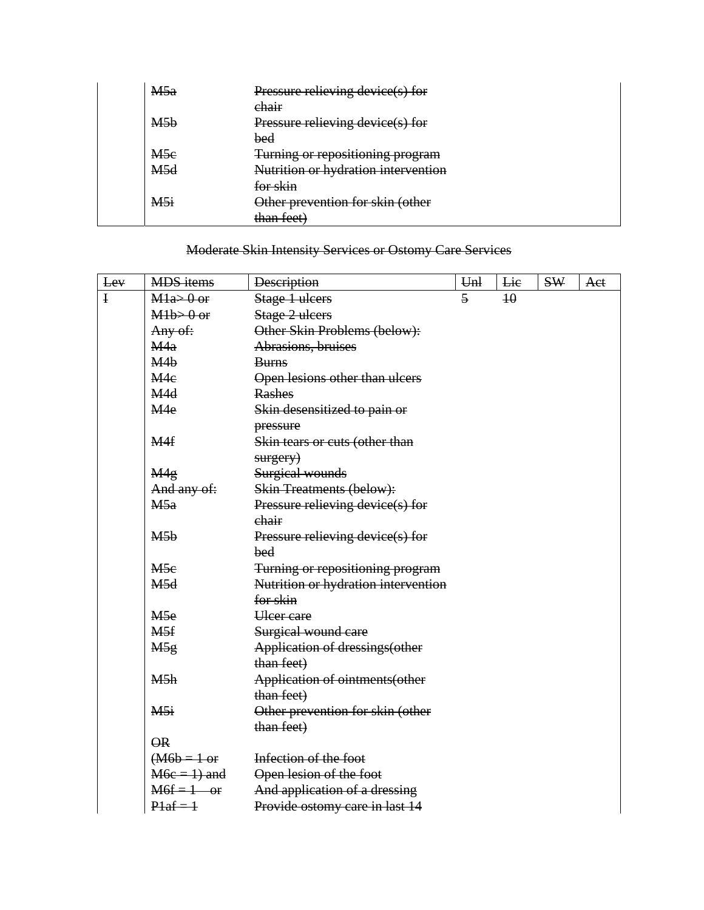| M5a             | Pressure relieving device(s) for    |
|-----------------|-------------------------------------|
|                 | chair                               |
| M5b             | Pressure relieving device(s) for    |
|                 | bed                                 |
| M <sub>5e</sub> | Turning or repositioning program    |
| M5d             | Nutrition or hydration intervention |
|                 | <del>for skin</del>                 |
| M5i             | Other prevention for skin (other    |
|                 | than feet)                          |

# Moderate Skin Intensity Services or Ostomy Care Services

| Lev         | <b>MDS</b> items         | <b>Description</b>                  | U <sub>nl</sub> | Lie             | <b>SW</b> | Aet |
|-------------|--------------------------|-------------------------------------|-----------------|-----------------|-----------|-----|
| $\mathbf I$ | $Ml$ a> $0$ or           | Stage 1 ulcers                      | $\overline{5}$  | $\overline{40}$ |           |     |
|             | $M1b > 0$ or             | Stage 2 ulcers                      |                 |                 |           |     |
|             | Any of:                  | Other Skin Problems (below):        |                 |                 |           |     |
|             | M <sub>4a</sub>          | Abrasions, bruises                  |                 |                 |           |     |
|             | M4b                      | <b>Burns</b>                        |                 |                 |           |     |
|             | M <sub>4e</sub>          | Open lesions other than ulcers      |                 |                 |           |     |
|             | M <sub>4</sub> d         | <b>Rashes</b>                       |                 |                 |           |     |
|             | M <sub>4e</sub>          | Skin desensitized to pain or        |                 |                 |           |     |
|             |                          | pressure                            |                 |                 |           |     |
|             | M <sub>4f</sub>          | Skin tears or cuts (other than      |                 |                 |           |     |
|             |                          | surgery)                            |                 |                 |           |     |
|             | M <sub>4g</sub>          | Surgical wounds                     |                 |                 |           |     |
|             | And any of:              | <b>Skin Treatments (below):</b>     |                 |                 |           |     |
|             | M5a                      | Pressure relieving device(s) for    |                 |                 |           |     |
|             |                          | chair                               |                 |                 |           |     |
|             | M5b                      | Pressure relieving device(s) for    |                 |                 |           |     |
|             |                          | bed                                 |                 |                 |           |     |
|             | M5e                      | Turning or repositioning program    |                 |                 |           |     |
|             | M5d                      | Nutrition or hydration intervention |                 |                 |           |     |
|             |                          | for skin                            |                 |                 |           |     |
|             | M <sub>5e</sub>          | <b>Ulcer</b> care                   |                 |                 |           |     |
|             | M5f                      | Surgical wound care                 |                 |                 |           |     |
|             | M <sub>5g</sub>          | Application of dressings(other      |                 |                 |           |     |
|             |                          | than feet)                          |                 |                 |           |     |
|             | M5h                      | Application of ointments(other      |                 |                 |           |     |
|             |                          | than feet)                          |                 |                 |           |     |
|             | M5i                      | Other prevention for skin (other    |                 |                 |           |     |
|             |                          | than feet)                          |                 |                 |           |     |
|             | $\overline{\mathsf{OR}}$ |                                     |                 |                 |           |     |
|             | $( M6b = 1 or$           | Infection of the foot               |                 |                 |           |     |
|             | $M6e = 1$ ) and          | Open lesion of the foot             |                 |                 |           |     |
|             | $M6f = 1$ or             | And application of a dressing       |                 |                 |           |     |
|             | $P1af = 1$               | Provide ostomy care in last 14      |                 |                 |           |     |
|             |                          |                                     |                 |                 |           |     |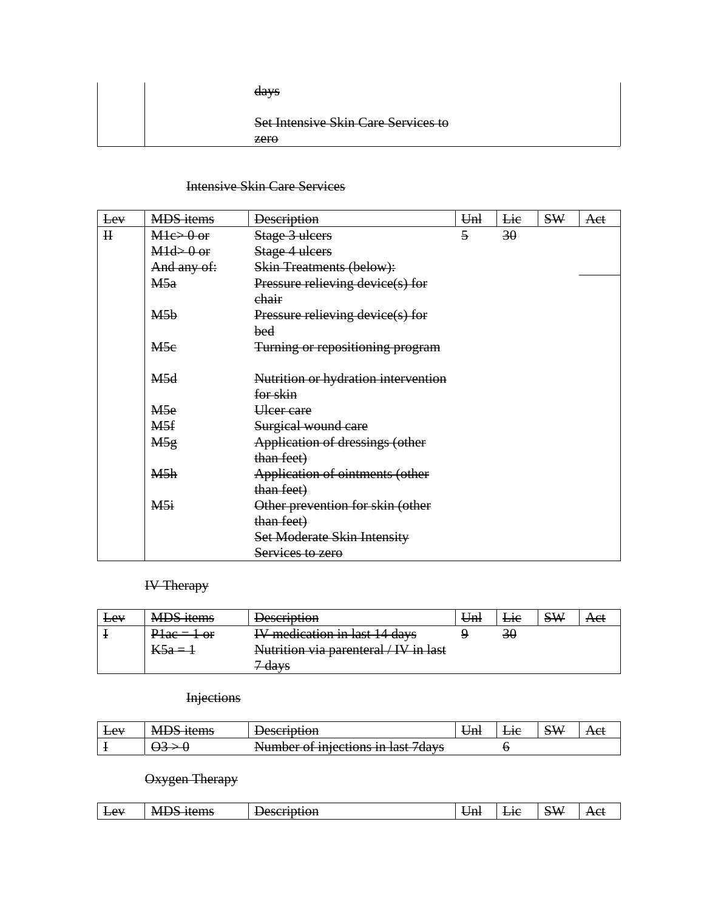| days                                |
|-------------------------------------|
| Set Intensive Skin Care Services to |
| $z$ ero                             |

#### Intensive Skin Care Services

| Lev     | <b>MDS</b> items | <b>Description</b>                  | U <sub>nl</sub> | Lie | <b>SW</b> | Aet |
|---------|------------------|-------------------------------------|-----------------|-----|-----------|-----|
| $\rm H$ | $Mlc > 0$ or     | Stage 3 ulcers                      | $\overline{5}$  | 30  |           |     |
|         | $M1d > 0$ or     | Stage 4 ulcers                      |                 |     |           |     |
|         | And any of:      | <b>Skin Treatments (below):</b>     |                 |     |           |     |
|         | M5a              | Pressure relieving device(s) for    |                 |     |           |     |
|         |                  | chair                               |                 |     |           |     |
|         | M5 <sub>b</sub>  | Pressure relieving device(s) for    |                 |     |           |     |
|         |                  | bed                                 |                 |     |           |     |
|         | M5e              | Turning or repositioning program    |                 |     |           |     |
|         |                  |                                     |                 |     |           |     |
|         | M <sub>5d</sub>  | Nutrition or hydration intervention |                 |     |           |     |
|         |                  | for skin                            |                 |     |           |     |
|         | M <sub>5e</sub>  | <b>Ulcer</b> care                   |                 |     |           |     |
|         | M <sub>5f</sub>  | Surgical wound care                 |                 |     |           |     |
|         | M5g              | Application of dressings (other     |                 |     |           |     |
|         |                  | than feet)                          |                 |     |           |     |
|         | M5h              | Application of ointments (other     |                 |     |           |     |
|         |                  | than feet)                          |                 |     |           |     |
|         | M5i              | Other prevention for skin (other    |                 |     |           |     |
|         |                  | than feet)                          |                 |     |           |     |
|         |                  | Set Moderate Skin Intensity         |                 |     |           |     |
|         |                  | Services to zero                    |                 |     |           |     |

### IV Therapy

| Lev | <b>MDS</b> items | <b>Description</b>                    | U <sub>nl</sub> | Lie | <b>SW</b> | Aet |
|-----|------------------|---------------------------------------|-----------------|-----|-----------|-----|
|     | $P1ac = 1$ or    | IV medication in last 14 days         |                 | 30  |           |     |
|     | $K5a=1$          | Nutrition via parenteral / IV in last |                 |     |           |     |
|     |                  | -davs                                 |                 |     |           |     |

### Injections

| $E_{\rm ev}$ | <b>MDS</b><br><del>MDJ RUM</del> | $1000$ mnt $100$<br><del>Describuon</del>                                     | ۱n.<br>$_{\rm\scriptstyle CIII}$ | <b>ERT</b> | $\sim$ $\mathbf{v}$<br>$\mathbf{M}$<br>$\sigma$ | лы |
|--------------|----------------------------------|-------------------------------------------------------------------------------|----------------------------------|------------|-------------------------------------------------|----|
|              |                                  | Numher of iniections in<br>I<br><del>ivumber or miecuons in iast / uavs</del> |                                  |            |                                                 |    |

### Oxygen Therapy

| - -<br>$-$<br>-<br>N/H<br>$E_{\rm{eeV}}$<br>ıt≙me<br>-<br>— <del>. 11101</del> 1<br>$\overline{111}$ | -<br>∣n'<br>பா<br>$\sim$ | $\sim$ $ -$<br>: VX.<br>or.<br>∼ | $\mathbf{v}$<br>- 1V - |
|------------------------------------------------------------------------------------------------------|--------------------------|----------------------------------|------------------------|
|------------------------------------------------------------------------------------------------------|--------------------------|----------------------------------|------------------------|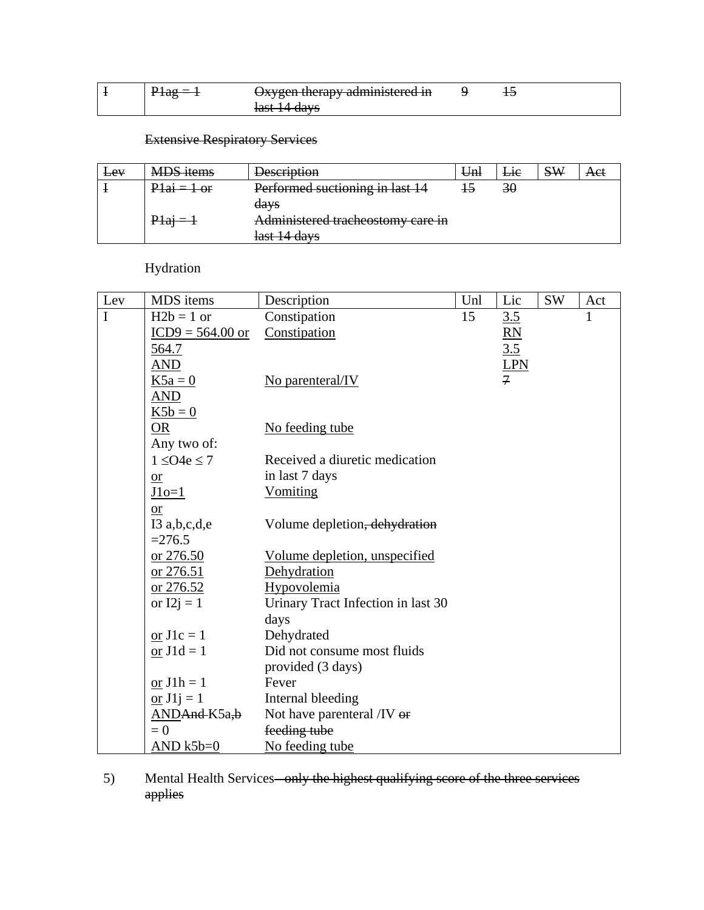|  | Oxygen therapy administered in            |  |  |
|--|-------------------------------------------|--|--|
|  | laet I /L dave<br><del>last 14 days</del> |  |  |

# Extensive Respiratory Services

| <b>Lev</b> | <b>MDS</b> items | <b>Description</b>                | U <sub>nl</sub> | Lie | <b>SW</b> | Aet |
|------------|------------------|-----------------------------------|-----------------|-----|-----------|-----|
|            | $P1ai = 1 or$    | Performed suctioning in last 14   |                 | 30  |           |     |
|            |                  | days                              |                 |     |           |     |
|            | $P1a1 = 1$       | Administered tracheostomy care in |                 |     |           |     |
|            |                  | last 14 days                      |                 |     |           |     |

Hydration

| Lev         | MDS items                | Description                        | Unl | Lic             | <b>SW</b> | Act |
|-------------|--------------------------|------------------------------------|-----|-----------------|-----------|-----|
| $\mathbf I$ | $H2b = 1$ or             | Constipation                       | 15  | 3.5             |           | 1   |
|             | $ICD9 = 564.00$ or       | Constipation                       |     | $\overline{RN}$ |           |     |
|             | <u>564.7</u>             |                                    |     | 3.5             |           |     |
|             | <b>AND</b>               |                                    |     | <b>LPN</b>      |           |     |
|             | $K5a = 0$                | No parenteral/IV                   |     | $\overline{7}$  |           |     |
|             | AND                      |                                    |     |                 |           |     |
|             | $K5b = 0$                |                                    |     |                 |           |     |
|             | <b>OR</b>                | No feeding tube                    |     |                 |           |     |
|             | Any two of:              |                                    |     |                 |           |     |
|             | $1 \leq O4e \leq 7$      | Received a diuretic medication     |     |                 |           |     |
|             | $or$                     | in last 7 days                     |     |                 |           |     |
|             | $J1o=1$                  | <b>Vomiting</b>                    |     |                 |           |     |
|             | <b>or</b>                |                                    |     |                 |           |     |
|             | I3 $a,b,c,d,e$           | Volume depletion, dehydration      |     |                 |           |     |
|             | $=276.5$                 |                                    |     |                 |           |     |
|             | or 276.50                | Volume depletion, unspecified      |     |                 |           |     |
|             | <u>or 276.51</u>         | Dehydration                        |     |                 |           |     |
|             | $or 276.52$              | Hypovolemia                        |     |                 |           |     |
|             | or $I2j = 1$             | Urinary Tract Infection in last 30 |     |                 |           |     |
|             |                          | days                               |     |                 |           |     |
|             | or $J1c = 1$             | Dehydrated                         |     |                 |           |     |
|             | or $J1d = 1$             | Did not consume most fluids        |     |                 |           |     |
|             |                          | provided (3 days)                  |     |                 |           |     |
|             | $or J1h = 1$             | Fever                              |     |                 |           |     |
|             | or $J1j = 1$             | Internal bleeding                  |     |                 |           |     |
|             | AND <del>And</del> K5a,b | Not have parenteral /IV or         |     |                 |           |     |
|             | $= 0$                    | feeding tube                       |     |                 |           |     |
|             | $AND k5b=0$              | No feeding tube                    |     |                 |           |     |

5) Mental Health Services–only the highest qualifying score of the three services applies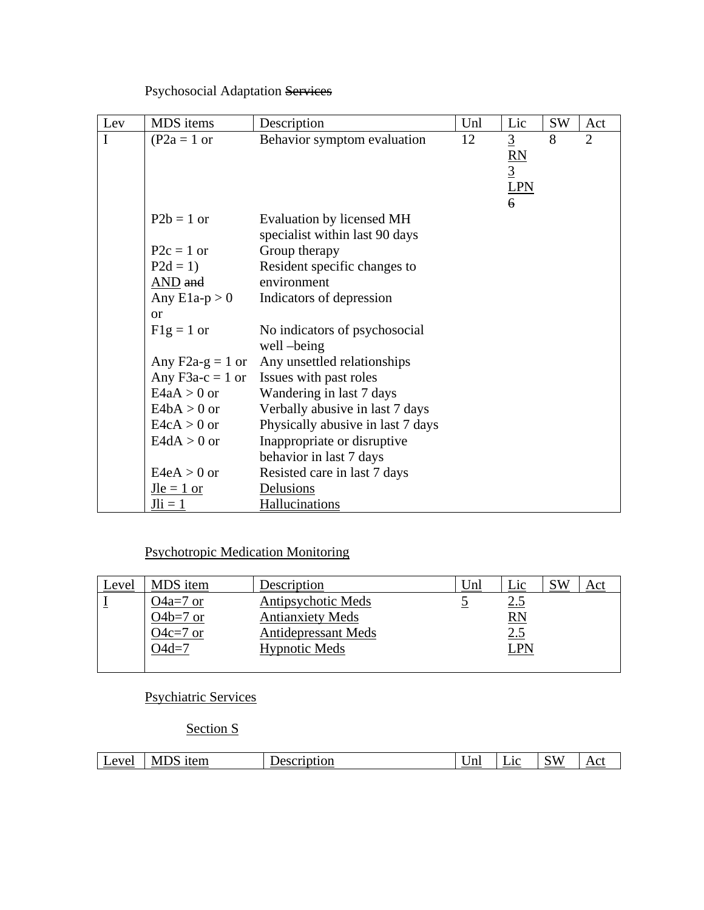Psychosocial Adaptation Services

| Lev | MDS items          | Description                                                 | Unl | Lic                                          | <b>SW</b> | Act            |
|-----|--------------------|-------------------------------------------------------------|-----|----------------------------------------------|-----------|----------------|
| I   | $(P2a = 1$ or      | Behavior symptom evaluation                                 | 12  | $\overline{3}$<br>$\frac{RN}{3}$<br>LPN<br>6 | 8         | $\overline{2}$ |
|     | $P2b = 1$ or       | Evaluation by licensed MH<br>specialist within last 90 days |     |                                              |           |                |
|     | $P2c = 1$ or       | Group therapy                                               |     |                                              |           |                |
|     | $P2d = 1$          | Resident specific changes to                                |     |                                              |           |                |
|     | AND and            | environment                                                 |     |                                              |           |                |
|     | Any $E1a-p > 0$    | Indicators of depression                                    |     |                                              |           |                |
|     | <b>or</b>          |                                                             |     |                                              |           |                |
|     | $F1g = 1$ or       | No indicators of psychosocial<br>well-being                 |     |                                              |           |                |
|     | Any $F2a-g = 1$ or | Any unsettled relationships                                 |     |                                              |           |                |
|     | Any $F3a-c = 1$ or | Issues with past roles                                      |     |                                              |           |                |
|     | $E4aA > 0$ or      | Wandering in last 7 days                                    |     |                                              |           |                |
|     | $E4bA > 0$ or      | Verbally abusive in last 7 days                             |     |                                              |           |                |
|     | $E4cA > 0$ or      | Physically abusive in last 7 days                           |     |                                              |           |                |
|     | $E4dA > 0$ or      | Inappropriate or disruptive                                 |     |                                              |           |                |
|     |                    | behavior in last 7 days                                     |     |                                              |           |                |
|     | $E4eA > 0$ or      | Resisted care in last 7 days                                |     |                                              |           |                |
|     | $Jle = 1$ or       | Delusions                                                   |     |                                              |           |                |
|     | $Jli = 1$          | Hallucinations                                              |     |                                              |           |                |

### Psychotropic Medication Monitoring

| Level | MDS item                                         | Description                                                                                         | Unl | Lic                                         | SW | Act |
|-------|--------------------------------------------------|-----------------------------------------------------------------------------------------------------|-----|---------------------------------------------|----|-----|
|       | O4a=7 or<br>O4 $b=7$ or<br>$O4c=7$ or<br>$O4d=7$ | Antipsychotic Meds<br><b>Antianxiety Meds</b><br><b>Antidepressant Meds</b><br><b>Hypnotic Meds</b> |     | <u>2.5</u><br>$\overline{RN}$<br>2.5<br>LPN |    |     |
|       |                                                  |                                                                                                     |     |                                             |    |     |

Psychiatric Services

### Section S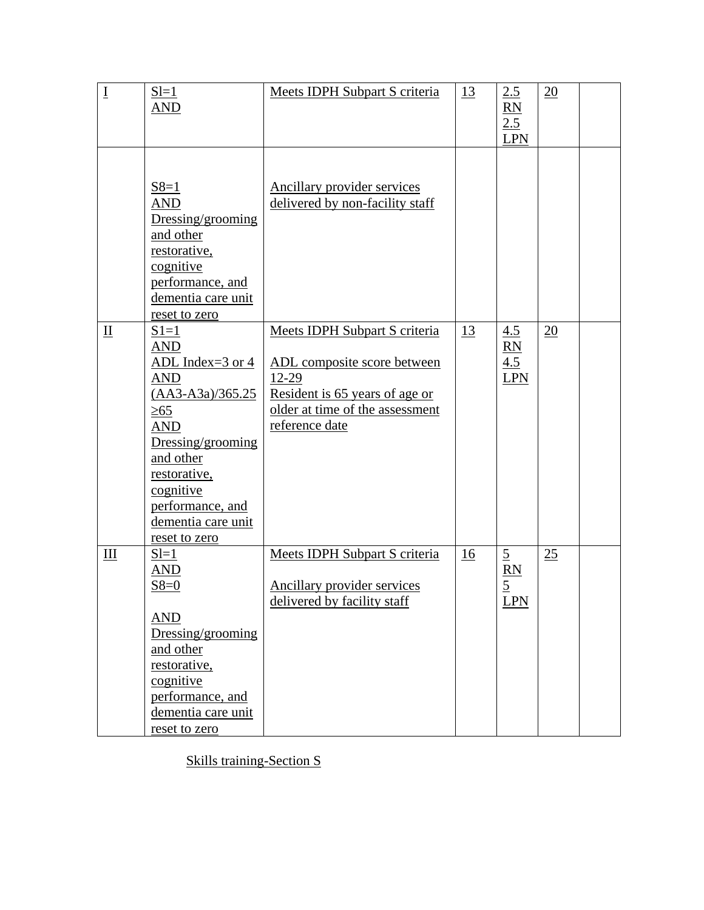| $\underline{\mathrm{I}}$  | $S = 1$               | Meets IDPH Subpart S criteria   | 13        | 2.5            | 20              |  |
|---------------------------|-----------------------|---------------------------------|-----------|----------------|-----------------|--|
|                           |                       |                                 |           |                |                 |  |
|                           | AND                   |                                 |           | RN             |                 |  |
|                           |                       |                                 |           | 2.5            |                 |  |
|                           |                       |                                 |           | <b>LPN</b>     |                 |  |
|                           |                       |                                 |           |                |                 |  |
|                           |                       |                                 |           |                |                 |  |
|                           | $S8=1$                | Ancillary provider services     |           |                |                 |  |
|                           | <b>AND</b>            | delivered by non-facility staff |           |                |                 |  |
|                           | Dressing/grooming     |                                 |           |                |                 |  |
|                           |                       |                                 |           |                |                 |  |
|                           | and other             |                                 |           |                |                 |  |
|                           | restorative,          |                                 |           |                |                 |  |
|                           | cognitive             |                                 |           |                |                 |  |
|                           | performance, and      |                                 |           |                |                 |  |
|                           | dementia care unit    |                                 |           |                |                 |  |
|                           | reset to zero         |                                 |           |                |                 |  |
| $\mathbf{\underline{II}}$ | $S1=1$                | Meets IDPH Subpart S criteria   | 13        | 4.5            | $\overline{20}$ |  |
|                           | <b>AND</b>            |                                 |           | RN             |                 |  |
|                           | ADL Index= $3$ or $4$ | ADL composite score between     |           | 4.5            |                 |  |
|                           | <b>AND</b>            | 12-29                           |           | <b>LPN</b>     |                 |  |
|                           | $(AA3-A3a)/365.25$    |                                 |           |                |                 |  |
|                           |                       | Resident is 65 years of age or  |           |                |                 |  |
|                           | $\geq 65$             | older at time of the assessment |           |                |                 |  |
|                           | <b>AND</b>            | reference date                  |           |                |                 |  |
|                           | Dressing/grooming     |                                 |           |                |                 |  |
|                           | and other             |                                 |           |                |                 |  |
|                           | restorative,          |                                 |           |                |                 |  |
|                           | cognitive             |                                 |           |                |                 |  |
|                           | performance, and      |                                 |           |                |                 |  |
|                           | dementia care unit    |                                 |           |                |                 |  |
|                           | reset to zero         |                                 |           |                |                 |  |
| III                       | $S1=1$                | Meets IDPH Subpart S criteria   | <u>16</u> | $\overline{5}$ | 25              |  |
|                           | <b>AND</b>            |                                 |           | <b>RN</b>      |                 |  |
|                           | $S8=0$                | Ancillary provider services     |           | $\overline{5}$ |                 |  |
|                           |                       | delivered by facility staff     |           |                |                 |  |
|                           |                       |                                 |           | <b>LPN</b>     |                 |  |
|                           | <b>AND</b>            |                                 |           |                |                 |  |
|                           | Dressing/grooming     |                                 |           |                |                 |  |
|                           | and other             |                                 |           |                |                 |  |
|                           | restorative,          |                                 |           |                |                 |  |
|                           | cognitive             |                                 |           |                |                 |  |
|                           | performance, and      |                                 |           |                |                 |  |
|                           | dementia care unit    |                                 |           |                |                 |  |
|                           | reset to zero         |                                 |           |                |                 |  |

Skills training-Section S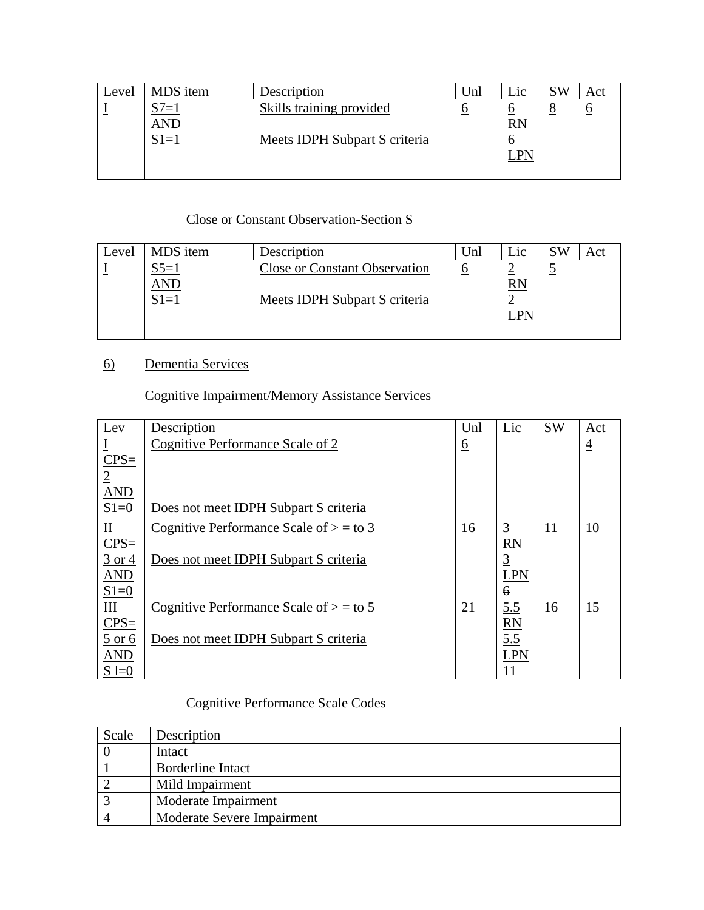| evel | MDS item | Description                     | Unl | Lic | <b>SW</b> |  |
|------|----------|---------------------------------|-----|-----|-----------|--|
|      | $l =$    | <b>Skills training provided</b> |     |     |           |  |
|      | AND      |                                 |     | RN  |           |  |
|      | $S1=1$   | Meets IDPH Subpart S criteria   |     |     |           |  |
|      |          |                                 |     | LPN |           |  |
|      |          |                                 |     |     |           |  |

#### Close or Constant Observation-Section S

| Level | MDS item  | Description                          | Unl | $\sqcup$ ic            | KV 2 |  |
|-------|-----------|--------------------------------------|-----|------------------------|------|--|
|       | $S_{5=1}$ | <b>Close or Constant Observation</b> |     |                        |      |  |
|       | AND       |                                      |     | $\overline{\text{RN}}$ |      |  |
|       | $S1=1$    | Meets IDPH Subpart S criteria        |     |                        |      |  |
|       |           |                                      |     | LPN                    |      |  |
|       |           |                                      |     |                        |      |  |

### 6) Dementia Services

Cognitive Impairment/Memory Assistance Services

| Lev                         | Description                               | Unl      | Lic             | <b>SW</b> | Act            |
|-----------------------------|-------------------------------------------|----------|-----------------|-----------|----------------|
|                             | Cognitive Performance Scale of 2          | <u>6</u> |                 |           | $\overline{4}$ |
| $CPS=$                      |                                           |          |                 |           |                |
| $\overline{2}$              |                                           |          |                 |           |                |
| <b>AND</b>                  |                                           |          |                 |           |                |
| $S1=0$                      | Does not meet IDPH Subpart S criteria     |          |                 |           |                |
| $\mathbf{I}$                | Cognitive Performance Scale of $> =$ to 3 | 16       | $\overline{3}$  | 11        | 10             |
| $CPS=$                      |                                           |          | R <sub>N</sub>  |           |                |
| $\frac{3 \text{ or } 4}{2}$ | Does not meet IDPH Subpart S criteria     |          | $\overline{3}$  |           |                |
| AND                         |                                           |          | <b>LPN</b>      |           |                |
| $S1=0$                      |                                           |          | $\epsilon$      |           |                |
| III                         | Cognitive Performance Scale of $> =$ to 5 | 21       | 5.5             | 16        | 15             |
| $CPS=$                      |                                           |          | RN              |           |                |
| $\frac{5 \text{ or } 6}{2}$ | Does not meet IDPH Subpart S criteria     |          | 5.5             |           |                |
| AND                         |                                           |          | <b>LPN</b>      |           |                |
| $S = 0$                     |                                           |          | $\overline{11}$ |           |                |

### Cognitive Performance Scale Codes

| Scale | Description                |
|-------|----------------------------|
|       | Intact                     |
|       | <b>Borderline Intact</b>   |
|       | Mild Impairment            |
|       | Moderate Impairment        |
|       | Moderate Severe Impairment |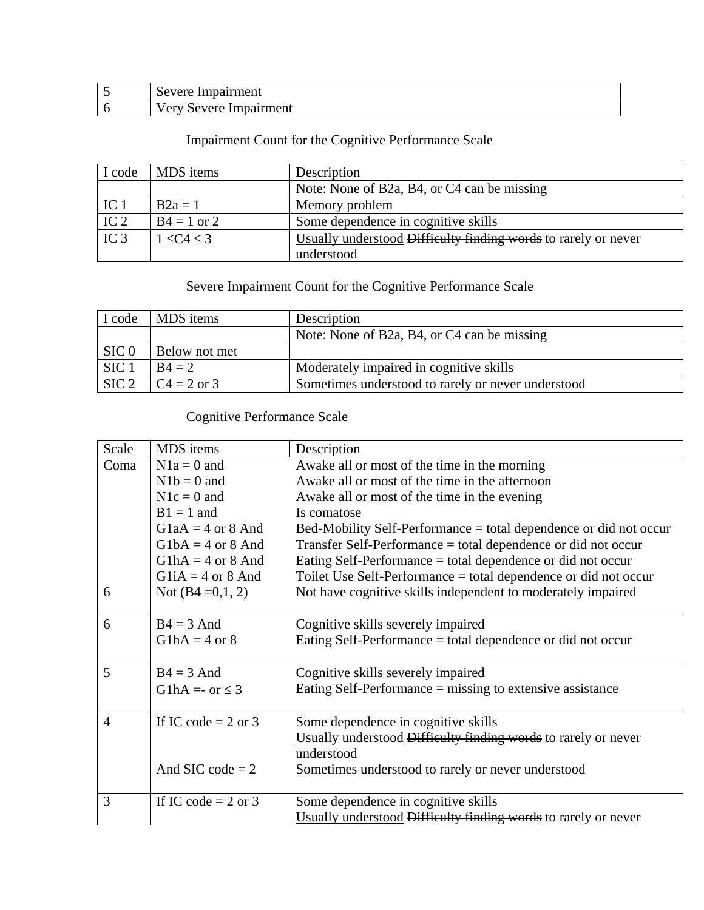| $\sim$<br>pairment<br>Severe<br>. .<br>ມເ        |
|--------------------------------------------------|
| Impairment<br>$\alpha$ avere<br>$V \triangle$ ry |

# Impairment Count for the Cognitive Performance Scale

| I code          | MDS items          | Description                                                    |
|-----------------|--------------------|----------------------------------------------------------------|
|                 |                    | Note: None of B2a, B4, or C4 can be missing                    |
| IC <sub>1</sub> | $B2a = 1$          | Memory problem                                                 |
| IC <sub>2</sub> | $B4 = 1$ or 2      | Some dependence in cognitive skills                            |
| IC <sub>3</sub> | $1 \leq C4 \leq 3$ | Usually understood Difficulty finding words to rarely or never |
|                 |                    | understood                                                     |

# Severe Impairment Count for the Cognitive Performance Scale

| I code           | MDS items                                                                                     | Description                                        |
|------------------|-----------------------------------------------------------------------------------------------|----------------------------------------------------|
|                  |                                                                                               | Note: None of B2a, B4, or C4 can be missing        |
| SIC <sub>0</sub> | Below not met                                                                                 |                                                    |
| SIC <sub>1</sub> | $B4 = 2$                                                                                      | Moderately impaired in cognitive skills            |
|                  | $\begin{array}{ c c c c c }\n\hline\n\text{SIC 2} & \text{C4} = 2 \text{ or } 3\n\end{array}$ | Sometimes understood to rarely or never understood |

### Cognitive Performance Scale

| Scale          | MDS items               | Description                                                       |
|----------------|-------------------------|-------------------------------------------------------------------|
| Coma           | $N1a = 0$ and           | Awake all or most of the time in the morning                      |
|                | $N1b = 0$ and           | Awake all or most of the time in the afternoon                    |
|                | $N1c = 0$ and           | Awake all or most of the time in the evening                      |
|                | $B1 = 1$ and            | Is comatose                                                       |
|                | $G1aA = 4$ or 8 And     | Bed-Mobility Self-Performance = total dependence or did not occur |
|                | $G1bA = 4$ or 8 And     | Transfer Self-Performance = total dependence or did not occur     |
|                | $G1hA = 4$ or 8 And     | Eating Self-Performance = total dependence or did not occur       |
|                | $G1iA = 4$ or 8 And     | Toilet Use Self-Performance = total dependence or did not occur   |
| 6              | Not $(B4 = 0,1, 2)$     | Not have cognitive skills independent to moderately impaired      |
|                |                         |                                                                   |
| 6              | $B4 = 3$ And            | Cognitive skills severely impaired                                |
|                | $G1hA = 4$ or 8         | Eating Self-Performance = total dependence or did not occur       |
|                |                         |                                                                   |
| 5              | $B4 = 3$ And            | Cognitive skills severely impaired                                |
|                | G1hA = - or $\leq$ 3    | Eating Self-Performance $=$ missing to extensive assistance       |
|                |                         |                                                                   |
| $\overline{4}$ | If IC code = $2$ or $3$ | Some dependence in cognitive skills                               |
|                |                         | Usually understood Difficulty finding words to rarely or never    |
|                |                         | understood                                                        |
|                | And SIC code $= 2$      | Sometimes understood to rarely or never understood                |
|                |                         |                                                                   |
| 3              | If IC code = $2$ or $3$ | Some dependence in cognitive skills                               |
|                |                         | Usually understood Difficulty finding words to rarely or never    |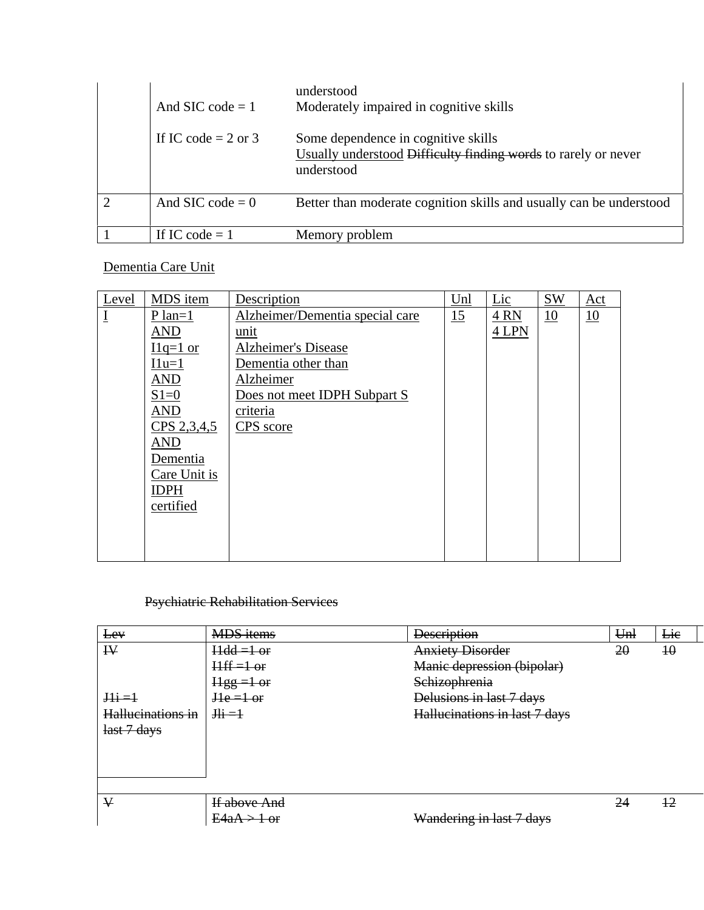| And SIC code $= 1$      | understood<br>Moderately impaired in cognitive skills                                                               |
|-------------------------|---------------------------------------------------------------------------------------------------------------------|
| If IC code = $2$ or $3$ | Some dependence in cognitive skills<br>Usually understood Difficulty finding words to rarely or never<br>understood |
| And SIC code $= 0$      | Better than moderate cognition skills and usually can be understood                                                 |
| If IC code $= 1$        | Memory problem                                                                                                      |

### Dementia Care Unit

| Level                       | MDS item     | Description                     | Unl | Lic   | <b>SW</b> | Act |
|-----------------------------|--------------|---------------------------------|-----|-------|-----------|-----|
| $\underline{\underline{I}}$ | $P$ lan=1    | Alzheimer/Dementia special care | 15  | 4RN   | 10        | 10  |
|                             | <b>AND</b>   | unit                            |     | 4 LPN |           |     |
|                             | $I1q=1$ or   | <b>Alzheimer's Disease</b>      |     |       |           |     |
|                             | $11u=1$      | Dementia other than             |     |       |           |     |
|                             | <b>AND</b>   | Alzheimer                       |     |       |           |     |
|                             | $S1=0$       | Does not meet IDPH Subpart S    |     |       |           |     |
|                             | <b>AND</b>   | criteria                        |     |       |           |     |
|                             | CPS 2,3,4,5  | CPS score                       |     |       |           |     |
|                             | <b>AND</b>   |                                 |     |       |           |     |
|                             | Dementia     |                                 |     |       |           |     |
|                             | Care Unit is |                                 |     |       |           |     |
|                             | <b>IDPH</b>  |                                 |     |       |           |     |
|                             | certified    |                                 |     |       |           |     |
|                             |              |                                 |     |       |           |     |
|                             |              |                                 |     |       |           |     |
|                             |              |                                 |     |       |           |     |

### Psychiatric Rehabilitation Services

| Lev               | <b>MDS</b> items              | <b>Description</b>            | U <sub>m</sub> | Lie             |
|-------------------|-------------------------------|-------------------------------|----------------|-----------------|
| $\mathbf{R}$      | $Hdd = 1 or$                  | <b>Anxiety Disorder</b>       | 20             | $\overline{10}$ |
|                   | $Hff = 1$ or                  | Manic depression (bipolar)    |                |                 |
|                   | $Hgg =1$ or                   | Schizophrenia                 |                |                 |
| $\frac{111}{2}$   | $He = 1$ or                   | Delusions in last 7 days      |                |                 |
| Hallucinations in | $\frac{\text{Hi}}{\text{Hi}}$ | Hallucinations in last 7 days |                |                 |
| last 7 days       |                               |                               |                |                 |
|                   |                               |                               |                |                 |
|                   |                               |                               |                |                 |
|                   |                               |                               |                |                 |
|                   |                               |                               |                |                 |
| ₩                 | If above And                  |                               | 24             | $\pm 2$         |
|                   | $E4aA > 1$ or                 | Wandering in last 7 days      |                |                 |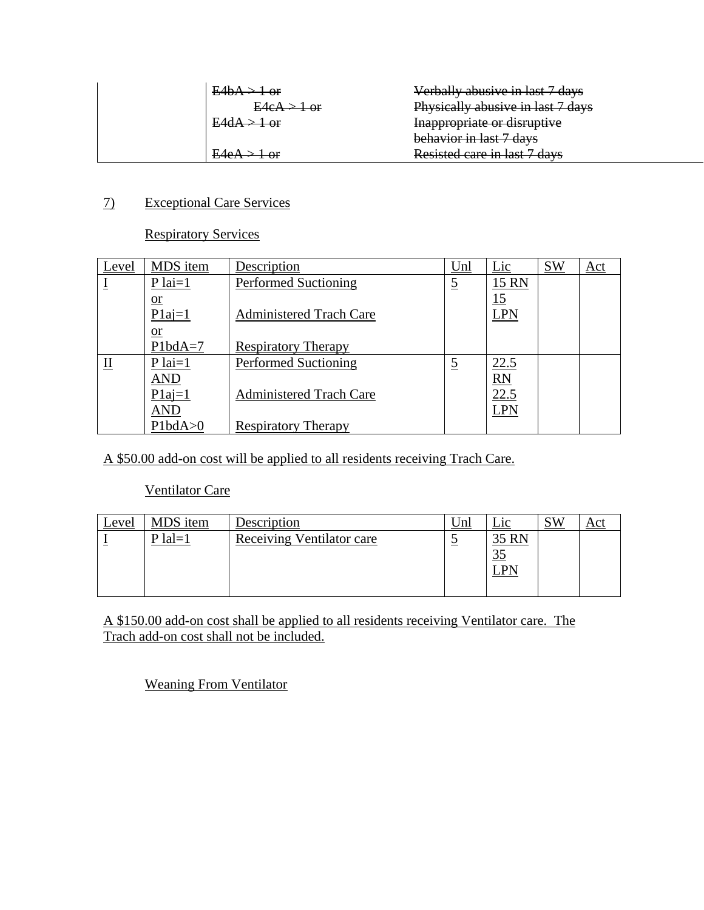|               | Verbally abusive in last 7 days   |
|---------------|-----------------------------------|
| $E4eA > 1$ or | Physically abusive in last 7 days |
|               | Inappropriate or disruptive       |
|               | behavior in last 7 days           |
|               | Resisted care in last 7 days      |

#### 7) Exceptional Care Services

#### Respiratory Services

| Level       | MDS item        | Description                    | Unl            | Lic             | <b>SW</b> | Act |
|-------------|-----------------|--------------------------------|----------------|-----------------|-----------|-----|
|             | $P$ lai=1       | <b>Performed Suctioning</b>    | $\overline{5}$ | 15 RN           |           |     |
|             | $\overline{or}$ |                                |                | 15              |           |     |
|             | $P1a=1$         | <b>Administered Trach Care</b> |                | LPN             |           |     |
|             | $\overline{or}$ |                                |                |                 |           |     |
|             | $Plb dA=7$      | <b>Respiratory Therapy</b>     |                |                 |           |     |
| $_{\rm II}$ | $P$ lai=1       | <b>Performed Suctioning</b>    | $\overline{5}$ | 22.5            |           |     |
|             | <b>AND</b>      |                                |                | $\overline{RN}$ |           |     |
|             | $P1a=1$         | <b>Administered Trach Care</b> |                | 22.5            |           |     |
|             | <b>AND</b>      |                                |                | LPN             |           |     |
|             | Plbda>0         | <b>Respiratory Therapy</b>     |                |                 |           |     |

A \$50.00 add-on cost will be applied to all residents receiving Trach Care.

#### Ventilator Care

| <u>Level</u> | MDS item  | Description                      | <u>Unl</u> | $\mathop{\text{--}}$ 10 | SW |  |
|--------------|-----------|----------------------------------|------------|-------------------------|----|--|
|              | $P$ lal=1 | <b>Receiving Ventilator care</b> | ັ          | 35 RN                   |    |  |
|              |           |                                  |            | 35                      |    |  |
|              |           |                                  |            | D٨                      |    |  |
|              |           |                                  |            |                         |    |  |

A \$150.00 add-on cost shall be applied to all residents receiving Ventilator care. The Trach add-on cost shall not be included.

Weaning From Ventilator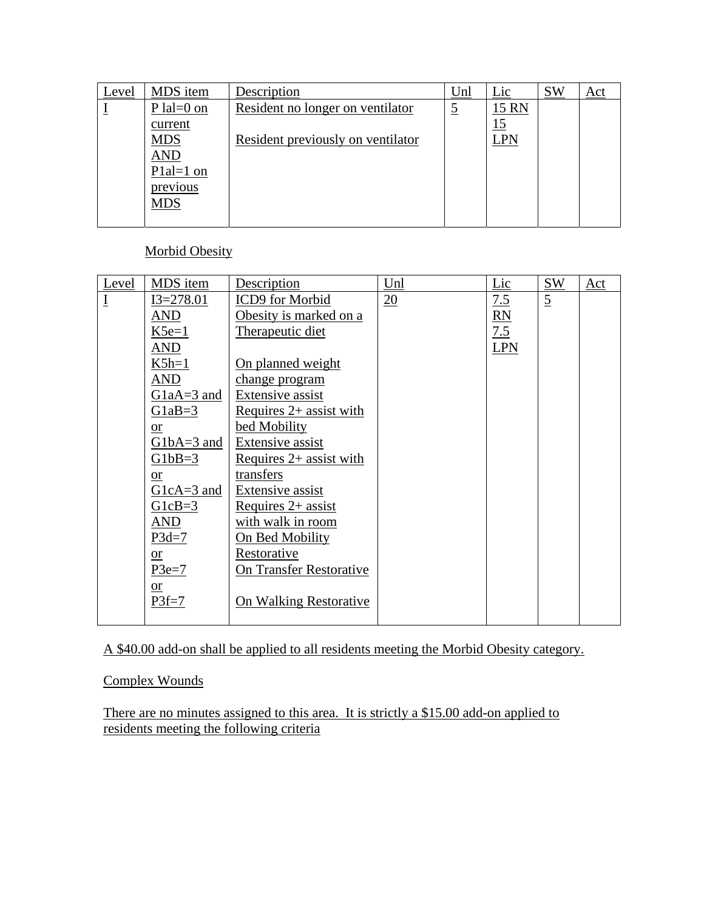| Level | MDS item         | Description                       | Unl       | Lic        | <b>SW</b> | <u>Act</u> |
|-------|------------------|-----------------------------------|-----------|------------|-----------|------------|
|       | $P$ lal=0 on     | Resident no longer on ventilator  | <u>ر.</u> | 15 RN      |           |            |
|       | current          |                                   |           | <u> 15</u> |           |            |
|       | <b>MDS</b>       | Resident previously on ventilator |           | LPN        |           |            |
|       | <b>AND</b>       |                                   |           |            |           |            |
|       | P $1$ al= $1$ on |                                   |           |            |           |            |
|       | previous         |                                   |           |            |           |            |
|       | <b>MDS</b>       |                                   |           |            |           |            |
|       |                  |                                   |           |            |           |            |

Morbid Obesity

| Level          | MDS item               | Description                    | Unl             | Lic            | <b>SW</b>      | Act |
|----------------|------------------------|--------------------------------|-----------------|----------------|----------------|-----|
| $\overline{1}$ | $I3 = 278.01$          | ICD9 for Morbid                | $\overline{20}$ | 7.5            | $\overline{5}$ |     |
|                | <b>AND</b>             | Obesity is marked on a         |                 | R <sub>N</sub> |                |     |
|                | $K5e=1$                | Therapeutic diet               |                 | 7.5            |                |     |
|                | <b>AND</b>             |                                |                 | <b>LPN</b>     |                |     |
|                | $K5h=1$                | On planned weight              |                 |                |                |     |
|                | <b>AND</b>             | change program                 |                 |                |                |     |
|                | $G1aA=3$ and           | Extensive assist               |                 |                |                |     |
|                | $G1aB=3$               | Requires $2+$ assist with      |                 |                |                |     |
|                | or                     | bed Mobility                   |                 |                |                |     |
|                | $G1bA=3$ and           | Extensive assist               |                 |                |                |     |
|                | $G1bB=3$               | Requires $2+$ assist with      |                 |                |                |     |
|                | $\overline{\text{or}}$ | transfers                      |                 |                |                |     |
|                | $G1cA=3$ and           | Extensive assist               |                 |                |                |     |
|                | $G1cB=3$               | Requires $2+$ assist           |                 |                |                |     |
|                | <b>AND</b>             | with walk in room              |                 |                |                |     |
|                | $P3d=7$                | On Bed Mobility                |                 |                |                |     |
|                | <b>or</b>              | Restorative                    |                 |                |                |     |
|                | $P3e=7$                | <b>On Transfer Restorative</b> |                 |                |                |     |
|                | $\overline{\text{or}}$ |                                |                 |                |                |     |
|                | $P3f=7$                | On Walking Restorative         |                 |                |                |     |
|                |                        |                                |                 |                |                |     |

A \$40.00 add-on shall be applied to all residents meeting the Morbid Obesity category.

Complex Wounds

There are no minutes assigned to this area. It is strictly a \$15.00 add-on applied to residents meeting the following criteria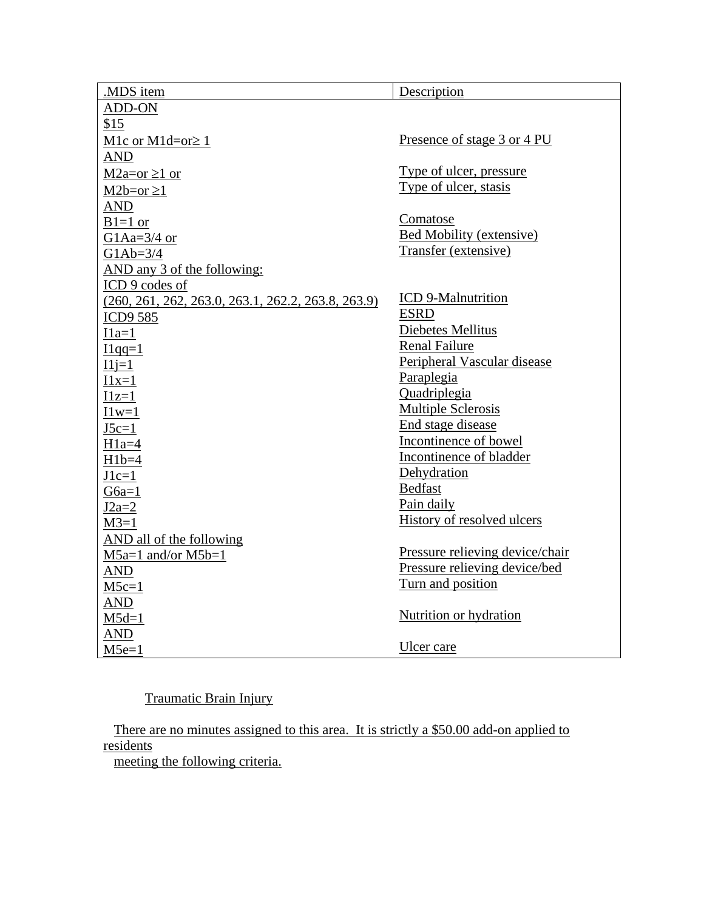| .MDS item                                            | Description                     |
|------------------------------------------------------|---------------------------------|
| ADD-ON                                               |                                 |
| \$15                                                 |                                 |
| M1c or M1d=or $\geq$ 1                               | Presence of stage 3 or 4 PU     |
| AND                                                  |                                 |
| $M2a=or \ge 1$ or                                    | Type of ulcer, pressure         |
| $M2b=or \ge 1$                                       | Type of ulcer, stasis           |
| <b>AND</b>                                           |                                 |
| $B1=1$ or                                            | Comatose                        |
| G1Aa= $3/4$ or                                       | Bed Mobility (extensive)        |
| $G1Ab=3/4$                                           | Transfer (extensive)            |
| AND any 3 of the following:                          |                                 |
| ICD 9 codes of                                       |                                 |
| $(260, 261, 262, 263.0, 263.1, 262.2, 263.8, 263.9)$ | <b>ICD</b> 9-Malnutrition       |
| <b>ICD9 585</b>                                      | <b>ESRD</b>                     |
| $I1a=1$                                              | Diebetes Mellitus               |
| $I1qq=1$                                             | <b>Renal Failure</b>            |
| $I1j=1$                                              | Peripheral Vascular disease     |
| $I1x=1$                                              | Paraplegia                      |
| $I1z=1$                                              | Quadriplegia                    |
| $11w=1$                                              | <b>Multiple Sclerosis</b>       |
| $J5c=1$                                              | End stage disease               |
| $H1a=4$                                              | Incontinence of bowel           |
| $H1b=4$                                              | Incontinence of bladder         |
| $J1c=1$                                              | Dehydration                     |
| $G6a=1$                                              | <b>Bedfast</b>                  |
| $J2a=2$                                              | Pain daily                      |
| $M3=1$                                               | History of resolved ulcers      |
| AND all of the following                             |                                 |
| $M5a=1$ and/or $M5b=1$                               | Pressure relieving device/chair |
| AND                                                  | Pressure relieving device/bed   |
| $M5c=1$                                              | Turn and position               |
| <b>AND</b>                                           |                                 |
| $M5d=1$                                              | Nutrition or hydration          |
| AND                                                  |                                 |
| $M5e=1$                                              | Ulcer care                      |

Traumatic Brain Injury

There are no minutes assigned to this area. It is strictly a \$50.00 add-on applied to residents

meeting the following criteria.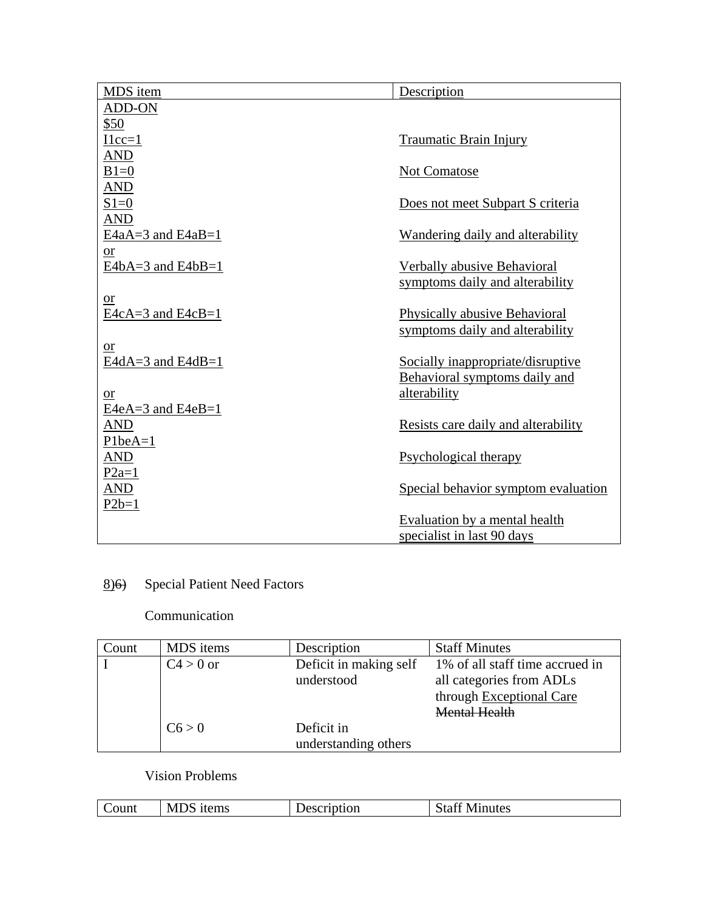| MDS item               | Description                         |
|------------------------|-------------------------------------|
| ADD-ON                 |                                     |
| \$50                   |                                     |
| $I1cc=1$               | <b>Traumatic Brain Injury</b>       |
| AND                    |                                     |
| $B1=0$                 | Not Comatose                        |
| <b>AND</b>             |                                     |
| $S1=0$                 | Does not meet Subpart S criteria    |
| <b>AND</b>             |                                     |
| $E4aA=3$ and $E4aB=1$  | Wandering daily and alterability    |
| $\overline{\text{or}}$ |                                     |
| $E4bA=3$ and $E4bB=1$  | Verbally abusive Behavioral         |
|                        | symptoms daily and alterability     |
| <b>or</b>              |                                     |
| $E4cA=3$ and $E4cB=1$  | Physically abusive Behavioral       |
|                        | symptoms daily and alterability     |
| $or$                   |                                     |
| E4dA=3 and E4dB=1      | Socially inappropriate/disruptive   |
|                        | Behavioral symptoms daily and       |
| <sub>or</sub>          | alterability                        |
| $E4eA=3$ and $E4eB=1$  |                                     |
| AND                    | Resists care daily and alterability |
| $PlbeA=1$              |                                     |
| <b>AND</b>             | Psychological therapy               |
| $P2a=1$                |                                     |
| AND                    | Special behavior symptom evaluation |
| $P2b=1$                |                                     |
|                        | Evaluation by a mental health       |
|                        | specialist in last 90 days          |

# 8)6) Special Patient Need Factors

### Communication

| Count | MDS items   | Description            | <b>Staff Minutes</b>            |
|-------|-------------|------------------------|---------------------------------|
|       | $C4 > 0$ or | Deficit in making self | 1% of all staff time accrued in |
|       |             | understood             | all categories from ADLs        |
|       |             |                        | through Exceptional Care        |
|       |             |                        | Mental Health                   |
|       | C6 > 0      | Deficit in             |                                 |
|       |             | understanding others   |                                 |

### Vision Problems

| M<br>ıtems<br>ount | tion<br>÷ъ. | - --<br>$\sim$<br>Minutes |
|--------------------|-------------|---------------------------|
|--------------------|-------------|---------------------------|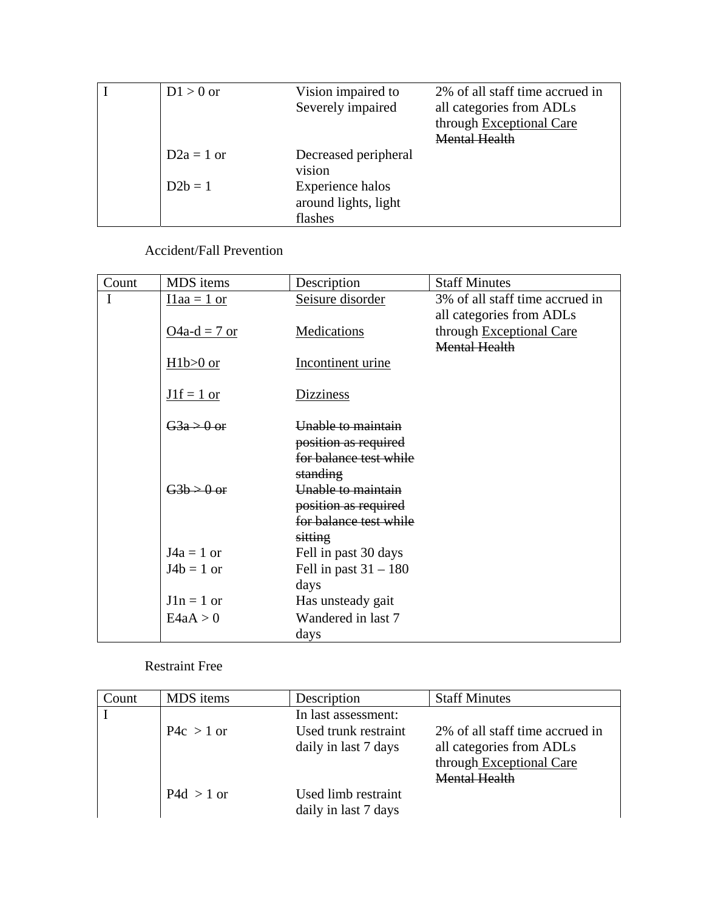| $D1 > 0$ or  | Vision impaired to   | 2% of all staff time accrued in |
|--------------|----------------------|---------------------------------|
|              | Severely impaired    | all categories from ADLs        |
|              |                      | through Exceptional Care        |
|              |                      | <b>Mental Health</b>            |
| $D2a = 1$ or | Decreased peripheral |                                 |
|              | vision               |                                 |
| $D2b=1$      | Experience halos     |                                 |
|              | around lights, light |                                 |
|              | flashes              |                                 |

Accident/Fall Prevention

| Count | MDS items          | Description             | <b>Staff Minutes</b>            |
|-------|--------------------|-------------------------|---------------------------------|
| I     | $I1aa = 1$ or      | Seisure disorder        | 3% of all staff time accrued in |
|       |                    |                         | all categories from ADLs        |
|       | $Q4a-d = 7$ or     | Medications             | through Exceptional Care        |
|       |                    |                         | <b>Mental Health</b>            |
|       | $H1b>0$ or         | Incontinent urine       |                                 |
|       |                    |                         |                                 |
|       | $J1f = 1$ or       | <b>Dizziness</b>        |                                 |
|       | $\frac{G3a}{9}$ or | Unable to maintain      |                                 |
|       |                    | position as required    |                                 |
|       |                    | for balance test while  |                                 |
|       |                    | standing                |                                 |
|       | $G3b > 0$ or       | Unable to maintain      |                                 |
|       |                    | position as required    |                                 |
|       |                    | for balance test while  |                                 |
|       |                    | sitting                 |                                 |
|       | $J4a = 1$ or       | Fell in past 30 days    |                                 |
|       | $J4b = 1$ or       | Fell in past $31 - 180$ |                                 |
|       |                    | days                    |                                 |
|       | $J1n = 1$ or       | Has unsteady gait       |                                 |
|       | E4aA > 0           | Wandered in last 7      |                                 |
|       |                    | days                    |                                 |

Restraint Free

| Count | MDS items    | Description                                  | <b>Staff Minutes</b>                                                                                     |
|-------|--------------|----------------------------------------------|----------------------------------------------------------------------------------------------------------|
|       |              | In last assessment:                          |                                                                                                          |
|       | $P4c > 1$ or | Used trunk restraint<br>daily in last 7 days | 2% of all staff time accrued in<br>all categories from ADLs<br>through Exceptional Care<br>Mental Health |
|       | $P4d > 1$ or | Used limb restraint<br>daily in last 7 days  |                                                                                                          |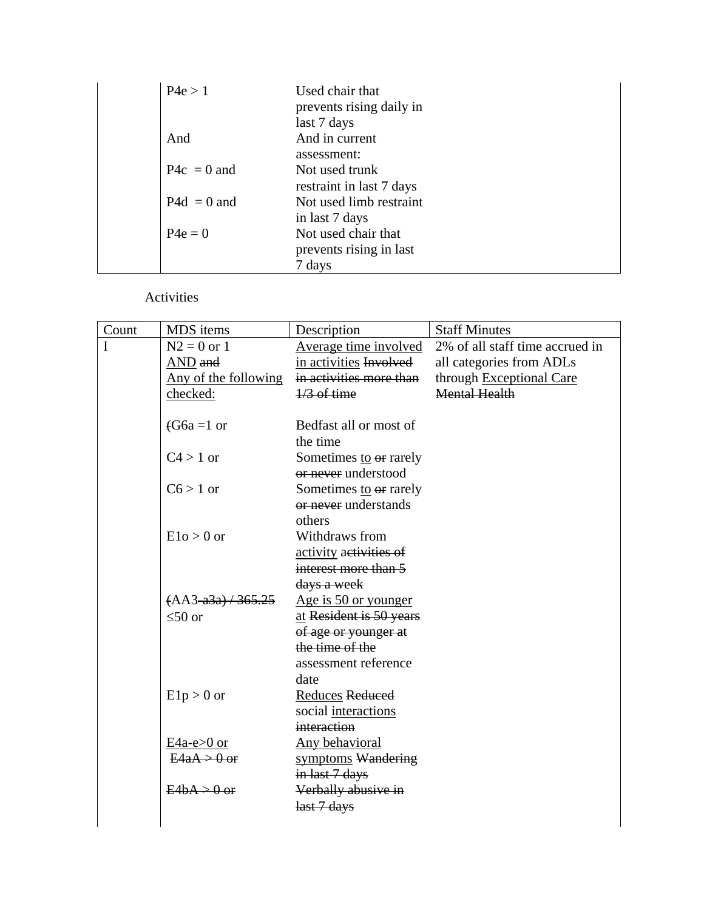| P4e > 1       | Used chair that<br>prevents rising daily in<br>last 7 days |
|---------------|------------------------------------------------------------|
| And           | And in current<br>assessment:                              |
| $P4c = 0$ and | Not used trunk<br>restraint in last 7 days                 |
| $P4d = 0$ and | Not used limb restraint<br>in last 7 days                  |
| $P4e = 0$     | Not used chair that<br>prevents rising in last<br>7 days   |

Activities

| Count | MDS items            | Description                                    | <b>Staff Minutes</b>            |
|-------|----------------------|------------------------------------------------|---------------------------------|
| I     | $N2 = 0$ or 1        | Average time involved                          | 2% of all staff time accrued in |
|       | AND and              | in activities Involved                         | all categories from ADLs        |
|       | Any of the following | in activities more than                        | through Exceptional Care        |
|       | checked:             | $\frac{1}{3}$ of time                          | <b>Mental Health</b>            |
|       | $(G6a=1 \text{ or }$ | Bedfast all or most of                         |                                 |
|       |                      | the time                                       |                                 |
|       | $C4 > 1$ or          | Sometimes to or rarely<br>or never understood  |                                 |
|       | $C6 > 1$ or          | Sometimes to or rarely<br>or never understands |                                 |
|       |                      | others                                         |                                 |
|       | $E1o > 0$ or         | Withdraws from                                 |                                 |
|       |                      | activity activities of                         |                                 |
|       |                      | interest more than 5                           |                                 |
|       |                      | days a week                                    |                                 |
|       | $(AA3-a3a)$ / 365.25 | Age is 50 or younger                           |                                 |
|       | $\leq 50$ or         | at Resident is 50 years                        |                                 |
|       |                      | of age or younger at                           |                                 |
|       |                      | the time of the                                |                                 |
|       |                      | assessment reference                           |                                 |
|       |                      | date                                           |                                 |
|       | $E1p > 0$ or         | Reduces Reduced                                |                                 |
|       |                      | social interactions<br>interaction             |                                 |
|       | $E4a-e>0$ or         | Any behavioral                                 |                                 |
|       | $E4aA > 0$ or        | symptoms Wandering                             |                                 |
|       |                      | in last 7 days                                 |                                 |
|       | $E4bA > 0$ or        | Verbally abusive in                            |                                 |
|       |                      | last 7 days                                    |                                 |
|       |                      |                                                |                                 |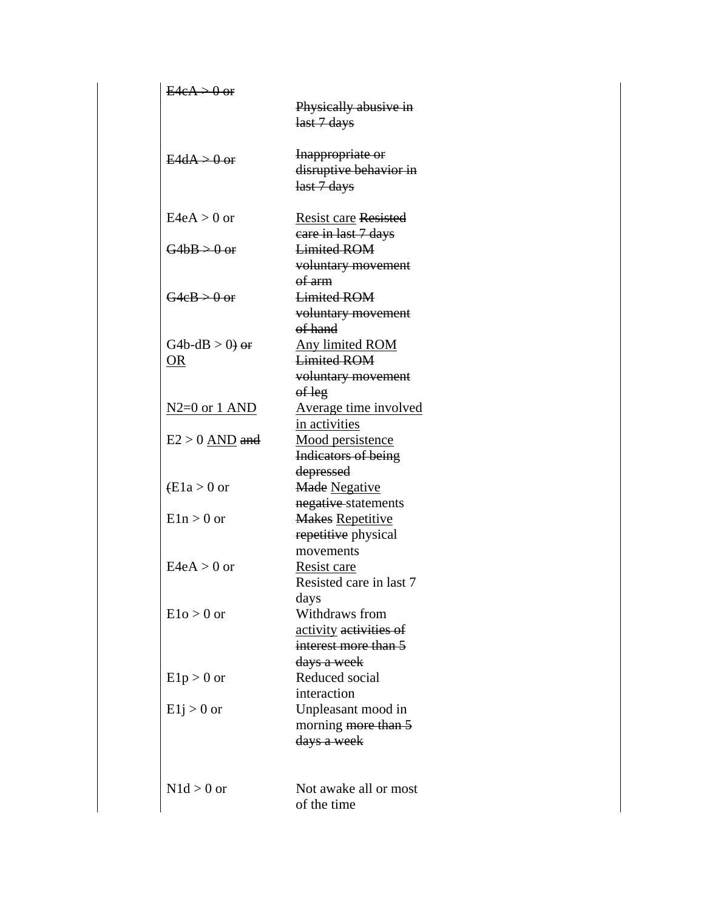| $E4eA > 0$ or                  | Physically abusive in                                                    |
|--------------------------------|--------------------------------------------------------------------------|
|                                | last 7 days                                                              |
| $E4dA > 0$ or                  | Inappropriate or<br>disruptive behavior in<br>last 7 days                |
| $E4eA > 0$ or                  | <b>Resist care Resisted</b>                                              |
| $G4bB > 0$ or                  | care in last 7 days<br><b>Limited ROM</b><br>voluntary movement          |
| $G4eB > 0$ or                  | of arm<br><b>Limited ROM</b><br>voluntary movement<br>of hand            |
| G4b-dB $> 0$ ) or<br><b>OR</b> | <b>Any limited ROM</b><br><b>Limited ROM</b><br>voluntary movement       |
| <u>N2=0 or 1 AND</u>           | of leg<br>Average time involved<br>in activities                         |
| $E2 > 0$ AND and               | <u>Mood persistence</u><br><b>Indicators of being</b>                    |
| $(E1a > 0$ or                  | depressed<br><b>Made Negative</b><br>negative-statements                 |
| $E1n > 0$ or                   | <b>Makes Repetitive</b><br>repetitive physical                           |
| $E4eA > 0$ or                  | movements<br>Resist care<br>Resisted care in last 7                      |
| $E1o > 0$ or                   | days<br>Withdraws from<br>activity activities of<br>interest more than 5 |
| $E1p > 0$ or                   | <del>days a week</del><br>Reduced social<br>interaction                  |
| $E1j > 0$ or                   | Unpleasant mood in<br>morning more than 5<br>days a week                 |
| $N1d > 0$ or                   | Not awake all or most<br>of the time                                     |